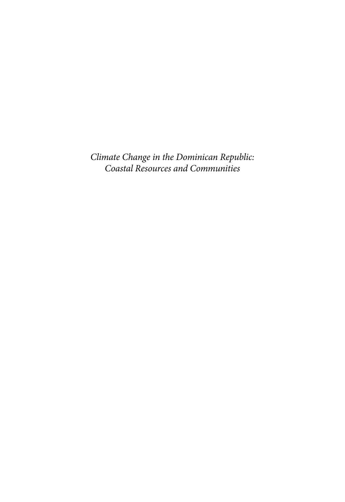*Climate Change in the Dominican Republic: Coastal Resources and Communities*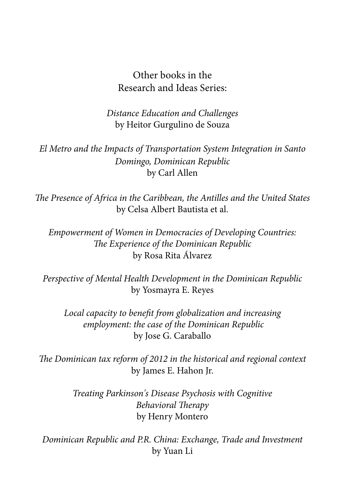# Other books in the Research and Ideas Series:

*Distance Education and Challenges* by Heitor Gurgulino de Souza

*El Metro and the Impacts of Transportation System Integration in Santo Domingo, Dominican Republic* by Carl Allen

*The Presence of Africa in the Caribbean, the Antilles and the United States* by Celsa Albert Bautista et al.

*Empowerment of Women in Democracies of Developing Countries: The Experience of the Dominican Republic* by Rosa Rita Álvarez

*Perspective of Mental Health Development in the Dominican Republic* by Yosmayra E. Reyes

*Local capacity to benefit from globalization and increasing employment: the case of the Dominican Republic* by Jose G. Caraballo

*The Dominican tax reform of 2012 in the historical and regional context* by James E. Hahon Jr.

> *Treating Parkinson's Disease Psychosis with Cognitive Behavioral Therapy* by Henry Montero

*Dominican Republic and P.R. China: Exchange, Trade and Investment* by Yuan Li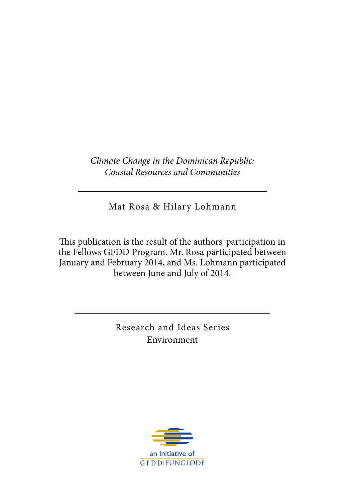*Climate Change in the Dominican Republic: Coastal Resources and Communities*

Mat Rosa & Hilary Lohmann

This publication is the result of the authors' participation in the Fellows GFDD Program. Mr. Rosa participated between January and February 2014, and Ms. Lohmann participated between June and July of 2014.

> Research and Ideas Series Environment

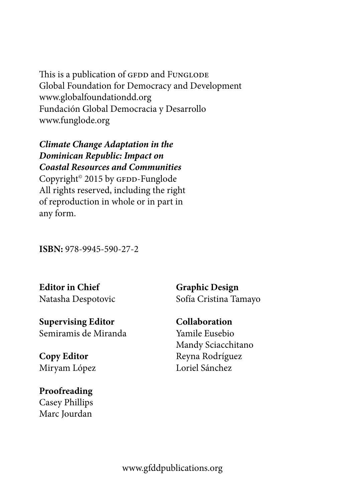This is a publication of GFDD and FUNGLODE Global Foundation for Democracy and Development www.globalfoundationdd.org Fundación Global Democracia y Desarrollo www.funglode.org

*Climate Change Adaptation in the Dominican Republic: Impact on Coastal Resources and Communities* Copyright<sup>®</sup> 2015 by GFDD-Funglode All rights reserved, including the right of reproduction in whole or in part in any form.

**ISBN:** 978-9945-590-27-2

**Editor in Chief** Natasha Despotovic

**Supervising Editor** Semiramis de Miranda

**Copy Editor** Miryam López

**Proofreading** Casey Phillips Marc Jourdan **Graphic Design** Sofía Cristina Tamayo

**Collaboration** Yamile Eusebio Mandy Sciacchitano Reyna Rodríguez Loriel Sánchez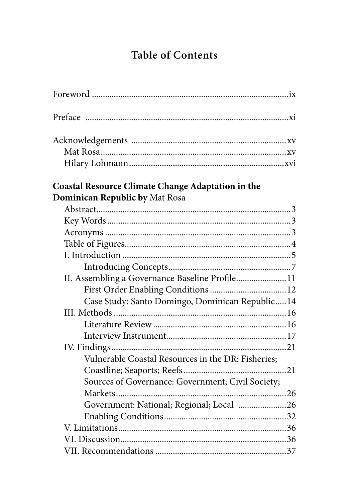# **Table of Contents**

| Coastal Resource Climate Change Adaptation in the  |  |
|----------------------------------------------------|--|
| Dominican Republic by Mat Rosa                     |  |
|                                                    |  |
|                                                    |  |
|                                                    |  |
|                                                    |  |
|                                                    |  |
|                                                    |  |
| II. Assembling a Governance Baseline Profile11     |  |
|                                                    |  |
| Case Study: Santo Domingo, Dominican Republic14    |  |
|                                                    |  |
|                                                    |  |
|                                                    |  |
|                                                    |  |
| Vulnerable Coastal Resources in the DR: Fisheries; |  |
|                                                    |  |
| Sources of Governance: Government; Civil Society;  |  |
|                                                    |  |
| Government: National; Regional; Local 26           |  |
|                                                    |  |
|                                                    |  |
|                                                    |  |
|                                                    |  |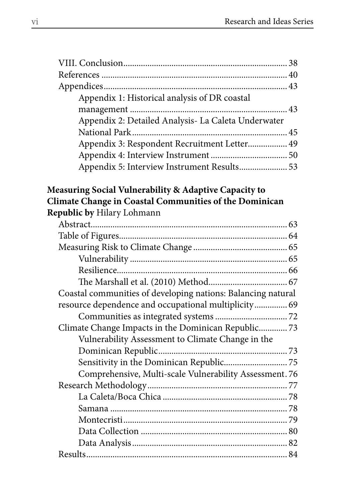| Appendix 1: Historical analysis of DR coastal       |  |
|-----------------------------------------------------|--|
|                                                     |  |
| Appendix 2: Detailed Analysis- La Caleta Underwater |  |
|                                                     |  |
| Appendix 3: Respondent Recruitment Letter 49        |  |
|                                                     |  |
| Appendix 5: Interview Instrument Results 53         |  |

# **Measuring Social Vulnerability & Adaptive Capacity to Climate Change in Coastal Communities of the Dominican Republic by** Hilary Lohmann

| Coastal communities of developing nations: Balancing natural |  |
|--------------------------------------------------------------|--|
| resource dependence and occupational multiplicity 69         |  |
|                                                              |  |
| Climate Change Impacts in the Dominican Republic73           |  |
| Vulnerability Assessment to Climate Change in the            |  |
|                                                              |  |
|                                                              |  |
| Comprehensive, Multi-scale Vulnerability Assessment. 76      |  |
|                                                              |  |
|                                                              |  |
|                                                              |  |
|                                                              |  |
|                                                              |  |
|                                                              |  |
|                                                              |  |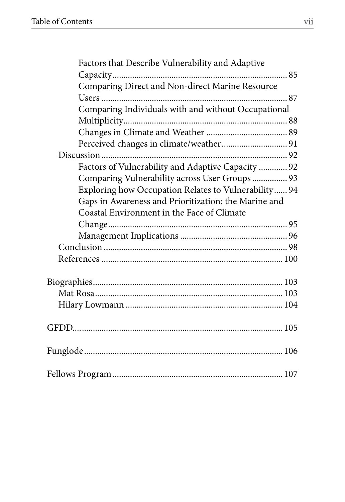| Factors that Describe Vulnerability and Adaptive     |  |
|------------------------------------------------------|--|
|                                                      |  |
| Comparing Direct and Non-direct Marine Resource      |  |
|                                                      |  |
| Comparing Individuals with and without Occupational  |  |
|                                                      |  |
|                                                      |  |
|                                                      |  |
|                                                      |  |
| Factors of Vulnerability and Adaptive Capacity  92   |  |
| Comparing Vulnerability across User Groups 93        |  |
| Exploring how Occupation Relates to Vulnerability 94 |  |
| Gaps in Awareness and Prioritization: the Marine and |  |
| Coastal Environment in the Face of Climate           |  |
|                                                      |  |
|                                                      |  |
|                                                      |  |
|                                                      |  |
|                                                      |  |
|                                                      |  |
|                                                      |  |
|                                                      |  |
|                                                      |  |
|                                                      |  |
|                                                      |  |
|                                                      |  |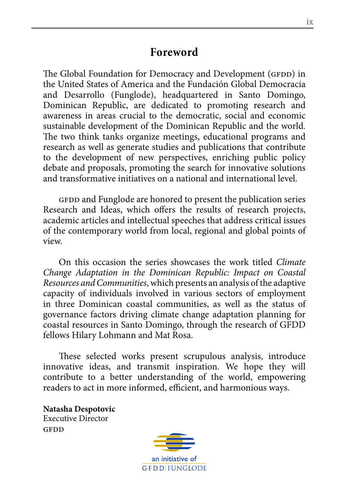# **Foreword**

The Global Foundation for Democracy and Development (GFDD) in the United States of America and the Fundación Global Democracia and Desarrollo (Funglode), headquartered in Santo Domingo, Dominican Republic, are dedicated to promoting research and awareness in areas crucial to the democratic, social and economic sustainable development of the Dominican Republic and the world. The two think tanks organize meetings, educational programs and research as well as generate studies and publications that contribute to the development of new perspectives, enriching public policy debate and proposals, promoting the search for innovative solutions and transformative initiatives on a national and international level.

GFDD and Funglode are honored to present the publication series Research and Ideas, which offers the results of research projects, academic articles and intellectual speeches that address critical issues of the contemporary world from local, regional and global points of view.

On this occasion the series showcases the work titled *Climate Change Adaptation in the Dominican Republic: Impact on Coastal Resources and Communities*, which presents an analysis of the adaptive capacity of individuals involved in various sectors of employment in three Dominican coastal communities, as well as the status of governance factors driving climate change adaptation planning for coastal resources in Santo Domingo, through the research of GFDD fellows Hilary Lohmann and Mat Rosa.

These selected works present scrupulous analysis, introduce innovative ideas, and transmit inspiration. We hope they will contribute to a better understanding of the world, empowering readers to act in more informed, efficient, and harmonious ways.

**Natasha Despotovic** Executive Director GFDD

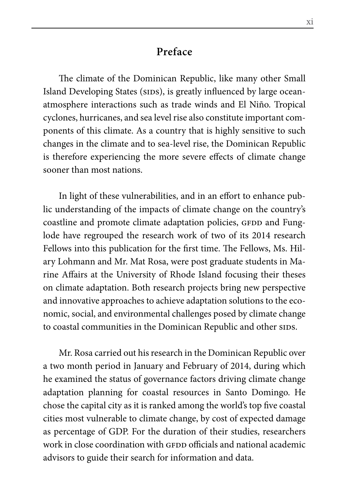# **Preface**

The climate of the Dominican Republic, like many other Small Island Developing States (SIDS), is greatly influenced by large oceanatmosphere interactions such as trade winds and El Niño. Tropical cyclones, hurricanes, and sea level rise also constitute important components of this climate. As a country that is highly sensitive to such changes in the climate and to sea-level rise, the Dominican Republic is therefore experiencing the more severe effects of climate change sooner than most nations.

In light of these vulnerabilities, and in an effort to enhance public understanding of the impacts of climate change on the country's coastline and promote climate adaptation policies, GFDD and Funglode have regrouped the research work of two of its 2014 research Fellows into this publication for the first time. The Fellows, Ms. Hilary Lohmann and Mr. Mat Rosa, were post graduate students in Marine Affairs at the University of Rhode Island focusing their theses on climate adaptation. Both research projects bring new perspective and innovative approaches to achieve adaptation solutions to the economic, social, and environmental challenges posed by climate change to coastal communities in the Dominican Republic and other sids.

Mr. Rosa carried out his research in the Dominican Republic over a two month period in January and February of 2014, during which he examined the status of governance factors driving climate change adaptation planning for coastal resources in Santo Domingo. He chose the capital city as it is ranked among the world's top five coastal cities most vulnerable to climate change, by cost of expected damage as percentage of GDP. For the duration of their studies, researchers work in close coordination with GFDD officials and national academic advisors to guide their search for information and data.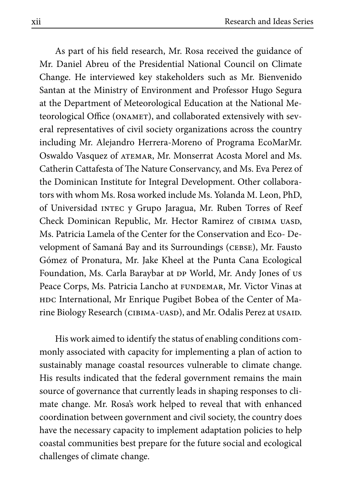As part of his field research, Mr. Rosa received the guidance of Mr. Daniel Abreu of the Presidential National Council on Climate Change. He interviewed key stakeholders such as Mr. Bienvenido Santan at the Ministry of Environment and Professor Hugo Segura at the Department of Meteorological Education at the National Meteorological Office (ONAMET), and collaborated extensively with several representatives of civil society organizations across the country including Mr. Alejandro Herrera-Moreno of Programa EcoMarMr. Oswaldo Vasquez of atemar, Mr. Monserrat Acosta Morel and Ms. Catherin Cattafesta of The Nature Conservancy, and Ms. Eva Perez of the Dominican Institute for Integral Development. Other collaborators with whom Ms. Rosa worked include Ms. Yolanda M. Leon, PhD, of Universidad intec y Grupo Jaragua, Mr. Ruben Torres of Reef Check Dominican Republic, Mr. Hector Ramirez of CIBIMA UASD, Ms. Patricia Lamela of the Center for the Conservation and Eco- Development of Samaná Bay and its Surroundings (CEBSE), Mr. Fausto Gómez of Pronatura, Mr. Jake Kheel at the Punta Cana Ecological Foundation, Ms. Carla Baraybar at DP World, Mr. Andy Jones of us Peace Corps, Ms. Patricia Lancho at FUNDEMAR, Mr. Victor Vinas at HDC International, Mr Enrique Pugibet Bobea of the Center of Marine Biology Research (СІВІМА-UASD), and Mr. Odalis Perez at USAID.

His work aimed to identify the status of enabling conditions commonly associated with capacity for implementing a plan of action to sustainably manage coastal resources vulnerable to climate change. His results indicated that the federal government remains the main source of governance that currently leads in shaping responses to climate change. Mr. Rosa's work helped to reveal that with enhanced coordination between government and civil society, the country does have the necessary capacity to implement adaptation policies to help coastal communities best prepare for the future social and ecological challenges of climate change.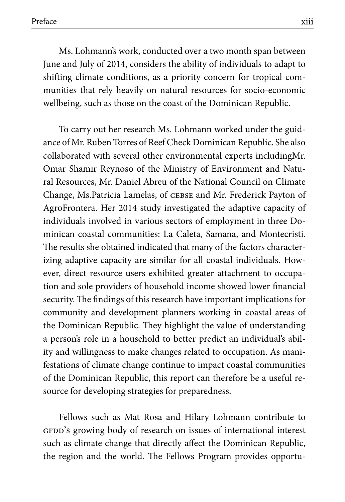Ms. Lohmann's work, conducted over a two month span between June and July of 2014, considers the ability of individuals to adapt to shifting climate conditions, as a priority concern for tropical communities that rely heavily on natural resources for socio-economic wellbeing, such as those on the coast of the Dominican Republic.

To carry out her research Ms. Lohmann worked under the guidance of Mr. Ruben Torres of Reef Check Dominican Republic. She also collaborated with several other environmental experts includingMr. Omar Shamir Reynoso of the Ministry of Environment and Natural Resources, Mr. Daniel Abreu of the National Council on Climate Change, Ms.Patricia Lamelas, of cebse and Mr. Frederick Payton of AgroFrontera. Her 2014 study investigated the adaptive capacity of individuals involved in various sectors of employment in three Dominican coastal communities: La Caleta, Samana, and Montecristi. The results she obtained indicated that many of the factors characterizing adaptive capacity are similar for all coastal individuals. However, direct resource users exhibited greater attachment to occupation and sole providers of household income showed lower financial security. The findings of this research have important implications for community and development planners working in coastal areas of the Dominican Republic. They highlight the value of understanding a person's role in a household to better predict an individual's ability and willingness to make changes related to occupation. As manifestations of climate change continue to impact coastal communities of the Dominican Republic, this report can therefore be a useful resource for developing strategies for preparedness.

Fellows such as Mat Rosa and Hilary Lohmann contribute to GFDD's growing body of research on issues of international interest such as climate change that directly affect the Dominican Republic, the region and the world. The Fellows Program provides opportu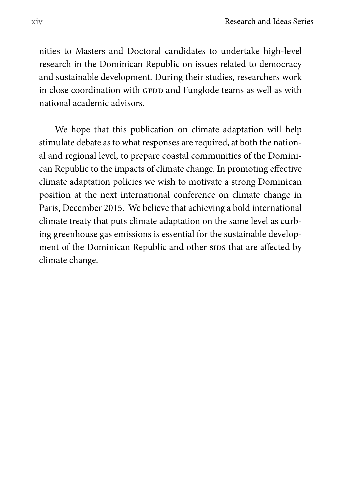nities to Masters and Doctoral candidates to undertake high-level research in the Dominican Republic on issues related to democracy and sustainable development. During their studies, researchers work in close coordination with GFDD and Funglode teams as well as with national academic advisors.

We hope that this publication on climate adaptation will help stimulate debate as to what responses are required, at both the national and regional level, to prepare coastal communities of the Dominican Republic to the impacts of climate change. In promoting effective climate adaptation policies we wish to motivate a strong Dominican position at the next international conference on climate change in Paris, December 2015. We believe that achieving a bold international climate treaty that puts climate adaptation on the same level as curbing greenhouse gas emissions is essential for the sustainable development of the Dominican Republic and other sids that are affected by climate change.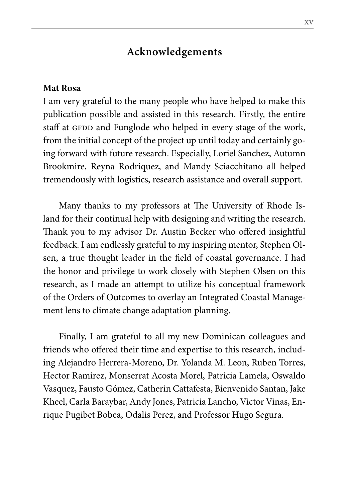# **Acknowledgements**

#### **Mat Rosa**

I am very grateful to the many people who have helped to make this publication possible and assisted in this research. Firstly, the entire staff at GFDD and Funglode who helped in every stage of the work, from the initial concept of the project up until today and certainly going forward with future research. Especially, Loriel Sanchez, Autumn Brookmire, Reyna Rodriquez, and Mandy Sciacchitano all helped tremendously with logistics, research assistance and overall support.

Many thanks to my professors at The University of Rhode Island for their continual help with designing and writing the research. Thank you to my advisor Dr. Austin Becker who offered insightful feedback. I am endlessly grateful to my inspiring mentor, Stephen Olsen, a true thought leader in the field of coastal governance. I had the honor and privilege to work closely with Stephen Olsen on this research, as I made an attempt to utilize his conceptual framework of the Orders of Outcomes to overlay an Integrated Coastal Management lens to climate change adaptation planning.

Finally, I am grateful to all my new Dominican colleagues and friends who offered their time and expertise to this research, including Alejandro Herrera-Moreno, Dr. Yolanda M. Leon, Ruben Torres, Hector Ramirez, Monserrat Acosta Morel, Patricia Lamela, Oswaldo Vasquez, Fausto Gómez, Catherin Cattafesta, Bienvenido Santan, Jake Kheel, Carla Baraybar, Andy Jones, Patricia Lancho, Victor Vinas, Enrique Pugibet Bobea, Odalis Perez, and Professor Hugo Segura.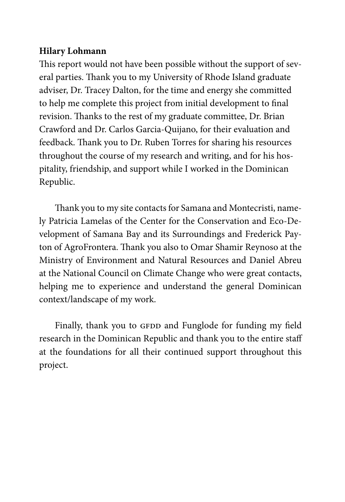# **Hilary Lohmann**

This report would not have been possible without the support of several parties. Thank you to my University of Rhode Island graduate adviser, Dr. Tracey Dalton, for the time and energy she committed to help me complete this project from initial development to final revision. Thanks to the rest of my graduate committee, Dr. Brian Crawford and Dr. Carlos Garcia-Quijano, for their evaluation and feedback. Thank you to Dr. Ruben Torres for sharing his resources throughout the course of my research and writing, and for his hospitality, friendship, and support while I worked in the Dominican Republic.

Thank you to my site contacts for Samana and Montecristi, namely Patricia Lamelas of the Center for the Conservation and Eco-Development of Samana Bay and its Surroundings and Frederick Payton of AgroFrontera. Thank you also to Omar Shamir Reynoso at the Ministry of Environment and Natural Resources and Daniel Abreu at the National Council on Climate Change who were great contacts, helping me to experience and understand the general Dominican context/landscape of my work.

Finally, thank you to GFDD and Funglode for funding my field research in the Dominican Republic and thank you to the entire staff at the foundations for all their continued support throughout this project.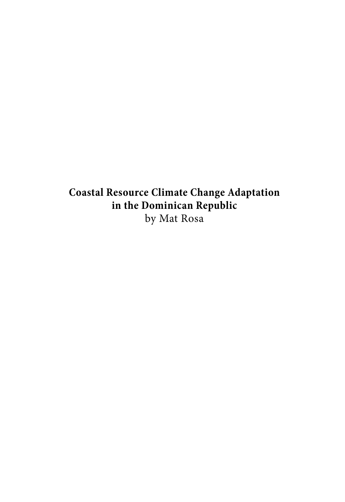**Coastal Resource Climate Change Adaptation in the Dominican Republic**  by Mat Rosa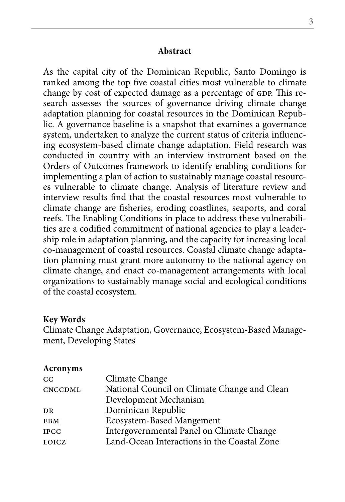#### **Abstract**

As the capital city of the Dominican Republic, Santo Domingo is ranked among the top five coastal cities most vulnerable to climate change by cost of expected damage as a percentage of GDP. This research assesses the sources of governance driving climate change adaptation planning for coastal resources in the Dominican Republic. A governance baseline is a snapshot that examines a governance system, undertaken to analyze the current status of criteria influencing ecosystem-based climate change adaptation. Field research was conducted in country with an interview instrument based on the Orders of Outcomes framework to identify enabling conditions for implementing a plan of action to sustainably manage coastal resources vulnerable to climate change. Analysis of literature review and interview results find that the coastal resources most vulnerable to climate change are fisheries, eroding coastlines, seaports, and coral reefs. The Enabling Conditions in place to address these vulnerabilities are a codified commitment of national agencies to play a leadership role in adaptation planning, and the capacity for increasing local co-management of coastal resources. Coastal climate change adaptation planning must grant more autonomy to the national agency on climate change, and enact co-management arrangements with local organizations to sustainably manage social and ecological conditions of the coastal ecosystem.

#### **Key Words**

Climate Change Adaptation, Governance, Ecosystem-Based Management, Developing States

#### **Acronyms**

| $_{\rm CC}$    | Climate Change                               |
|----------------|----------------------------------------------|
| <b>CNCCDML</b> | National Council on Climate Change and Clean |
|                | Development Mechanism                        |
| DR             | Dominican Republic                           |
| <b>EBM</b>     | Ecosystem-Based Mangement                    |
| <b>IPCC</b>    | Intergovernmental Panel on Climate Change    |
| LOICZ          | Land-Ocean Interactions in the Coastal Zone  |
|                |                                              |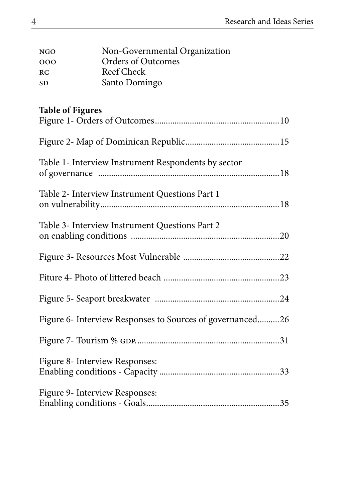| <b>NGO</b>     | Non-Governmental Organization |
|----------------|-------------------------------|
| 000            | Orders of Outcomes            |
| R <sub>C</sub> | Reef Check                    |
| <b>SD</b>      | Santo Domingo                 |

# **Table of Figures**

| Table 1- Interview Instrument Respondents by sector       |
|-----------------------------------------------------------|
| Table 2- Interview Instrument Questions Part 1            |
| Table 3- Interview Instrument Questions Part 2            |
|                                                           |
|                                                           |
|                                                           |
| Figure 6- Interview Responses to Sources of governanced26 |
|                                                           |
| Figure 8- Interview Responses:                            |
| Figure 9- Interview Responses:                            |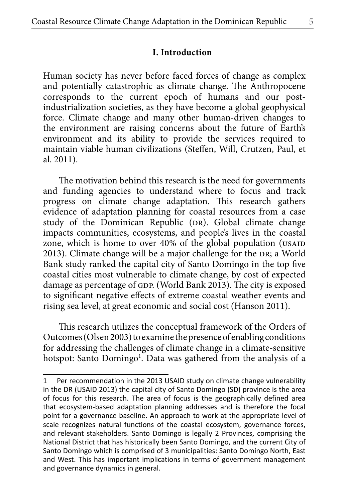Human society has never before faced forces of change as complex and potentially catastrophic as climate change. The Anthropocene corresponds to the current epoch of humans and our postindustrialization societies, as they have become a global geophysical force. Climate change and many other human-driven changes to the environment are raising concerns about the future of Earth's environment and its ability to provide the services required to maintain viable human civilizations (Steffen, Will, Crutzen, Paul, et al. 2011).

The motivation behind this research is the need for governments and funding agencies to understand where to focus and track progress on climate change adaptation. This research gathers evidence of adaptation planning for coastal resources from a case study of the Dominican Republic (DR). Global climate change impacts communities, ecosystems, and people's lives in the coastal zone, which is home to over 40% of the global population (USAID 2013). Climate change will be a major challenge for the DR; a World Bank study ranked the capital city of Santo Domingo in the top five coastal cities most vulnerable to climate change, by cost of expected damage as percentage of GDP. (World Bank 2013). The city is exposed to significant negative effects of extreme coastal weather events and rising sea level, at great economic and social cost (Hanson 2011).

This research utilizes the conceptual framework of the Orders of Outcomes (Olsen 2003) to examine the presence of enabling conditions for addressing the challenges of climate change in a climate-sensitive hotspot: Santo Domingo<sup>1</sup>. Data was gathered from the analysis of a

<sup>1</sup> Per recommendation in the 2013 USAID study on climate change vulnerability in the DR (USAID 2013) the capital city of Santo Domingo (SD) province is the area of focus for this research. The area of focus is the geographically defined area that ecosystem-based adaptation planning addresses and is therefore the focal point for a governance baseline. An approach to work at the appropriate level of scale recognizes natural functions of the coastal ecosystem, governance forces, and relevant stakeholders. Santo Domingo is legally 2 Provinces, comprising the National District that has historically been Santo Domingo, and the current City of Santo Domingo which is comprised of 3 municipalities: Santo Domingo North, East and West. This has important implications in terms of government management and governance dynamics in general.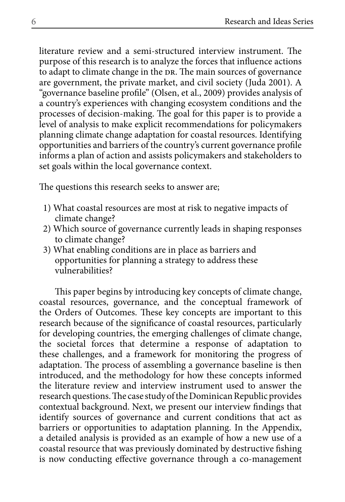literature review and a semi-structured interview instrument. The purpose of this research is to analyze the forces that influence actions to adapt to climate change in the DR. The main sources of governance are government, the private market, and civil society (Juda 2001). A "governance baseline profile" (Olsen, et al., 2009) provides analysis of a country's experiences with changing ecosystem conditions and the processes of decision-making. The goal for this paper is to provide a level of analysis to make explicit recommendations for policymakers planning climate change adaptation for coastal resources. Identifying opportunities and barriers of the country's current governance profile informs a plan of action and assists policymakers and stakeholders to set goals within the local governance context.

The questions this research seeks to answer are;

- 1) What coastal resources are most at risk to negative impacts of climate change?
- 2) Which source of governance currently leads in shaping responses to climate change?
- 3) What enabling conditions are in place as barriers and opportunities for planning a strategy to address these vulnerabilities?

This paper begins by introducing key concepts of climate change, coastal resources, governance, and the conceptual framework of the Orders of Outcomes. These key concepts are important to this research because of the significance of coastal resources, particularly for developing countries, the emerging challenges of climate change, the societal forces that determine a response of adaptation to these challenges, and a framework for monitoring the progress of adaptation. The process of assembling a governance baseline is then introduced, and the methodology for how these concepts informed the literature review and interview instrument used to answer the research questions. The case study of the Dominican Republic provides contextual background. Next, we present our interview findings that identify sources of governance and current conditions that act as barriers or opportunities to adaptation planning. In the Appendix, a detailed analysis is provided as an example of how a new use of a coastal resource that was previously dominated by destructive fishing is now conducting effective governance through a co-management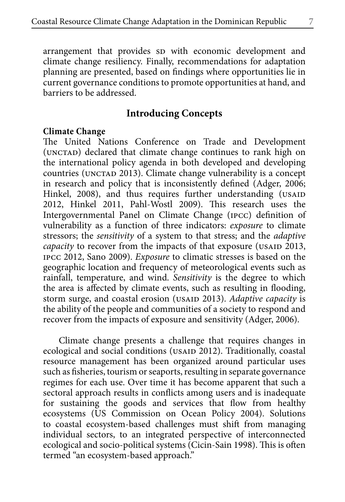arrangement that provides sp with economic development and climate change resiliency. Finally, recommendations for adaptation planning are presented, based on findings where opportunities lie in current governance conditions to promote opportunities at hand, and barriers to be addressed.

# **Introducing Concepts**

### **Climate Change**

The United Nations Conference on Trade and Development (UNCTAD) declared that climate change continues to rank high on the international policy agenda in both developed and developing countries (UNCTAD 2013). Climate change vulnerability is a concept in research and policy that is inconsistently defined (Adger, 2006; Hinkel, 2008), and thus requires further understanding (USAID 2012, Hinkel 2011, Pahl-Wostl 2009). This research uses the Intergovernmental Panel on Climate Change (ipcc) definition of vulnerability as a function of three indicators: *exposure* to climate stressors; the *sensitivity* of a system to that stress; and the *adaptive capacity* to recover from the impacts of that exposure (USAID 2013, ipcc 2012, Sano 2009). *Exposure* to climatic stresses is based on the geographic location and frequency of meteorological events such as rainfall, temperature, and wind. *Sensitivity* is the degree to which the area is affected by climate events, such as resulting in flooding, storm surge, and coastal erosion (USAID 2013). *Adaptive capacity* is the ability of the people and communities of a society to respond and recover from the impacts of exposure and sensitivity (Adger, 2006).

Climate change presents a challenge that requires changes in ecological and social conditions (USAID 2012). Traditionally, coastal resource management has been organized around particular uses such as fisheries, tourism or seaports, resulting in separate governance regimes for each use. Over time it has become apparent that such a sectoral approach results in conflicts among users and is inadequate for sustaining the goods and services that flow from healthy ecosystems (US Commission on Ocean Policy 2004). Solutions to coastal ecosystem-based challenges must shift from managing individual sectors, to an integrated perspective of interconnected ecological and socio-political systems (Cicin-Sain 1998). This is often termed "an ecosystem-based approach."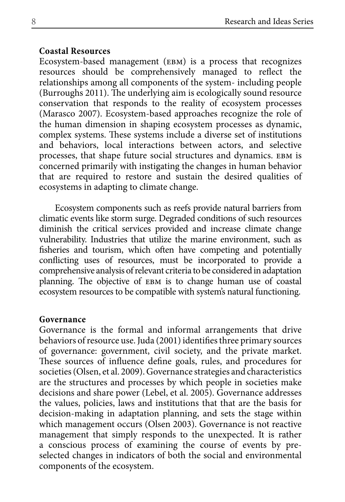### **Coastal Resources**

Ecosystem-based management (ebm) is a process that recognizes resources should be comprehensively managed to reflect the relationships among all components of the system- including people (Burroughs 2011). The underlying aim is ecologically sound resource conservation that responds to the reality of ecosystem processes (Marasco 2007). Ecosystem-based approaches recognize the role of the human dimension in shaping ecosystem processes as dynamic, complex systems. These systems include a diverse set of institutions and behaviors, local interactions between actors, and selective processes, that shape future social structures and dynamics. ebm is concerned primarily with instigating the changes in human behavior that are required to restore and sustain the desired qualities of ecosystems in adapting to climate change.

Ecosystem components such as reefs provide natural barriers from climatic events like storm surge. Degraded conditions of such resources diminish the critical services provided and increase climate change vulnerability. Industries that utilize the marine environment, such as fisheries and tourism, which often have competing and potentially conflicting uses of resources, must be incorporated to provide a comprehensive analysis of relevant criteria to be considered in adaptation planning. The objective of EBM is to change human use of coastal ecosystem resources to be compatible with system's natural functioning.

#### **Governance**

Governance is the formal and informal arrangements that drive behaviors of resource use. Juda (2001) identifies three primary sources of governance: government, civil society, and the private market. These sources of influence define goals, rules, and procedures for societies (Olsen, et al. 2009). Governance strategies and characteristics are the structures and processes by which people in societies make decisions and share power (Lebel, et al. 2005). Governance addresses the values, policies, laws and institutions that that are the basis for decision-making in adaptation planning, and sets the stage within which management occurs (Olsen 2003). Governance is not reactive management that simply responds to the unexpected. It is rather a conscious process of examining the course of events by preselected changes in indicators of both the social and environmental components of the ecosystem.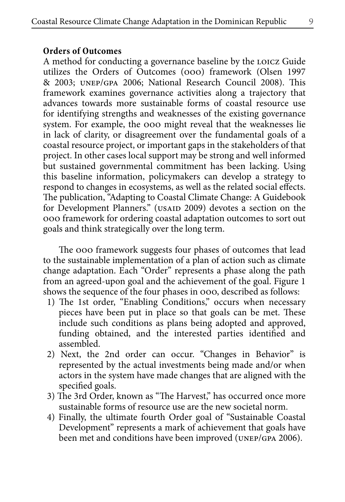#### **Orders of Outcomes**

A method for conducting a governance baseline by the LOICZ Guide utilizes the Orders of Outcomes (ooo) framework (Olsen 1997 & 2003; unep/gpa 2006; National Research Council 2008). This framework examines governance activities along a trajectory that advances towards more sustainable forms of coastal resource use for identifying strengths and weaknesses of the existing governance system. For example, the ooo might reveal that the weaknesses lie in lack of clarity, or disagreement over the fundamental goals of a coastal resource project, or important gaps in the stakeholders of that project. In other cases local support may be strong and well informed but sustained governmental commitment has been lacking. Using this baseline information, policymakers can develop a strategy to respond to changes in ecosystems, as well as the related social effects. The publication, "Adapting to Coastal Climate Change: A Guidebook for Development Planners." (USAID 2009) devotes a section on the ooo framework for ordering coastal adaptation outcomes to sort out goals and think strategically over the long term.

The ooo framework suggests four phases of outcomes that lead to the sustainable implementation of a plan of action such as climate change adaptation. Each "Order" represents a phase along the path from an agreed-upon goal and the achievement of the goal. Figure 1 shows the sequence of the four phases in ooo, described as follows:

- 1) The 1st order, "Enabling Conditions," occurs when necessary pieces have been put in place so that goals can be met. These include such conditions as plans being adopted and approved, funding obtained, and the interested parties identified and assembled.
- 2) Next, the 2nd order can occur. "Changes in Behavior" is represented by the actual investments being made and/or when actors in the system have made changes that are aligned with the specified goals.
- 3) The 3rd Order, known as "The Harvest," has occurred once more sustainable forms of resource use are the new societal norm.
- 4) Finally, the ultimate fourth Order goal of "Sustainable Coastal Development" represents a mark of achievement that goals have been met and conditions have been improved (unep/gpa 2006).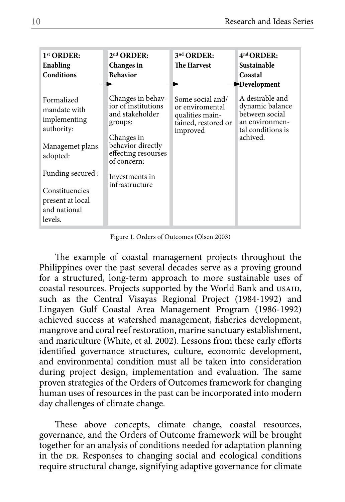| 1 <sup>st</sup> ORDER:<br>Enabling<br><b>Conditions</b>                                                                                            | $2nd$ ORDER:<br>Changes in<br><b>Behavior</b>                                                                                                                                       | 3 <sup>nd</sup> ORDER:<br><b>The Harvest</b>                                              | 4 <sup>nd</sup> ORDER:<br>Sustainable<br>Coastal<br>Development                                         |
|----------------------------------------------------------------------------------------------------------------------------------------------------|-------------------------------------------------------------------------------------------------------------------------------------------------------------------------------------|-------------------------------------------------------------------------------------------|---------------------------------------------------------------------------------------------------------|
| Formalized<br>mandate with<br>implementing<br>authority:<br>Managemet plans<br>adopted:<br>Funding secured :<br>Constituencies<br>present at local | Changes in behav-<br>ior of institutions<br>and stakeholder<br>groups:<br>Changes in<br>behavior directly<br>effecting resourses<br>of concern:<br>Investments in<br>infrastructure | Some social and/<br>or enviromental<br>qualities main-<br>tained, restored or<br>improved | A desirable and<br>dynamic balance<br>between social<br>an environmen-<br>tal conditions is<br>achived. |
| and national<br>levels.                                                                                                                            |                                                                                                                                                                                     |                                                                                           |                                                                                                         |

Figure 1. Orders of Outcomes (Olsen 2003)

The example of coastal management projects throughout the Philippines over the past several decades serve as a proving ground for a structured, long-term approach to more sustainable uses of coastal resources. Projects supported by the World Bank and usaid, such as the Central Visayas Regional Project (1984-1992) and Lingayen Gulf Coastal Area Management Program (1986-1992) achieved success at watershed management, fisheries development, mangrove and coral reef restoration, marine sanctuary establishment, and mariculture (White, et al. 2002). Lessons from these early efforts identified governance structures, culture, economic development, and environmental condition must all be taken into consideration during project design, implementation and evaluation. The same proven strategies of the Orders of Outcomes framework for changing human uses of resources in the past can be incorporated into modern day challenges of climate change.

These above concepts, climate change, coastal resources, governance, and the Orders of Outcome framework will be brought together for an analysis of conditions needed for adaptation planning in the DR. Responses to changing social and ecological conditions require structural change, signifying adaptive governance for climate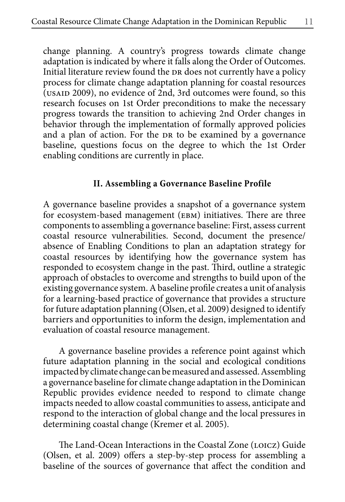change planning. A country's progress towards climate change adaptation is indicated by where it falls along the Order of Outcomes. Initial literature review found the DR does not currently have a policy process for climate change adaptation planning for coastal resources (USAID 2009), no evidence of 2nd, 3rd outcomes were found, so this research focuses on 1st Order preconditions to make the necessary progress towards the transition to achieving 2nd Order changes in behavior through the implementation of formally approved policies and a plan of action. For the DR to be examined by a governance baseline, questions focus on the degree to which the 1st Order enabling conditions are currently in place.

### **II. Assembling a Governance Baseline Profile**

A governance baseline provides a snapshot of a governance system for ecosystem-based management (ebm) initiatives. There are three components to assembling a governance baseline: First, assess current coastal resource vulnerabilities. Second, document the presence/ absence of Enabling Conditions to plan an adaptation strategy for coastal resources by identifying how the governance system has responded to ecosystem change in the past. Third, outline a strategic approach of obstacles to overcome and strengths to build upon of the existing governance system. A baseline profile creates a unit of analysis for a learning-based practice of governance that provides a structure for future adaptation planning (Olsen, et al. 2009) designed to identify barriers and opportunities to inform the design, implementation and evaluation of coastal resource management.

A governance baseline provides a reference point against which future adaptation planning in the social and ecological conditions impacted by climate change can be measured and assessed. Assembling a governance baseline for climate change adaptation in the Dominican Republic provides evidence needed to respond to climate change impacts needed to allow coastal communities to assess, anticipate and respond to the interaction of global change and the local pressures in determining coastal change (Kremer et al. 2005).

The Land-Ocean Interactions in the Coastal Zone (LOICZ) Guide (Olsen, et al. 2009) offers a step-by-step process for assembling a baseline of the sources of governance that affect the condition and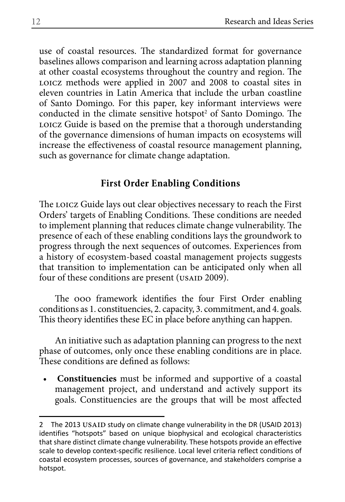use of coastal resources. The standardized format for governance baselines allows comparison and learning across adaptation planning at other coastal ecosystems throughout the country and region. The LOICZ methods were applied in 2007 and 2008 to coastal sites in eleven countries in Latin America that include the urban coastline of Santo Domingo. For this paper, key informant interviews were conducted in the climate sensitive hotspot<sup>2</sup> of Santo Domingo. The LOICZ Guide is based on the premise that a thorough understanding of the governance dimensions of human impacts on ecosystems will increase the effectiveness of coastal resource management planning, such as governance for climate change adaptation.

# **First Order Enabling Conditions**

The LOICZ Guide lays out clear objectives necessary to reach the First Orders' targets of Enabling Conditions. These conditions are needed to implement planning that reduces climate change vulnerability. The presence of each of these enabling conditions lays the groundwork to progress through the next sequences of outcomes. Experiences from a history of ecosystem-based coastal management projects suggests that transition to implementation can be anticipated only when all four of these conditions are present ( $\overline{USAID}$  2009).

The ooo framework identifies the four First Order enabling conditions as 1. constituencies, 2. capacity, 3. commitment, and 4. goals. This theory identifies these EC in place before anything can happen.

An initiative such as adaptation planning can progress to the next phase of outcomes, only once these enabling conditions are in place. These conditions are defined as follows:

**• Constituencies** must be informed and supportive of a coastal management project, and understand and actively support its goals. Constituencies are the groups that will be most affected

<sup>2</sup> The 2013 USAID study on climate change vulnerability in the DR (USAID 2013) identifies "hotspots" based on unique biophysical and ecological characteristics that share distinct climate change vulnerability. These hotspots provide an effective scale to develop context-specific resilience. Local level criteria reflect conditions of coastal ecosystem processes, sources of governance, and stakeholders comprise a hotspot.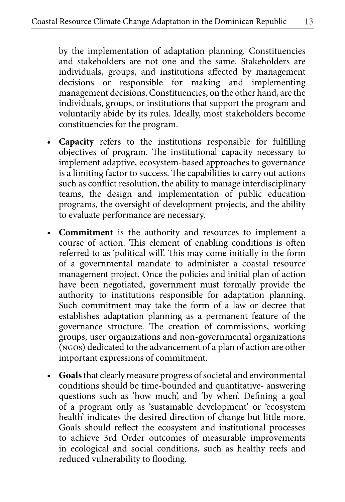by the implementation of adaptation planning. Constituencies and stakeholders are not one and the same. Stakeholders are individuals, groups, and institutions affected by management decisions or responsible for making and implementing management decisions. Constituencies, on the other hand, are the individuals, groups, or institutions that support the program and voluntarily abide by its rules. Ideally, most stakeholders become constituencies for the program.

- **• Capacity** refers to the institutions responsible for fulfilling objectives of program. The institutional capacity necessary to implement adaptive, ecosystem-based approaches to governance is a limiting factor to success. The capabilities to carry out actions such as conflict resolution, the ability to manage interdisciplinary teams, the design and implementation of public education programs, the oversight of development projects, and the ability to evaluate performance are necessary.
- **• Commitment** is the authority and resources to implement a course of action. This element of enabling conditions is often referred to as 'political will'. This may come initially in the form of a governmental mandate to administer a coastal resource management project. Once the policies and initial plan of action have been negotiated, government must formally provide the authority to institutions responsible for adaptation planning. Such commitment may take the form of a law or decree that establishes adaptation planning as a permanent feature of the governance structure. The creation of commissions, working groups, user organizations and non-governmental organizations (ngos) dedicated to the advancement of a plan of action are other important expressions of commitment.
- **• Goals** that clearly measure progress of societal and environmental conditions should be time-bounded and quantitative- answering questions such as 'how much', and 'by when'. Defining a goal of a program only as 'sustainable development' or 'ecosystem health' indicates the desired direction of change but little more. Goals should reflect the ecosystem and institutional processes to achieve 3rd Order outcomes of measurable improvements in ecological and social conditions, such as healthy reefs and reduced vulnerability to flooding.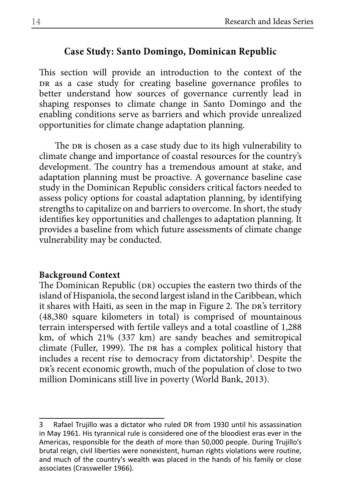## **Case Study: Santo Domingo, Dominican Republic**

This section will provide an introduction to the context of the DR as a case study for creating baseline governance profiles to better understand how sources of governance currently lead in shaping responses to climate change in Santo Domingo and the enabling conditions serve as barriers and which provide unrealized opportunities for climate change adaptation planning.

The DR is chosen as a case study due to its high vulnerability to climate change and importance of coastal resources for the country's development. The country has a tremendous amount at stake, and adaptation planning must be proactive. A governance baseline case study in the Dominican Republic considers critical factors needed to assess policy options for coastal adaptation planning, by identifying strengths to capitalize on and barriers to overcome. In short, the study identifies key opportunities and challenges to adaptation planning. It provides a baseline from which future assessments of climate change vulnerability may be conducted.

#### **Background Context**

The Dominican Republic (DR) occupies the eastern two thirds of the island of Hispaniola, the second largest island in the Caribbean, which it shares with Haiti, as seen in the map in Figure 2. The DR's territory (48,380 square kilometers in total) is comprised of mountainous terrain interspersed with fertile valleys and a total coastline of 1,288 km, of which 21% (337 km) are sandy beaches and semitropical climate (Fuller, 1999). The DR has a complex political history that includes a recent rise to democracy from dictatorship<sup>3</sup>. Despite the DR's recent economic growth, much of the population of close to two million Dominicans still live in poverty (World Bank, 2013).

<sup>3</sup> Rafael Trujillo was a dictator who ruled DR from 1930 until his assassination in May 1961. His tyrannical rule is considered one of the bloodiest eras ever in the Americas, responsible for the death of more than 50,000 people. During Trujillo's brutal reign, civil liberties were nonexistent, human rights violations were routine, and much of the country's wealth was placed in the hands of his family or close associates (Crassweller 1966).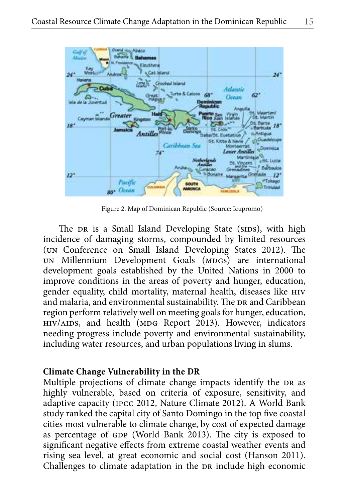

Figure 2. Map of Dominican Republic (Source: Icupromo)

The DR is a Small Island Developing State (SIDS), with high incidence of damaging storms, compounded by limited resources (un Conference on Small Island Developing States 2012). The un Millennium Development Goals (MDGs) are international development goals established by the United Nations in 2000 to improve conditions in the areas of poverty and hunger, education, gender equality, child mortality, maternal health, diseases like hiv and malaria, and environmental sustainability. The DR and Caribbean region perform relatively well on meeting goals for hunger, education, HIV/AIDS, and health (MDG Report 2013). However, indicators needing progress include poverty and environmental sustainability, including water resources, and urban populations living in slums.

## **Climate Change Vulnerability in the DR**

Multiple projections of climate change impacts identify the DR as highly vulnerable, based on criteria of exposure, sensitivity, and adaptive capacity (ipcc 2012, Nature Climate 2012). A World Bank study ranked the capital city of Santo Domingo in the top five coastal cities most vulnerable to climate change, by cost of expected damage as percentage of GDP (World Bank 2013). The city is exposed to significant negative effects from extreme coastal weather events and rising sea level, at great economic and social cost (Hanson 2011). Challenges to climate adaptation in the DR include high economic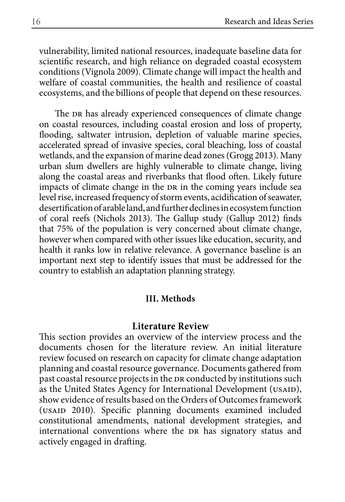vulnerability, limited national resources, inadequate baseline data for scientific research, and high reliance on degraded coastal ecosystem conditions (Vignola 2009). Climate change will impact the health and welfare of coastal communities, the health and resilience of coastal ecosystems, and the billions of people that depend on these resources.

The DR has already experienced consequences of climate change on coastal resources, including coastal erosion and loss of property, flooding, saltwater intrusion, depletion of valuable marine species, accelerated spread of invasive species, coral bleaching, loss of coastal wetlands, and the expansion of marine dead zones (Grogg 2013). Many urban slum dwellers are highly vulnerable to climate change, living along the coastal areas and riverbanks that flood often. Likely future impacts of climate change in the DR in the coming years include sea level rise, increased frequency of storm events, acidification of seawater, desertification of arable land, and further declines in ecosystem function of coral reefs (Nichols 2013). The Gallup study (Gallup 2012) finds that 75% of the population is very concerned about climate change, however when compared with other issues like education, security, and health it ranks low in relative relevance. A governance baseline is an important next step to identify issues that must be addressed for the country to establish an adaptation planning strategy.

#### **III. Methods**

### **Literature Review**

This section provides an overview of the interview process and the documents chosen for the literature review. An initial literature review focused on research on capacity for climate change adaptation planning and coastal resource governance. Documents gathered from past coastal resource projects in the DR conducted by institutions such as the United States Agency for International Development (USAID), show evidence of results based on the Orders of Outcomes framework (USAID 2010). Specific planning documents examined included constitutional amendments, national development strategies, and international conventions where the DR has signatory status and actively engaged in drafting.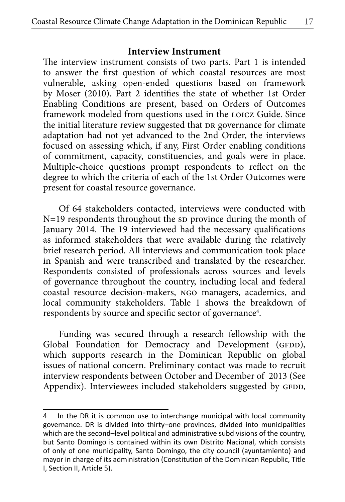### **Interview Instrument**

The interview instrument consists of two parts. Part 1 is intended to answer the first question of which coastal resources are most vulnerable, asking open-ended questions based on framework by Moser (2010). Part 2 identifies the state of whether 1st Order Enabling Conditions are present, based on Orders of Outcomes framework modeled from questions used in the LOICZ Guide. Since the initial literature review suggested that DR governance for climate adaptation had not yet advanced to the 2nd Order, the interviews focused on assessing which, if any, First Order enabling conditions of commitment, capacity, constituencies, and goals were in place. Multiple-choice questions prompt respondents to reflect on the degree to which the criteria of each of the 1st Order Outcomes were present for coastal resource governance.

Of 64 stakeholders contacted, interviews were conducted with  $N=19$  respondents throughout the sp province during the month of January 2014. The 19 interviewed had the necessary qualifications as informed stakeholders that were available during the relatively brief research period. All interviews and communication took place in Spanish and were transcribed and translated by the researcher. Respondents consisted of professionals across sources and levels of governance throughout the country, including local and federal coastal resource decision-makers, ngo managers, academics, and local community stakeholders. Table 1 shows the breakdown of respondents by source and specific sector of governance<sup>4</sup>.

Funding was secured through a research fellowship with the Global Foundation for Democracy and Development (GFDD), which supports research in the Dominican Republic on global issues of national concern. Preliminary contact was made to recruit interview respondents between October and December of 2013 (See Appendix). Interviewees included stakeholders suggested by GFDD,

<sup>4</sup> In the DR it is common use to interchange municipal with local community governance. DR is divided into thirty–one provinces, divided into municipalities which are the second–level political and administrative subdivisions of the country, but Santo Domingo is contained within its own Distrito Nacional, which consists of only of one municipality, Santo Domingo, the city council (ayuntamiento) and mayor in charge of its administration (Constitution of the Dominican Republic, Title I, Section II, Article 5).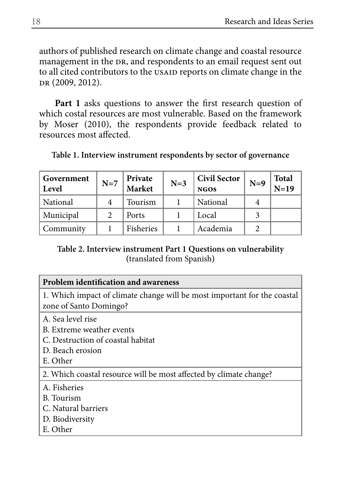authors of published research on climate change and coastal resource management in the DR, and respondents to an email request sent out to all cited contributors to the USAID reports on climate change in the DR (2009, 2012).

**Part 1** asks questions to answer the first research question of which costal resources are most vulnerable. Based on the framework by Moser (2010), the respondents provide feedback related to resources most affected.

| Government<br>Level | $N=7$         | Private<br>Market | $N=3$ | <b>Civil Sector</b><br><b>NGOS</b> | $N=9$ | <b>Total</b><br>$N=19$ |
|---------------------|---------------|-------------------|-------|------------------------------------|-------|------------------------|
| National            | 4             | Tourism           |       | National                           |       |                        |
| Municipal           | $\mathcal{L}$ | Ports             |       | Local                              |       |                        |
| Communitv           |               | Fisheries         |       | Academia                           |       |                        |

**Table 1. Interview instrument respondents by sector of governance**

# **Table 2. Interview instrument Part 1 Questions on vulnerability (**translated from Spanish**)**

| Problem identification and awareness                                                               |
|----------------------------------------------------------------------------------------------------|
| 1. Which impact of climate change will be most important for the coastal<br>zone of Santo Domingo? |
| A. Sea level rise                                                                                  |
| B. Extreme weather events                                                                          |
| C. Destruction of coastal habitat                                                                  |
| D. Beach erosion                                                                                   |
| E. Other                                                                                           |
| 2. Which coastal resource will be most affected by climate change?                                 |
| A. Fisheries                                                                                       |
| B. Tourism                                                                                         |
| C. Natural barriers                                                                                |
| D. Biodiversity                                                                                    |
| E. Other                                                                                           |
|                                                                                                    |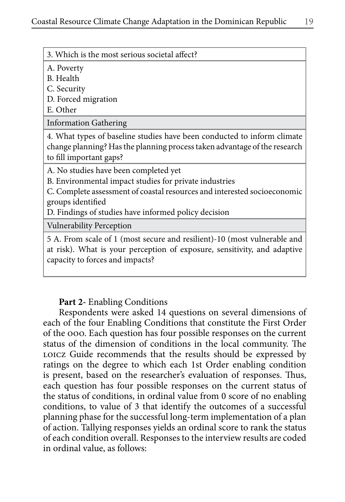3. Which is the most serious societal affect?

| A. Poverty<br>B. Health                                                                                                                                                                                                                                  |
|----------------------------------------------------------------------------------------------------------------------------------------------------------------------------------------------------------------------------------------------------------|
| C. Security                                                                                                                                                                                                                                              |
| D. Forced migration                                                                                                                                                                                                                                      |
| E. Other                                                                                                                                                                                                                                                 |
| <b>Information Gathering</b>                                                                                                                                                                                                                             |
| 4. What types of baseline studies have been conducted to inform climate<br>change planning? Has the planning process taken advantage of the research<br>to fill important gaps?                                                                          |
| A. No studies have been completed yet<br>B. Environmental impact studies for private industries<br>C. Complete assessment of coastal resources and interested socioeconomic<br>groups identified<br>D. Findings of studies have informed policy decision |
| Vulnerability Perception                                                                                                                                                                                                                                 |
| 5 A. From scale of 1 (most secure and resilient)-10 (most vulnerable and<br>at risk). What is your perception of exposure, sensitivity, and adaptive<br>capacity to forces and impacts?                                                                  |

## **Part 2-** Enabling Conditions

Respondents were asked 14 questions on several dimensions of each of the four Enabling Conditions that constitute the First Order of the ooo. Each question has four possible responses on the current status of the dimension of conditions in the local community. The LOICZ Guide recommends that the results should be expressed by ratings on the degree to which each 1st Order enabling condition is present, based on the researcher's evaluation of responses. Thus, each question has four possible responses on the current status of the status of conditions, in ordinal value from 0 score of no enabling conditions, to value of 3 that identify the outcomes of a successful planning phase for the successful long-term implementation of a plan of action. Tallying responses yields an ordinal score to rank the status of each condition overall. Responses to the interview results are coded in ordinal value, as follows: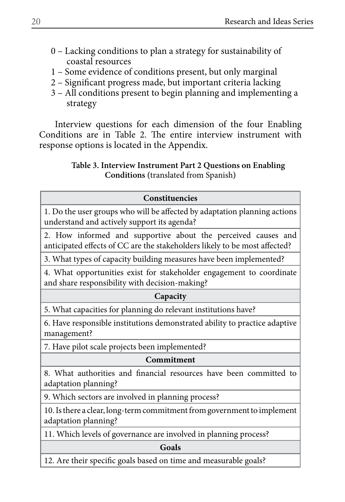- 0 Lacking conditions to plan a strategy for sustainability of coastal resources
- 1 Some evidence of conditions present, but only marginal
- 2 Significant progress made, but important criteria lacking
- 3 All conditions present to begin planning and implementing a strategy

Interview questions for each dimension of the four Enabling Conditions are in Table 2. The entire interview instrument with response options is located in the Appendix.

# **Table 3. Interview Instrument Part 2 Questions on Enabling Conditions (**translated from Spanish**)**

# **Constituencies**

1. Do the user groups who will be affected by adaptation planning actions understand and actively support its agenda?

2. How informed and supportive about the perceived causes and anticipated effects of CC are the stakeholders likely to be most affected?

3. What types of capacity building measures have been implemented?

4. What opportunities exist for stakeholder engagement to coordinate and share responsibility with decision-making?

## **Capacity**

5. What capacities for planning do relevant institutions have?

6. Have responsible institutions demonstrated ability to practice adaptive management?

7. Have pilot scale projects been implemented?

# **Commitment**

8. What authorities and financial resources have been committed to adaptation planning?

9. Which sectors are involved in planning process?

10. Is there a clear, long-term commitment from government to implement adaptation planning?

11. Which levels of governance are involved in planning process?

## **Goals**

12. Are their specific goals based on time and measurable goals?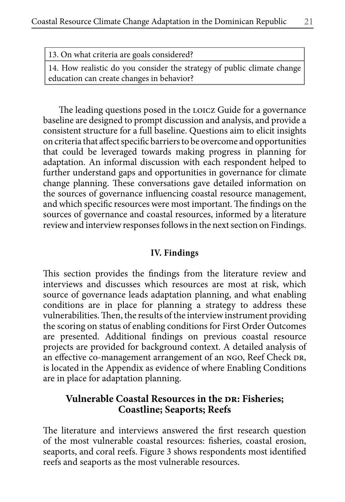| 13. On what criteria are goals considered? |                                                                         |  |
|--------------------------------------------|-------------------------------------------------------------------------|--|
|                                            | 14. How realistic do you consider the strategy of public climate change |  |

education can create changes in behavior?

The leading questions posed in the LOICZ Guide for a governance baseline are designed to prompt discussion and analysis, and provide a consistent structure for a full baseline. Questions aim to elicit insights on criteria that affect specific barriers to be overcome and opportunities that could be leveraged towards making progress in planning for adaptation. An informal discussion with each respondent helped to further understand gaps and opportunities in governance for climate change planning. These conversations gave detailed information on the sources of governance influencing coastal resource management, and which specific resources were most important. The findings on the sources of governance and coastal resources, informed by a literature review and interview responses follows in the next section on Findings.

## **IV. Findings**

This section provides the findings from the literature review and interviews and discusses which resources are most at risk, which source of governance leads adaptation planning, and what enabling conditions are in place for planning a strategy to address these vulnerabilities. Then, the results of the interview instrument providing the scoring on status of enabling conditions for First Order Outcomes are presented. Additional findings on previous coastal resource projects are provided for background context. A detailed analysis of an effective co-management arrangement of an NGO, Reef Check DR, is located in the Appendix as evidence of where Enabling Conditions are in place for adaptation planning.

## **Vulnerable Coastal Resources in the DR: Fisheries; Coastline; Seaports; Reefs**

The literature and interviews answered the first research question of the most vulnerable coastal resources: fisheries, coastal erosion, seaports, and coral reefs. Figure 3 shows respondents most identified reefs and seaports as the most vulnerable resources.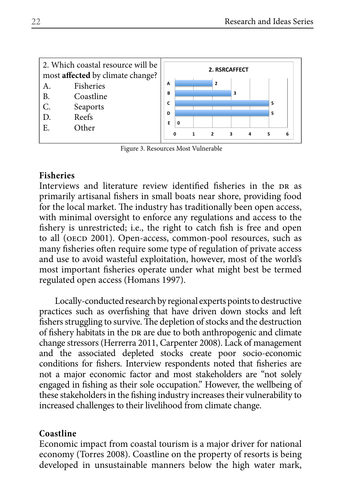

Figure 3. Resources Most Vulnerable

## **Fisheries**

Interviews and literature review identified fisheries in the DR as primarily artisanal fishers in small boats near shore, providing food for the local market. The industry has traditionally been open access, with minimal oversight to enforce any regulations and access to the fishery is unrestricted; i.e., the right to catch fish is free and open to all (OECD 2001). Open-access, common-pool resources, such as many fisheries often require some type of regulation of private access and use to avoid wasteful exploitation, however, most of the world's most important fisheries operate under what might best be termed regulated open access (Homans 1997).

Locally-conducted research by regional experts points to destructive practices such as overfishing that have driven down stocks and left fishers struggling to survive. The depletion of stocks and the destruction of fishery habitats in the DR are due to both anthropogenic and climate change stressors (Herrerra 2011, Carpenter 2008). Lack of management and the associated depleted stocks create poor socio-economic conditions for fishers. Interview respondents noted that fisheries are not a major economic factor and most stakeholders are "not solely engaged in fishing as their sole occupation." However, the wellbeing of these stakeholders in the fishing industry increases their vulnerability to increased challenges to their livelihood from climate change.

## **Coastline**

Economic impact from coastal tourism is a major driver for national economy (Torres 2008). Coastline on the property of resorts is being developed in unsustainable manners below the high water mark,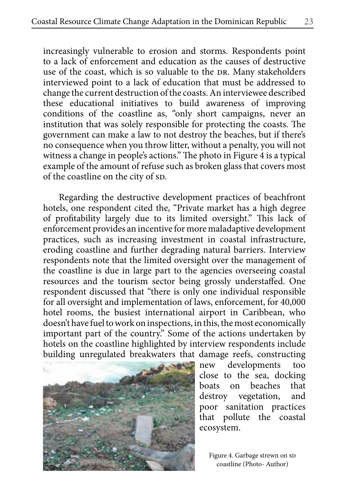increasingly vulnerable to erosion and storms. Respondents point to a lack of enforcement and education as the causes of destructive use of the coast, which is so valuable to the DR. Many stakeholders interviewed point to a lack of education that must be addressed to change the current destruction of the coasts. An interviewee described these educational initiatives to build awareness of improving conditions of the coastline as, "only short campaigns, never an institution that was solely responsible for protecting the coasts. The government can make a law to not destroy the beaches, but if there's no consequence when you throw litter, without a penalty, you will not witness a change in people's actions." The photo in Figure 4 is a typical example of the amount of refuse such as broken glass that covers most of the coastline on the city of sp.

Regarding the destructive development practices of beachfront hotels, one respondent cited the, "Private market has a high degree of profitability largely due to its limited oversight." This lack of enforcement provides an incentive for more maladaptive development practices, such as increasing investment in coastal infrastructure, eroding coastline and further degrading natural barriers. Interview respondents note that the limited oversight over the management of the coastline is due in large part to the agencies overseeing coastal resources and the tourism sector being grossly understaffed. One respondent discussed that "there is only one individual responsible for all oversight and implementation of laws, enforcement, for 40,000 hotel rooms, the busiest international airport in Caribbean, who doesn't have fuel to work on inspections, in this, the most economically important part of the country." Some of the actions undertaken by hotels on the coastline highlighted by interview respondents include building unregulated breakwaters that damage reefs, constructing



new developments too close to the sea, docking boats on beaches that destroy vegetation, and poor sanitation practices that pollute the coastal ecosystem.

Figure 4. Garbage strewn on sp coastline (Photo- Author)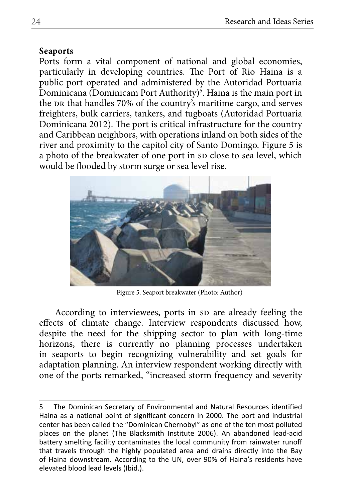## **Seaports**

Ports form a vital component of national and global economies, particularly in developing countries. The Port of Rio Haina is a public port operated and administered by the Autoridad Portuaria Dominicana (Dominicam Port Authority)<sup>5</sup>. Haina is the main port in the DR that handles 70% of the country's maritime cargo, and serves freighters, bulk carriers, tankers, and tugboats (Autoridad Portuaria Dominicana 2012). The port is critical infrastructure for the country and Caribbean neighbors, with operations inland on both sides of the river and proximity to the capitol city of Santo Domingo. Figure 5 is a photo of the breakwater of one port in sp close to sea level, which would be flooded by storm surge or sea level rise.



Figure 5. Seaport breakwater (Photo: Author)

According to interviewees, ports in sp are already feeling the effects of climate change. Interview respondents discussed how, despite the need for the shipping sector to plan with long-time horizons, there is currently no planning processes undertaken in seaports to begin recognizing vulnerability and set goals for adaptation planning. An interview respondent working directly with one of the ports remarked, "increased storm frequency and severity

<sup>5</sup> The Dominican Secretary of Environmental and Natural Resources identified Haina as a national point of significant concern in 2000. The port and industrial center has been called the "Dominican Chernobyl" as one of the ten most polluted places on the planet (The Blacksmith Institute 2006). An abandoned lead-acid battery smelting facility contaminates the local community from rainwater runoff that travels through the highly populated area and drains directly into the Bay of Haina downstream. According to the UN, over 90% of Haina's residents have elevated blood lead levels (Ibid.).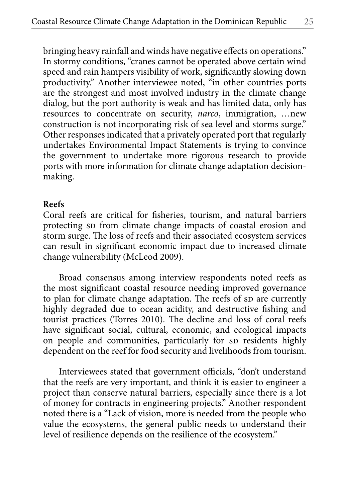bringing heavy rainfall and winds have negative effects on operations." In stormy conditions, "cranes cannot be operated above certain wind speed and rain hampers visibility of work, significantly slowing down productivity." Another interviewee noted, "in other countries ports are the strongest and most involved industry in the climate change dialog, but the port authority is weak and has limited data, only has resources to concentrate on security, *narco*, immigration, …new construction is not incorporating risk of sea level and storms surge." Other responses indicated that a privately operated port that regularly undertakes Environmental Impact Statements is trying to convince the government to undertake more rigorous research to provide ports with more information for climate change adaptation decisionmaking.

#### **Reefs**

Coral reefs are critical for fisheries, tourism, and natural barriers protecting sp from climate change impacts of coastal erosion and storm surge. The loss of reefs and their associated ecosystem services can result in significant economic impact due to increased climate change vulnerability (McLeod 2009).

Broad consensus among interview respondents noted reefs as the most significant coastal resource needing improved governance to plan for climate change adaptation. The reefs of sp are currently highly degraded due to ocean acidity, and destructive fishing and tourist practices (Torres 2010). The decline and loss of coral reefs have significant social, cultural, economic, and ecological impacts on people and communities, particularly for sp residents highly dependent on the reef for food security and livelihoods from tourism.

Interviewees stated that government officials, "don't understand that the reefs are very important, and think it is easier to engineer a project than conserve natural barriers, especially since there is a lot of money for contracts in engineering projects." Another respondent noted there is a "Lack of vision, more is needed from the people who value the ecosystems, the general public needs to understand their level of resilience depends on the resilience of the ecosystem."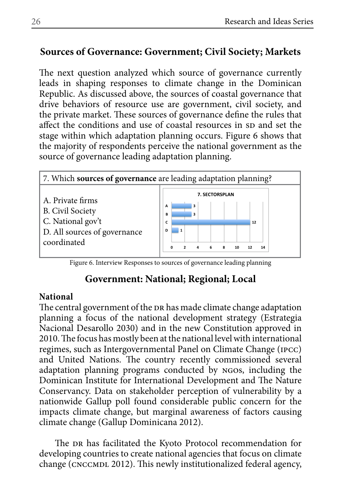# **Sources of Governance: Government; Civil Society; Markets**

The next question analyzed which source of governance currently leads in shaping responses to climate change in the Dominican Republic. As discussed above, the sources of coastal governance that drive behaviors of resource use are government, civil society, and the private market. These sources of governance define the rules that affect the conditions and use of coastal resources in sp and set the stage within which adaptation planning occurs. Figure 6 shows that the majority of respondents perceive the national government as the source of governance leading adaptation planning.



Figure 6. Interview Responses to sources of governance leading planning

# **Government: National; Regional; Local**

## **National**

The central government of the DR has made climate change adaptation planning a focus of the national development strategy (Estrategia Nacional Desarollo 2030) and in the new Constitution approved in 2010. The focus has mostly been at the national level with international regimes, such as Intergovernmental Panel on Climate Change (ipcc) and United Nations. The country recently commissioned several adaptation planning programs conducted by ngos, including the Dominican Institute for International Development and The Nature Conservancy. Data on stakeholder perception of vulnerability by a nationwide Gallup poll found considerable public concern for the impacts climate change, but marginal awareness of factors causing climate change (Gallup Dominicana 2012).

The DR has facilitated the Kyoto Protocol recommendation for developing countries to create national agencies that focus on climate change (CNCCMDL 2012). This newly institutionalized federal agency,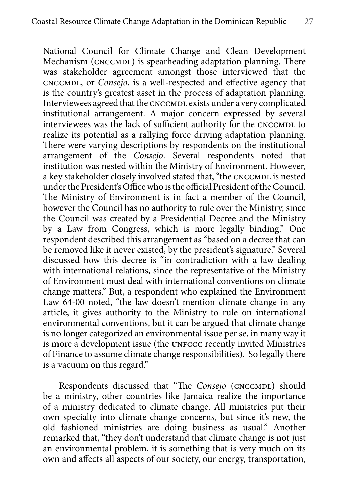National Council for Climate Change and Clean Development Mechanism (CNCCMDL) is spearheading adaptation planning. There was stakeholder agreement amongst those interviewed that the cnccmdl, or *Consejo*, is a well-respected and effective agency that is the country's greatest asset in the process of adaptation planning. Interviewees agreed that the CNCCMDL exists under a very complicated institutional arrangement. A major concern expressed by several interviewees was the lack of sufficient authority for the CNCCMDL to realize its potential as a rallying force driving adaptation planning. There were varying descriptions by respondents on the institutional arrangement of the *Consejo*. Several respondents noted that institution was nested within the Ministry of Environment. However, a key stakeholder closely involved stated that, "the CNCCMDL is nested under the President's Office who is the official President of the Council. The Ministry of Environment is in fact a member of the Council, however the Council has no authority to rule over the Ministry, since the Council was created by a Presidential Decree and the Ministry by a Law from Congress, which is more legally binding." One respondent described this arrangement as "based on a decree that can be removed like it never existed, by the president's signature." Several discussed how this decree is "in contradiction with a law dealing with international relations, since the representative of the Ministry of Environment must deal with international conventions on climate change matters." But, a respondent who explained the Environment Law 64-00 noted, "the law doesn't mention climate change in any article, it gives authority to the Ministry to rule on international environmental conventions, but it can be argued that climate change is no longer categorized an environmental issue per se, in many way it is more a development issue (the UNFCCC recently invited Ministries of Finance to assume climate change responsibilities). So legally there is a vacuum on this regard."

Respondents discussed that "The Consejo (CNCCMDL) should be a ministry, other countries like Jamaica realize the importance of a ministry dedicated to climate change. All ministries put their own specialty into climate change concerns, but since it's new, the old fashioned ministries are doing business as usual." Another remarked that, "they don't understand that climate change is not just an environmental problem, it is something that is very much on its own and affects all aspects of our society, our energy, transportation,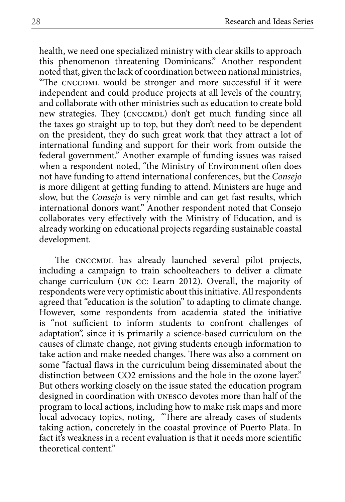health, we need one specialized ministry with clear skills to approach this phenomenon threatening Dominicans." Another respondent noted that, given the lack of coordination between national ministries, "The CNCCDML would be stronger and more successful if it were independent and could produce projects at all levels of the country, and collaborate with other ministries such as education to create bold new strategies. They (CNCCMDL) don't get much funding since all the taxes go straight up to top, but they don't need to be dependent on the president, they do such great work that they attract a lot of international funding and support for their work from outside the federal government." Another example of funding issues was raised when a respondent noted, "the Ministry of Environment often does not have funding to attend international conferences, but the *Consejo*  is more diligent at getting funding to attend. Ministers are huge and slow, but the *Consejo* is very nimble and can get fast results, which international donors want." Another respondent noted that Consejo collaborates very effectively with the Ministry of Education, and is already working on educational projects regarding sustainable coastal development.

The CNCCMDL has already launched several pilot projects, including a campaign to train schoolteachers to deliver a climate change curriculum (un cc: Learn 2012). Overall, the majority of respondents were very optimistic about this initiative. All respondents agreed that "education is the solution" to adapting to climate change. However, some respondents from academia stated the initiative is "not sufficient to inform students to confront challenges of adaptation", since it is primarily a science-based curriculum on the causes of climate change, not giving students enough information to take action and make needed changes. There was also a comment on some "factual flaws in the curriculum being disseminated about the distinction between CO2 emissions and the hole in the ozone layer." But others working closely on the issue stated the education program designed in coordination with unesco devotes more than half of the program to local actions, including how to make risk maps and more local advocacy topics, noting, "There are already cases of students taking action, concretely in the coastal province of Puerto Plata. In fact it's weakness in a recent evaluation is that it needs more scientific theoretical content."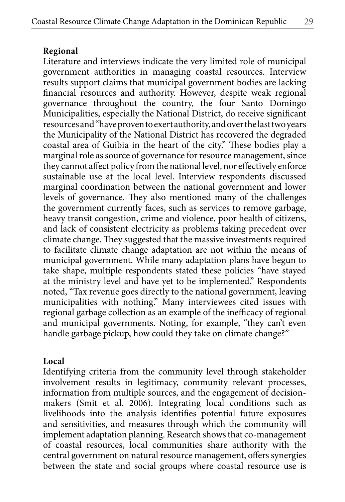Literature and interviews indicate the very limited role of municipal government authorities in managing coastal resources. Interview results support claims that municipal government bodies are lacking financial resources and authority. However, despite weak regional governance throughout the country, the four Santo Domingo Municipalities, especially the National District, do receive significant resources and "have proven to exert authority, and over the last two years the Municipality of the National District has recovered the degraded coastal area of Guibia in the heart of the city." These bodies play a marginal role as source of governance for resource management, since they cannot affect policy from the national level, nor effectively enforce sustainable use at the local level. Interview respondents discussed marginal coordination between the national government and lower levels of governance. They also mentioned many of the challenges the government currently faces, such as services to remove garbage, heavy transit congestion, crime and violence, poor health of citizens, and lack of consistent electricity as problems taking precedent over climate change. They suggested that the massive investments required to facilitate climate change adaptation are not within the means of municipal government. While many adaptation plans have begun to take shape, multiple respondents stated these policies "have stayed at the ministry level and have yet to be implemented." Respondents noted, "Tax revenue goes directly to the national government, leaving municipalities with nothing." Many interviewees cited issues with regional garbage collection as an example of the inefficacy of regional and municipal governments. Noting, for example, "they can't even handle garbage pickup, how could they take on climate change?"

#### **Local**

Identifying criteria from the community level through stakeholder involvement results in legitimacy, community relevant processes, information from multiple sources, and the engagement of decisionmakers (Smit et al. 2006). Integrating local conditions such as livelihoods into the analysis identifies potential future exposures and sensitivities, and measures through which the community will implement adaptation planning. Research shows that co-management of coastal resources, local communities share authority with the central government on natural resource management, offers synergies between the state and social groups where coastal resource use is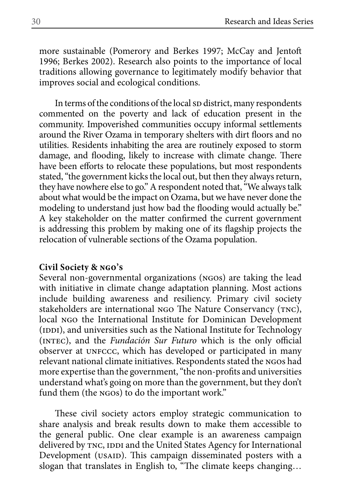more sustainable (Pomerory and Berkes 1997; McCay and Jentoft 1996; Berkes 2002). Research also points to the importance of local traditions allowing governance to legitimately modify behavior that improves social and ecological conditions.

In terms of the conditions of the local sp district, many respondents commented on the poverty and lack of education present in the community. Impoverished communities occupy informal settlements around the River Ozama in temporary shelters with dirt floors and no utilities. Residents inhabiting the area are routinely exposed to storm damage, and flooding, likely to increase with climate change. There have been efforts to relocate these populations, but most respondents stated, "the government kicks the local out, but then they always return, they have nowhere else to go." A respondent noted that, "We always talk about what would be the impact on Ozama, but we have never done the modeling to understand just how bad the flooding would actually be." A key stakeholder on the matter confirmed the current government is addressing this problem by making one of its flagship projects the relocation of vulnerable sections of the Ozama population.

#### **Civil Society & ngo's**

Several non-governmental organizations (ngos) are taking the lead with initiative in climate change adaptation planning. Most actions include building awareness and resiliency. Primary civil society stakeholders are international NGO The Nature Conservancy (TNC), local NGO the International Institute for Dominican Development (IDDI), and universities such as the National Institute for Technology (intec), and the *Fundación Sur Futuro* which is the only official observer at UNFCCC, which has developed or participated in many relevant national climate initiatives. Respondents stated the ngos had more expertise than the government, "the non-profits and universities understand what's going on more than the government, but they don't fund them (the NGOs) to do the important work."

These civil society actors employ strategic communication to share analysis and break results down to make them accessible to the general public. One clear example is an awareness campaign delivered by TNC, IDDI and the United States Agency for International Development (USAID). This campaign disseminated posters with a slogan that translates in English to, "The climate keeps changing…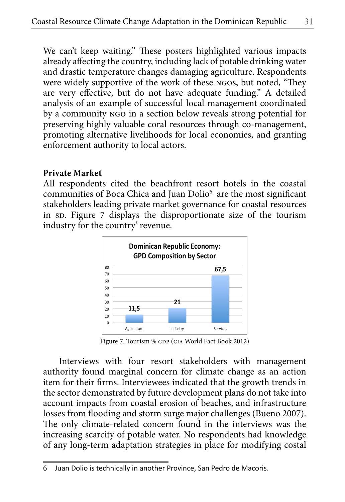We can't keep waiting." These posters highlighted various impacts already affecting the country, including lack of potable drinking water and drastic temperature changes damaging agriculture. Respondents were widely supportive of the work of these ngos, but noted, "They are very effective, but do not have adequate funding." A detailed analysis of an example of successful local management coordinated by a community ngo in a section below reveals strong potential for preserving highly valuable coral resources through co-management, promoting alternative livelihoods for local economies, and granting enforcement authority to local actors.

### **Private Market**

All respondents cited the beachfront resort hotels in the coastal communities of Boca Chica and Juan Dolio<sup>6</sup> are the most significant stakeholders leading private market governance for coastal resources in sp. Figure 7 displays the disproportionate size of the tourism industry for the country' revenue.



Figure 7. Tourism % GDP (CIA World Fact Book 2012)

Interviews with four resort stakeholders with management authority found marginal concern for climate change as an action item for their firms. Interviewees indicated that the growth trends in the sector demonstrated by future development plans do not take into account impacts from coastal erosion of beaches, and infrastructure losses from flooding and storm surge major challenges (Bueno 2007). The only climate-related concern found in the interviews was the increasing scarcity of potable water. No respondents had knowledge of any long-term adaptation strategies in place for modifying costal

<sup>6</sup> Juan Dolio is technically in another Province, San Pedro de Macoris.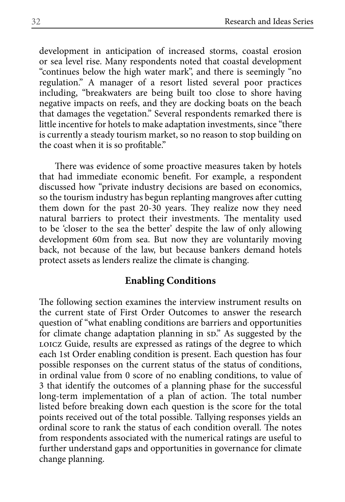development in anticipation of increased storms, coastal erosion or sea level rise. Many respondents noted that coastal development "continues below the high water mark", and there is seemingly "no regulation." A manager of a resort listed several poor practices including, "breakwaters are being built too close to shore having negative impacts on reefs, and they are docking boats on the beach that damages the vegetation." Several respondents remarked there is little incentive for hotels to make adaptation investments, since "there is currently a steady tourism market, so no reason to stop building on the coast when it is so profitable."

There was evidence of some proactive measures taken by hotels that had immediate economic benefit. For example, a respondent discussed how "private industry decisions are based on economics, so the tourism industry has begun replanting mangroves after cutting them down for the past 20-30 years. They realize now they need natural barriers to protect their investments. The mentality used to be 'closer to the sea the better' despite the law of only allowing development 60m from sea. But now they are voluntarily moving back, not because of the law, but because bankers demand hotels protect assets as lenders realize the climate is changing.

#### **Enabling Conditions**

The following section examines the interview instrument results on the current state of First Order Outcomes to answer the research question of "what enabling conditions are barriers and opportunities for climate change adaptation planning in sp." As suggested by the LOICZ Guide, results are expressed as ratings of the degree to which each 1st Order enabling condition is present. Each question has four possible responses on the current status of the status of conditions, in ordinal value from 0 score of no enabling conditions, to value of 3 that identify the outcomes of a planning phase for the successful long-term implementation of a plan of action. The total number listed before breaking down each question is the score for the total points received out of the total possible. Tallying responses yields an ordinal score to rank the status of each condition overall. The notes from respondents associated with the numerical ratings are useful to further understand gaps and opportunities in governance for climate change planning.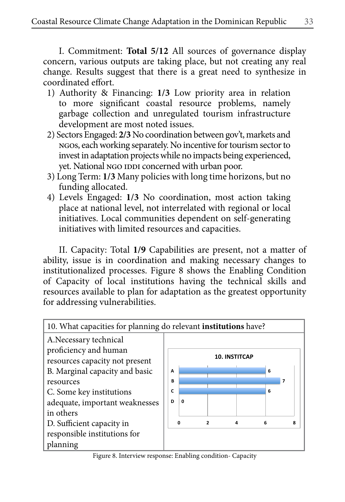I. Commitment: **Total 5/12** All sources of governance display concern, various outputs are taking place, but not creating any real change. Results suggest that there is a great need to synthesize in coordinated effort.

- 1) Authority & Financing: **1/3** Low priority area in relation to more significant coastal resource problems, namely garbage collection and unregulated tourism infrastructure development are most noted issues.
- 2) Sectors Engaged: **2/3** No coordination between gov't, markets and ngos, each working separately. No incentive for tourism sector to invest in adaptation projects while no impacts being experienced, yet. National NGO IDDI concerned with urban poor.
- 3) Long Term: **1/3** Many policies with long time horizons, but no funding allocated.
- 4) Levels Engaged: **1/3** No coordination, most action taking place at national level, not interrelated with regional or local initiatives. Local communities dependent on self-generating initiatives with limited resources and capacities.

II. Capacity: Total **1/9** Capabilities are present, not a matter of ability, issue is in coordination and making necessary changes to institutionalized processes. Figure 8 shows the Enabling Condition of Capacity of local institutions having the technical skills and resources available to plan for adaptation as the greatest opportunity for addressing vulnerabilities.



Figure 8. Interview response: Enabling condition- Capacity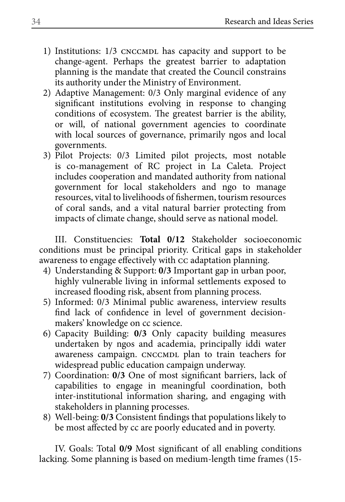- 1) Institutions: 1/3 CNCCMDL has capacity and support to be change-agent. Perhaps the greatest barrier to adaptation planning is the mandate that created the Council constrains its authority under the Ministry of Environment.
- 2) Adaptive Management: 0/3 Only marginal evidence of any significant institutions evolving in response to changing conditions of ecosystem. The greatest barrier is the ability, or will, of national government agencies to coordinate with local sources of governance, primarily ngos and local governments.
- 3) Pilot Projects: 0/3 Limited pilot projects, most notable is co-management of RC project in La Caleta. Project includes cooperation and mandated authority from national government for local stakeholders and ngo to manage resources, vital to livelihoods of fishermen, tourism resources of coral sands, and a vital natural barrier protecting from impacts of climate change, should serve as national model.

III. Constituencies: **Total 0/12** Stakeholder socioeconomic conditions must be principal priority. Critical gaps in stakeholder awareness to engage effectively with cc adaptation planning.

- 4) Understanding & Support: **0/3** Important gap in urban poor, highly vulnerable living in informal settlements exposed to increased flooding risk, absent from planning process.
- 5) Informed: 0/3 Minimal public awareness, interview results find lack of confidence in level of government decisionmakers' knowledge on cc science.
- 6) Capacity Building: **0/3** Only capacity building measures undertaken by ngos and academia, principally iddi water awareness campaign. CNCCMDL plan to train teachers for widespread public education campaign underway.
- 7) Coordination: **0/3** One of most significant barriers, lack of capabilities to engage in meaningful coordination, both inter-institutional information sharing, and engaging with stakeholders in planning processes.
- 8) Well-being: **0/3** Consistent findings that populations likely to be most affected by cc are poorly educated and in poverty.

IV. Goals: Total **0/9** Most significant of all enabling conditions lacking. Some planning is based on medium-length time frames (15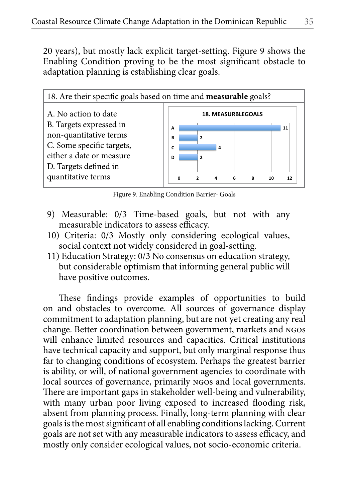20 years), but mostly lack explicit target-setting. Figure 9 shows the Enabling Condition proving to be the most significant obstacle to adaptation planning is establishing clear goals.



Figure 9. Enabling Condition Barrier- Goals

- 9) Measurable: 0/3 Time-based goals, but not with any measurable indicators to assess efficacy.
- 10) Criteria: 0/3 Mostly only considering ecological values, social context not widely considered in goal-setting.
- 11) Education Strategy: 0/3 No consensus on education strategy, but considerable optimism that informing general public will have positive outcomes.

These findings provide examples of opportunities to build on and obstacles to overcome. All sources of governance display commitment to adaptation planning, but are not yet creating any real change. Better coordination between government, markets and ngos will enhance limited resources and capacities. Critical institutions have technical capacity and support, but only marginal response thus far to changing conditions of ecosystem. Perhaps the greatest barrier is ability, or will, of national government agencies to coordinate with local sources of governance, primarily ngos and local governments. There are important gaps in stakeholder well-being and vulnerability, with many urban poor living exposed to increased flooding risk, absent from planning process. Finally, long-term planning with clear goals is the most significant of all enabling conditions lacking. Current goals are not set with any measurable indicators to assess efficacy, and mostly only consider ecological values, not socio-economic criteria.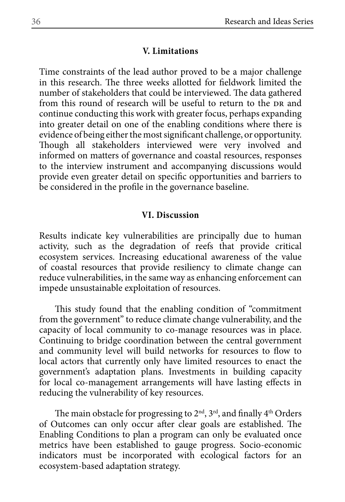#### **V. Limitations**

Time constraints of the lead author proved to be a major challenge in this research. The three weeks allotted for fieldwork limited the number of stakeholders that could be interviewed. The data gathered from this round of research will be useful to return to the DR and continue conducting this work with greater focus, perhaps expanding into greater detail on one of the enabling conditions where there is evidence of being either the most significant challenge, or opportunity. Though all stakeholders interviewed were very involved and informed on matters of governance and coastal resources, responses to the interview instrument and accompanying discussions would provide even greater detail on specific opportunities and barriers to be considered in the profile in the governance baseline.

#### **VI. Discussion**

Results indicate key vulnerabilities are principally due to human activity, such as the degradation of reefs that provide critical ecosystem services. Increasing educational awareness of the value of coastal resources that provide resiliency to climate change can reduce vulnerabilities, in the same way as enhancing enforcement can impede unsustainable exploitation of resources.

This study found that the enabling condition of "commitment from the government" to reduce climate change vulnerability, and the capacity of local community to co-manage resources was in place. Continuing to bridge coordination between the central government and community level will build networks for resources to flow to local actors that currently only have limited resources to enact the government's adaptation plans. Investments in building capacity for local co-management arrangements will have lasting effects in reducing the vulnerability of key resources.

The main obstacle for progressing to 2<sup>nd</sup>, 3<sup>rd</sup>, and finally 4<sup>th</sup> Orders of Outcomes can only occur after clear goals are established. The Enabling Conditions to plan a program can only be evaluated once metrics have been established to gauge progress. Socio-economic indicators must be incorporated with ecological factors for an ecosystem-based adaptation strategy.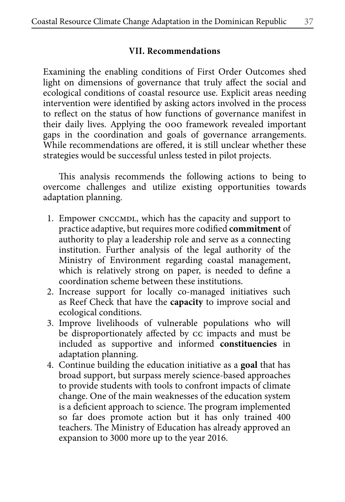#### **VII. Recommendations**

Examining the enabling conditions of First Order Outcomes shed light on dimensions of governance that truly affect the social and ecological conditions of coastal resource use. Explicit areas needing intervention were identified by asking actors involved in the process to reflect on the status of how functions of governance manifest in their daily lives. Applying the ooo framework revealed important gaps in the coordination and goals of governance arrangements. While recommendations are offered, it is still unclear whether these strategies would be successful unless tested in pilot projects.

This analysis recommends the following actions to being to overcome challenges and utilize existing opportunities towards adaptation planning.

- 1. Empower CNCCMDL, which has the capacity and support to practice adaptive, but requires more codified **commitment** of authority to play a leadership role and serve as a connecting institution. Further analysis of the legal authority of the Ministry of Environment regarding coastal management, which is relatively strong on paper, is needed to define a coordination scheme between these institutions.
- 2. Increase support for locally co-managed initiatives such as Reef Check that have the **capacity** to improve social and ecological conditions.
- 3. Improve livelihoods of vulnerable populations who will be disproportionately affected by cc impacts and must be included as supportive and informed **constituencies** in adaptation planning.
- 4. Continue building the education initiative as a **goal** that has broad support, but surpass merely science-based approaches to provide students with tools to confront impacts of climate change. One of the main weaknesses of the education system is a deficient approach to science. The program implemented so far does promote action but it has only trained 400 teachers. The Ministry of Education has already approved an expansion to 3000 more up to the year 2016.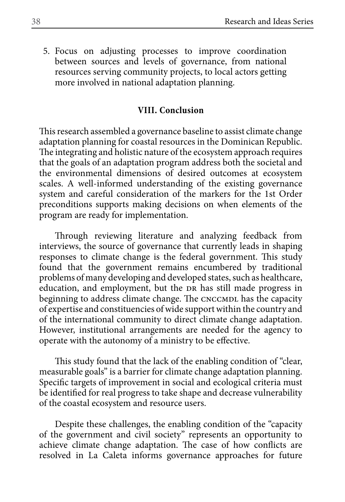5. Focus on adjusting processes to improve coordination between sources and levels of governance, from national resources serving community projects, to local actors getting more involved in national adaptation planning.

#### **VIII. Conclusion**

This research assembled a governance baseline to assist climate change adaptation planning for coastal resources in the Dominican Republic. The integrating and holistic nature of the ecosystem approach requires that the goals of an adaptation program address both the societal and the environmental dimensions of desired outcomes at ecosystem scales. A well-informed understanding of the existing governance system and careful consideration of the markers for the 1st Order preconditions supports making decisions on when elements of the program are ready for implementation.

Through reviewing literature and analyzing feedback from interviews, the source of governance that currently leads in shaping responses to climate change is the federal government. This study found that the government remains encumbered by traditional problems of many developing and developed states, such as healthcare, education, and employment, but the DR has still made progress in beginning to address climate change. The CNCCMDL has the capacity of expertise and constituencies of wide support within the country and of the international community to direct climate change adaptation. However, institutional arrangements are needed for the agency to operate with the autonomy of a ministry to be effective.

This study found that the lack of the enabling condition of "clear, measurable goals" is a barrier for climate change adaptation planning. Specific targets of improvement in social and ecological criteria must be identified for real progress to take shape and decrease vulnerability of the coastal ecosystem and resource users.

Despite these challenges, the enabling condition of the "capacity of the government and civil society" represents an opportunity to achieve climate change adaptation. The case of how conflicts are resolved in La Caleta informs governance approaches for future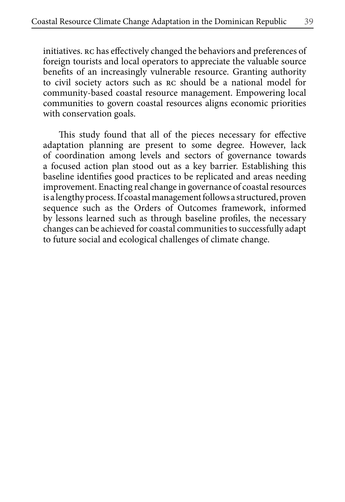initiatives. rc has effectively changed the behaviors and preferences of foreign tourists and local operators to appreciate the valuable source benefits of an increasingly vulnerable resource. Granting authority to civil society actors such as rc should be a national model for community-based coastal resource management. Empowering local communities to govern coastal resources aligns economic priorities with conservation goals.

This study found that all of the pieces necessary for effective adaptation planning are present to some degree. However, lack of coordination among levels and sectors of governance towards a focused action plan stood out as a key barrier. Establishing this baseline identifies good practices to be replicated and areas needing improvement. Enacting real change in governance of coastal resources is a lengthy process. If coastal management follows a structured, proven sequence such as the Orders of Outcomes framework, informed by lessons learned such as through baseline profiles, the necessary changes can be achieved for coastal communities to successfully adapt to future social and ecological challenges of climate change.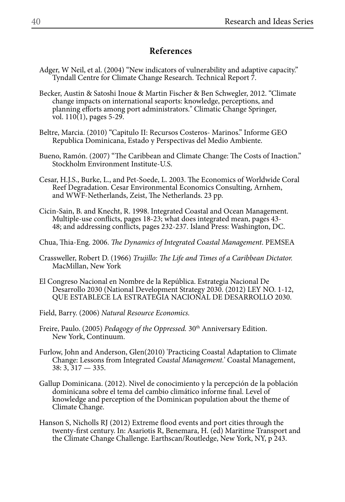#### **References**

- Adger, W Neil, et al. (2004) "New indicators of vulnerability and adaptive capacity." Tyndall Centre for Climate Change Research. Technical Report 7.
- Becker, Austin & Satoshi Inoue & Martin Fischer & Ben Schwegler, 2012. "Climate change impacts on international seaports: knowledge, perceptions, and planning efforts among port administrators." Climatic Change Springer, vol. 110(1), pages 5-29.
- Beltre, Marcia. (2010) "Capitulo II: Recursos Costeros- Marinos." Informe GEO Republica Dominicana, Estado y Perspectivas del Medio Ambiente.
- Bueno, Ramón. (2007) "The Caribbean and Climate Change: The Costs of Inaction." Stockholm Environment Institute-U.S.
- Cesar, H.J.S., Burke, L., and Pet-Soede, L. 2003. The Economics of Worldwide Coral Reef Degradation. Cesar Environmental Economics Consulting, Arnhem, and WWF-Netherlands, Zeist, The Netherlands. 23 pp.
- Cicin-Sain, B. and Knecht, R. 1998. Integrated Coastal and Ocean Management. Multiple-use conflicts, pages 18-23; what does integrated mean, pages 43- 48; and addressing conflicts, pages 232-237. Island Press: Washington, DC.
- Chua, Thia-Eng. 2006. *The Dynamics of Integrated Coastal Management*. PEMSEA
- Crassweller, Robert D. (1966) *Trujillo: The Life and Times of a Caribbean Dictator.*  MacMillan, New York
- El Congreso Nacional en Nombre de la República. Estrategia Nacional De Desarrollo 2030 (National Development Strategy 2030. (2012) LEY NO. 1-12, QUE ESTABLECE LA ESTRATEGIA NACIONAL DE DESARROLLO 2030.
- Field, Barry. (2006) *Natural Resource Economics.*
- Freire, Paulo. (2005) *Pedagogy of the Oppressed*. 30<sup>th</sup> Anniversary Edition. New York, Continuum.
- Furlow, John and Anderson, Glen(2010) 'Practicing Coastal Adaptation to Climate Change: Lessons from Integrated *Coastal Management.*' Coastal Management, 38: 3, 317 — 335.
- Gallup Dominicana. (2012). Nivel de conocimiento y la percepción de la población dominicana sobre el tema del cambio climático informe final. Level of knowledge and perception of the Dominican population about the theme of Climate Change.
- Hanson S, Nicholls RJ (2012) Extreme flood events and port cities through the twenty-first century. In: Asariotis R, Benemara, H. (ed) Maritime Transport and the Climate Change Challenge. Earthscan/Routledge, New York, NY, p 243.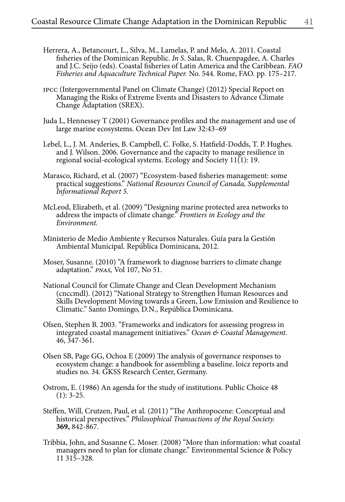- Herrera, A., Betancourt, L., Silva, M., Lamelas, P. and Melo, A. 2011. Coastal fisheries of the Dominican Republic. *In S*. Salas, R. Chuenpagdee, A. Charles and J.C. Seijo (eds). Coastal fisheries of Latin America and the Caribbean. *FAO Fisheries and Aquaculture Technical Paper.* No. 544. Rome, FAO. pp. 175–217.
- ipcc (Intergovernmental Panel on Climate Change) (2012) Special Report on Managing the Risks of Extreme Events and Disasters to Advance Climate Change Adaptation (SREX).
- Juda L, Hennessey T (2001) Governance profiles and the management and use of large marine ecosystems. Ocean Dev Int Law 32:43–69
- Lebel, L., J. M. Anderies, B. Campbell, C. Folke, S. Hatfield-Dodds, T. P. Hughes. and J. Wilson. 2006. Governance and the capacity to manage resilience in regional social-ecological systems. Ecology and Society 11(1): 19.
- Marasco, Richard, et al. (2007) "Ecosystem-based fisheries management: some practical suggestions." *National Resources Council of Canada, Supplemental Informational Report 5.*
- McLeod, Elizabeth, et al. (2009) "Designing marine protected area networks to address the impacts of climate change." *Frontiers in Ecology and the Environment.*
- Ministerio de Medio Ambiente y Recursos Naturales. Guía para la Gestión Ambiental Municipal. República Dominicana, 2012.
- Moser, Susanne. (2010) "A framework to diagnose barriers to climate change adaptation." *pnas,* Vol 107, No 51.
- National Council for Climate Change and Clean Development Mechanism (cnccmdl). (2012) "National Strategy to Strengthen Human Resources and Skills Development Moving towards a Green, Low Emission and Resilience to Climatic." Santo Domingo, D.N., República Dominicana.
- Olsen, Stephen B. 2003. "Frameworks and indicators for assessing progress in integrated coastal management initiatives." *Ocean & Coastal Management.*  46, 347-361.
- Olsen SB, Page GG, Ochoa E (2009) The analysis of governance responses to ecosystem change: a handbook for assembling a baseline. loicz reports and studies no. 34. GKSS Research Center, Germany.
- Ostrom, E. (1986) An agenda for the study of institutions. Public Choice 48  $(1): 3-25.$
- Steffen, Will, Crutzen, Paul, et al. (2011) "The Anthropocene: Conceptual and historical perspectives." *Philosophical Transactions of the Royal Society.*  **369,** 842-867.
- Tribbia, John, and Susanne C. Moser. (2008) "More than information: what coastal managers need to plan for climate change." Environmental Science & Policy 11 315–328.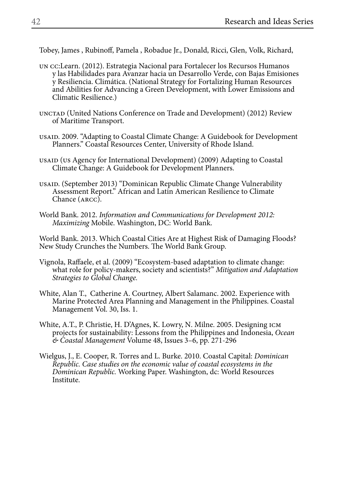Tobey, James , Rubinoff, Pamela , Robadue Jr., Donald, Ricci, Glen, Volk, Richard,

- un cc:Learn. (2012). Estrategia Nacional para Fortalecer los Recursos Humanos y las Habilidades para Avanzar hacia un Desarrollo Verde, con Bajas Emisiones y Resiliencia. Climática. (National Strategy for Fortalizing Human Resources and Abilities for Advancing a Green Development, with Lower Emissions and Climatic Resilience.)
- UNCTAD (United Nations Conference on Trade and Development) (2012) Review of Maritime Transport.
- usaid. 2009. "Adapting to Coastal Climate Change: A Guidebook for Development Planners." Coastal Resources Center, University of Rhode Island.
- usaid (us Agency for International Development) (2009) Adapting to Coastal Climate Change: A Guidebook for Development Planners.
- usaid. (September 2013) "Dominican Republic Climate Change Vulnerability Assessment Report." African and Latin American Resilience to Climate Chance (arcc).
- World Bank. 2012. *Information and Communications for Development 2012: Maximizing* Mobile. Washington, DC: World Bank.

World Bank. 2013. Which Coastal Cities Are at Highest Risk of Damaging Floods? New Study Crunches the Numbers. The World Bank Group.

- Vignola, Raffaele, et al. (2009) "Ecosystem-based adaptation to climate change: what role for policy-makers, society and scientists?" *Mitigation and Adaptation Strategies to Global Change.*
- White, Alan T., Catherine A. Courtney, Albert Salamanc. 2002. Experience with Marine Protected Area Planning and Management in the Philippines. Coastal Management Vol. 30, Iss. 1.
- White, A.T., P. Christie, H. D'Agnes, K. Lowry, N. Milne. 2005. Designing icm projects for sustainability: Lessons from the Philippines and Indonesia, *Ocean & Coastal Management* Volume 48, Issues 3–6, pp. 271-296
- Wielgus, J., E. Cooper, R. Torres and L. Burke. 2010. Coastal Capital: *Dominican Republic. Case studies on the economic value of coastal ecosystems in the Dominican Republic.* Working Paper. Washington, dc: World Resources Institute.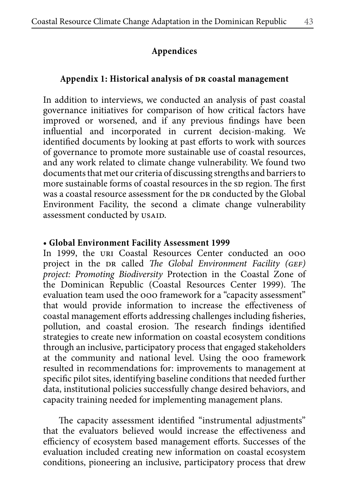## **Appendices**

## Appendix 1: Historical analysis of DR coastal management

In addition to interviews, we conducted an analysis of past coastal governance initiatives for comparison of how critical factors have improved or worsened, and if any previous findings have been influential and incorporated in current decision-making. We identified documents by looking at past efforts to work with sources of governance to promote more sustainable use of coastal resources, and any work related to climate change vulnerability. We found two documents that met our criteria of discussing strengths and barriers to more sustainable forms of coastal resources in the sp region. The first was a coastal resource assessment for the DR conducted by the Global Environment Facility, the second a climate change vulnerability assessment conducted by usaid.

### **• Global Environment Facility Assessment 1999**

In 1999, the uri Coastal Resources Center conducted an ooo project in the DR called *The Global Environment Facility (GEF) project: Promoting Biodiversity* Protection in the Coastal Zone of the Dominican Republic (Coastal Resources Center 1999). The evaluation team used the ooo framework for a "capacity assessment" that would provide information to increase the effectiveness of coastal management efforts addressing challenges including fisheries, pollution, and coastal erosion. The research findings identified strategies to create new information on coastal ecosystem conditions through an inclusive, participatory process that engaged stakeholders at the community and national level. Using the ooo framework resulted in recommendations for: improvements to management at specific pilot sites, identifying baseline conditions that needed further data, institutional policies successfully change desired behaviors, and capacity training needed for implementing management plans.

The capacity assessment identified "instrumental adjustments" that the evaluators believed would increase the effectiveness and efficiency of ecosystem based management efforts. Successes of the evaluation included creating new information on coastal ecosystem conditions, pioneering an inclusive, participatory process that drew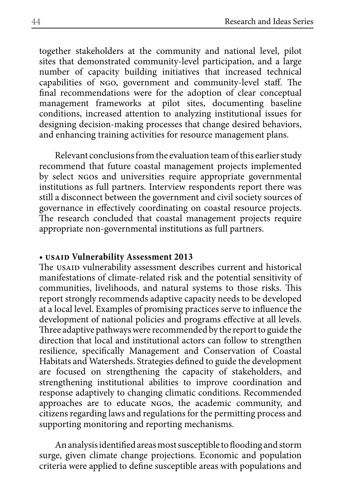together stakeholders at the community and national level, pilot sites that demonstrated community-level participation, and a large number of capacity building initiatives that increased technical capabilities of ngo, government and community-level staff. The final recommendations were for the adoption of clear conceptual management frameworks at pilot sites, documenting baseline conditions, increased attention to analyzing institutional issues for designing decision-making processes that change desired behaviors, and enhancing training activities for resource management plans.

Relevant conclusions from the evaluation team of this earlier study recommend that future coastal management projects implemented by select NGOs and universities require appropriate governmental institutions as full partners. Interview respondents report there was still a disconnect between the government and civil society sources of governance in effectively coordinating on coastal resource projects. The research concluded that coastal management projects require appropriate non-governmental institutions as full partners.

#### **• usaid Vulnerability Assessment 2013**

The usaid vulnerability assessment describes current and historical manifestations of climate-related risk and the potential sensitivity of communities, livelihoods, and natural systems to those risks. This report strongly recommends adaptive capacity needs to be developed at a local level. Examples of promising practices serve to influence the development of national policies and programs effective at all levels. Three adaptive pathways were recommended by the report to guide the direction that local and institutional actors can follow to strengthen resilience, specifically Management and Conservation of Coastal Habitats and Watersheds. Strategies defined to guide the development are focused on strengthening the capacity of stakeholders, and strengthening institutional abilities to improve coordination and response adaptively to changing climatic conditions. Recommended approaches are to educate ngos, the academic community, and citizens regarding laws and regulations for the permitting process and supporting monitoring and reporting mechanisms.

An analysis identified areas most susceptible to flooding and storm surge, given climate change projections. Economic and population criteria were applied to define susceptible areas with populations and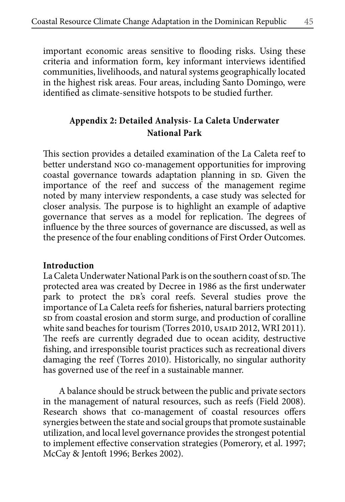important economic areas sensitive to flooding risks. Using these criteria and information form, key informant interviews identified communities, livelihoods, and natural systems geographically located in the highest risk areas. Four areas, including Santo Domingo, were identified as climate-sensitive hotspots to be studied further.

## **Appendix 2: Detailed Analysis- La Caleta Underwater National Park**

This section provides a detailed examination of the La Caleta reef to better understand ngo co-management opportunities for improving coastal governance towards adaptation planning in sp. Given the importance of the reef and success of the management regime noted by many interview respondents, a case study was selected for closer analysis. The purpose is to highlight an example of adaptive governance that serves as a model for replication. The degrees of influence by the three sources of governance are discussed, as well as the presence of the four enabling conditions of First Order Outcomes.

#### **Introduction**

La Caleta Underwater National Park is on the southern coast of sp. The protected area was created by Decree in 1986 as the first underwater park to protect the DR's coral reefs. Several studies prove the importance of La Caleta reefs for fisheries, natural barriers protecting sp from coastal erosion and storm surge, and production of coralline white sand beaches for tourism (Torres 2010, USAID 2012, WRI 2011). The reefs are currently degraded due to ocean acidity, destructive fishing, and irresponsible tourist practices such as recreational divers damaging the reef (Torres 2010). Historically, no singular authority has governed use of the reef in a sustainable manner.

A balance should be struck between the public and private sectors in the management of natural resources, such as reefs (Field 2008). Research shows that co-management of coastal resources offers synergies between the state and social groups that promote sustainable utilization, and local level governance provides the strongest potential to implement effective conservation strategies (Pomerory, et al. 1997; McCay & Jentoft 1996; Berkes 2002).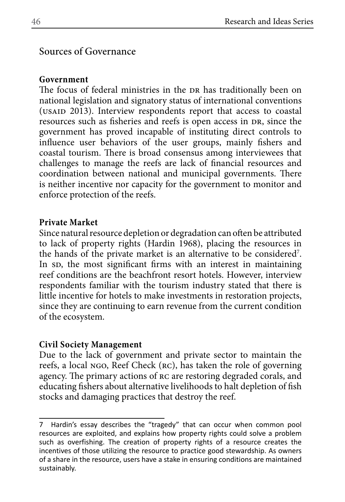## Sources of Governance

## **Government**

The focus of federal ministries in the DR has traditionally been on national legislation and signatory status of international conventions (USAID 2013). Interview respondents report that access to coastal resources such as fisheries and reefs is open access in DR, since the government has proved incapable of instituting direct controls to influence user behaviors of the user groups, mainly fishers and coastal tourism. There is broad consensus among interviewees that challenges to manage the reefs are lack of financial resources and coordination between national and municipal governments. There is neither incentive nor capacity for the government to monitor and enforce protection of the reefs.

## **Private Market**

Since natural resource depletion or degradation can often be attributed to lack of property rights (Hardin 1968), placing the resources in the hands of the private market is an alternative to be considered<sup>7</sup>. In sp, the most significant firms with an interest in maintaining reef conditions are the beachfront resort hotels. However, interview respondents familiar with the tourism industry stated that there is little incentive for hotels to make investments in restoration projects, since they are continuing to earn revenue from the current condition of the ecosystem.

## **Civil Society Management**

Due to the lack of government and private sector to maintain the reefs, a local ngo, Reef Check (rc), has taken the role of governing agency. The primary actions of rc are restoring degraded corals, and educating fishers about alternative livelihoods to halt depletion of fish stocks and damaging practices that destroy the reef.

<sup>7</sup> Hardin's essay describes the "tragedy" that can occur when common pool resources are exploited, and explains how property rights could solve a problem such as overfishing. The creation of property rights of a resource creates the incentives of those utilizing the resource to practice good stewardship. As owners of a share in the resource, users have a stake in ensuring conditions are maintained sustainably.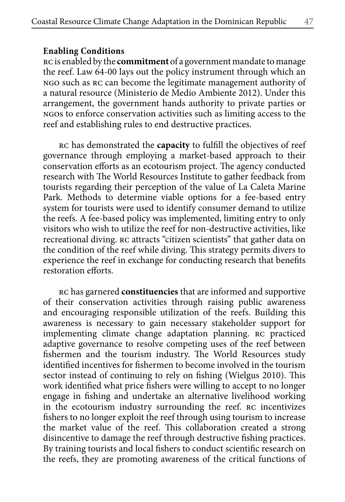#### **Enabling Conditions**

rc is enabled by the **commitment** of a government mandate to manage the reef. Law 64-00 lays out the policy instrument through which an ngo such as rc can become the legitimate management authority of a natural resource (Ministerio de Medio Ambiente 2012). Under this arrangement, the government hands authority to private parties or ngos to enforce conservation activities such as limiting access to the reef and establishing rules to end destructive practices.

rc has demonstrated the **capacity** to fulfill the objectives of reef governance through employing a market-based approach to their conservation efforts as an ecotourism project. The agency conducted research with The World Resources Institute to gather feedback from tourists regarding their perception of the value of La Caleta Marine Park. Methods to determine viable options for a fee-based entry system for tourists were used to identify consumer demand to utilize the reefs. A fee-based policy was implemented, limiting entry to only visitors who wish to utilize the reef for non-destructive activities, like recreational diving. rc attracts "citizen scientists" that gather data on the condition of the reef while diving. This strategy permits divers to experience the reef in exchange for conducting research that benefits restoration efforts.

rc has garnered **constituencies** that are informed and supportive of their conservation activities through raising public awareness and encouraging responsible utilization of the reefs. Building this awareness is necessary to gain necessary stakeholder support for implementing climate change adaptation planning. rc practiced adaptive governance to resolve competing uses of the reef between fishermen and the tourism industry. The World Resources study identified incentives for fishermen to become involved in the tourism sector instead of continuing to rely on fishing (Wielgus 2010). This work identified what price fishers were willing to accept to no longer engage in fishing and undertake an alternative livelihood working in the ecotourism industry surrounding the reef. rc incentivizes fishers to no longer exploit the reef through using tourism to increase the market value of the reef. This collaboration created a strong disincentive to damage the reef through destructive fishing practices. By training tourists and local fishers to conduct scientific research on the reefs, they are promoting awareness of the critical functions of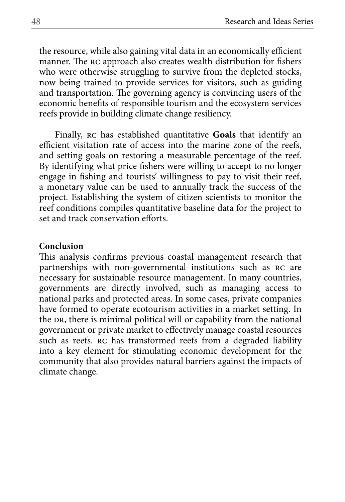the resource, while also gaining vital data in an economically efficient manner. The rc approach also creates wealth distribution for fishers who were otherwise struggling to survive from the depleted stocks, now being trained to provide services for visitors, such as guiding and transportation. The governing agency is convincing users of the economic benefits of responsible tourism and the ecosystem services reefs provide in building climate change resiliency.

Finally, rc has established quantitative **Goals** that identify an efficient visitation rate of access into the marine zone of the reefs, and setting goals on restoring a measurable percentage of the reef. By identifying what price fishers were willing to accept to no longer engage in fishing and tourists' willingness to pay to visit their reef, a monetary value can be used to annually track the success of the project. Establishing the system of citizen scientists to monitor the reef conditions compiles quantitative baseline data for the project to set and track conservation efforts.

#### **Conclusion**

This analysis confirms previous coastal management research that partnerships with non-governmental institutions such as rc are necessary for sustainable resource management. In many countries, governments are directly involved, such as managing access to national parks and protected areas. In some cases, private companies have formed to operate ecotourism activities in a market setting. In the DR, there is minimal political will or capability from the national government or private market to effectively manage coastal resources such as reefs. RC has transformed reefs from a degraded liability into a key element for stimulating economic development for the community that also provides natural barriers against the impacts of climate change.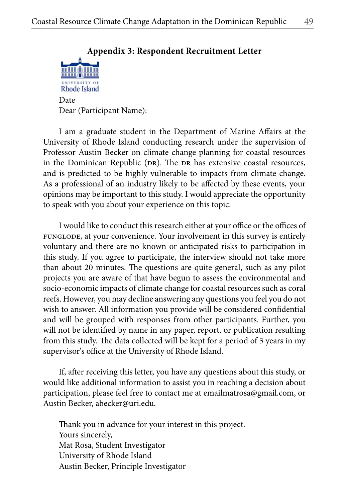# **Appendix 3: Respondent Recruitment Letter Rhode Island** Date Dear (Participant Name):

I am a graduate student in the Department of Marine Affairs at the University of Rhode Island conducting research under the supervision of Professor Austin Becker on climate change planning for coastal resources in the Dominican Republic (DR). The DR has extensive coastal resources, and is predicted to be highly vulnerable to impacts from climate change. As a professional of an industry likely to be affected by these events, your opinions may be important to this study. I would appreciate the opportunity to speak with you about your experience on this topic.

I would like to conduct this research either at your office or the offices of FUNGLODE, at your convenience. Your involvement in this survey is entirely voluntary and there are no known or anticipated risks to participation in this study. If you agree to participate, the interview should not take more than about 20 minutes. The questions are quite general, such as any pilot projects you are aware of that have begun to assess the environmental and socio-economic impacts of climate change for coastal resources such as coral reefs. However, you may decline answering any questions you feel you do not wish to answer. All information you provide will be considered confidential and will be grouped with responses from other participants. Further, you will not be identified by name in any paper, report, or publication resulting from this study. The data collected will be kept for a period of 3 years in my supervisor's office at the University of Rhode Island.

If, after receiving this letter, you have any questions about this study, or would like additional information to assist you in reaching a decision about participation, please feel free to contact me at emailmatrosa@gmail.com, or Austin Becker, abecker@uri.edu.

Thank you in advance for your interest in this project. Yours sincerely, Mat Rosa, Student Investigator University of Rhode Island Austin Becker, Principle Investigator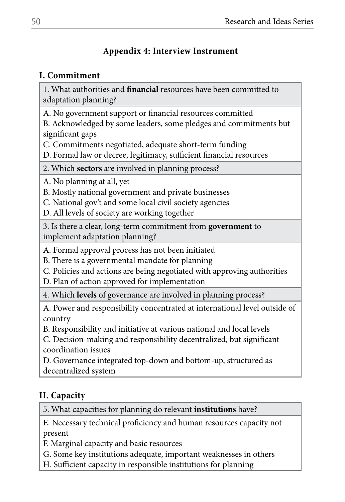## **Appendix 4: Interview Instrument**

## **I. Commitment**

1. What authorities and **financial** resources have been committed to adaptation planning?

A. No government support or financial resources committed

B. Acknowledged by some leaders, some pledges and commitments but significant gaps

C. Commitments negotiated, adequate short-term funding

D. Formal law or decree, legitimacy, sufficient financial resources

2. Which **sectors** are involved in planning process?

A. No planning at all, yet

B. Mostly national government and private businesses

C. National gov't and some local civil society agencies

D. All levels of society are working together

3. Is there a clear, long-term commitment from **government** to implement adaptation planning?

A. Formal approval process has not been initiated

B. There is a governmental mandate for planning

C. Policies and actions are being negotiated with approving authorities

D. Plan of action approved for implementation

4. Which **levels** of governance are involved in planning process?

A. Power and responsibility concentrated at international level outside of country

B. Responsibility and initiative at various national and local levels

C. Decision-making and responsibility decentralized, but significant coordination issues

D. Governance integrated top-down and bottom-up, structured as decentralized system

# **II. Capacity**

5. What capacities for planning do relevant **institutions** have?

E. Necessary technical proficiency and human resources capacity not present

F. Marginal capacity and basic resources

G. Some key institutions adequate, important weaknesses in others

H. Sufficient capacity in responsible institutions for planning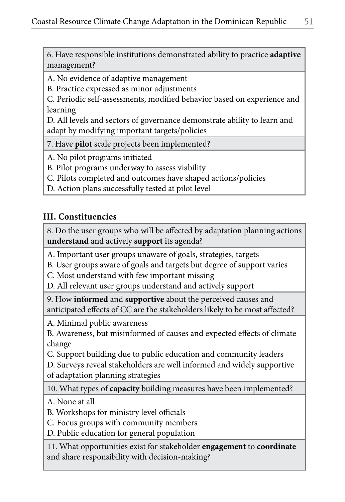6. Have responsible institutions demonstrated ability to practice **adaptive** management?

A. No evidence of adaptive management

B. Practice expressed as minor adjustments

C. Periodic self-assessments, modified behavior based on experience and learning

D. All levels and sectors of governance demonstrate ability to learn and adapt by modifying important targets/policies

7. Have **pilot** scale projects been implemented?

A. No pilot programs initiated

B. Pilot programs underway to assess viability

C. Pilots completed and outcomes have shaped actions/policies

D. Action plans successfully tested at pilot level

## **III. Constituencies**

8. Do the user groups who will be affected by adaptation planning actions **understand** and actively **support** its agenda?

A. Important user groups unaware of goals, strategies, targets

B. User groups aware of goals and targets but degree of support varies

C. Most understand with few important missing

D. All relevant user groups understand and actively support

9. How **informed** and **supportive** about the perceived causes and anticipated effects of CC are the stakeholders likely to be most affected?

A. Minimal public awareness

B. Awareness, but misinformed of causes and expected effects of climate change

C. Support building due to public education and community leaders

D. Surveys reveal stakeholders are well informed and widely supportive of adaptation planning strategies

10. What types of **capacity** building measures have been implemented?

A. None at all

B. Workshops for ministry level officials

C. Focus groups with community members

D. Public education for general population

11. What opportunities exist for stakeholder **engagement** to **coordinate** and share responsibility with decision-making?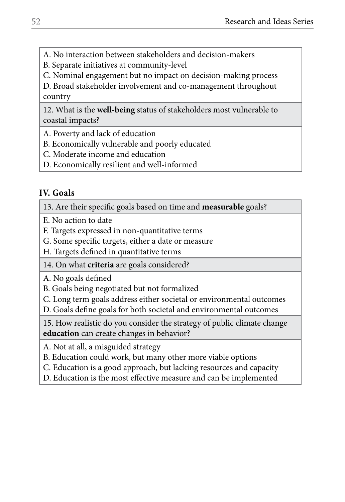A. No interaction between stakeholders and decision-makers

B. Separate initiatives at community-level

C. Nominal engagement but no impact on decision-making process

D. Broad stakeholder involvement and co-management throughout country

12. What is the **well-being** status of stakeholders most vulnerable to coastal impacts?

A. Poverty and lack of education

B. Economically vulnerable and poorly educated

C. Moderate income and education

D. Economically resilient and well-informed

## **IV. Goals**

13. Are their specific goals based on time and **measurable** goals?

E. No action to date

F. Targets expressed in non-quantitative terms

G. Some specific targets, either a date or measure

H. Targets defined in quantitative terms

14. On what **criteria** are goals considered?

A. No goals defined

B. Goals being negotiated but not formalized

C. Long term goals address either societal or environmental outcomes

D. Goals define goals for both societal and environmental outcomes

15. How realistic do you consider the strategy of public climate change **education** can create changes in behavior?

A. Not at all, a misguided strategy

B. Education could work, but many other more viable options

C. Education is a good approach, but lacking resources and capacity

D. Education is the most effective measure and can be implemented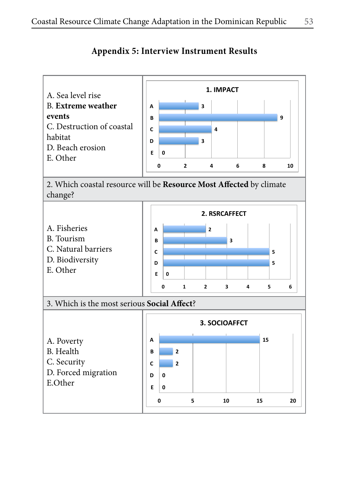

## **Appendix 5: Interview Instrument Results**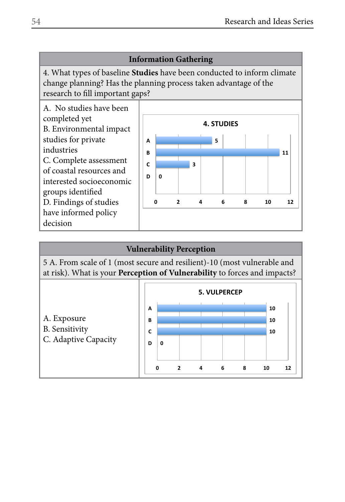**11**

## **Information Gathering**

4. What types of baseline **Studies** have been conducted to inform climate change planning? Has the planning process taken advantage of the research to fill important gaps?



#### **Vulnerability Perception**

5 A. From scale of 1 (most secure and resilient)-10 (most vulnerable and at risk). What is your **Perception of Vulnerability** to forces and impacts?

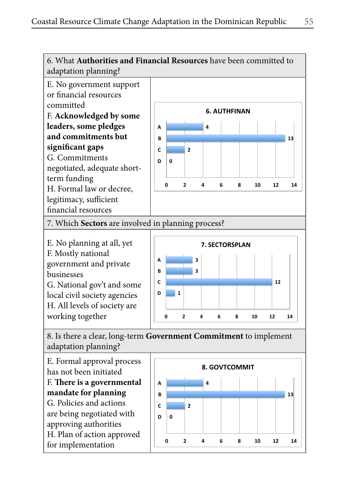

F. Mostly national government and private businesses G. National gov't and some local civil society agencies H. All levels of society are

working together



8. Is there a clear, long-term **Government Commitment** to implement adaptation planning?

E. Formal approval process has not been initiated F. **There is a governmental mandate for planning** G. Policies and actions are being negotiated with approving authorities H. Plan of action approved for implementation

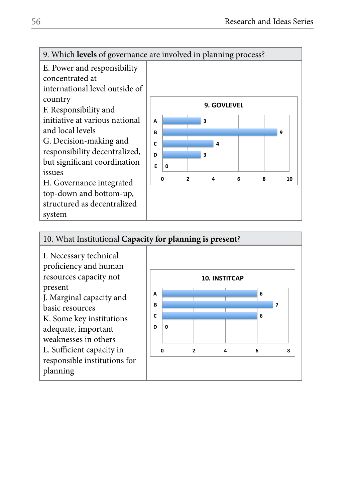

E. Power and responsibility

concentrated at international level outside of country

F. Responsibility and initiative at various national and local levels G. Decision-making and responsibility decentralized, but significant coordination issues H. Governance integrated

top-down and bottom-up, structured as decentralized system



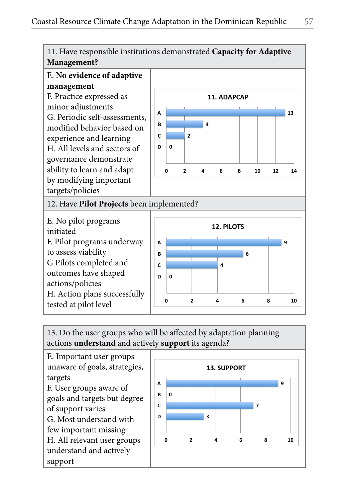

# E. **No evidence of adaptive management**

F. Practice expressed as minor adjustments G. Periodic self-assessments, modified behavior based on experience and learning H. All levels and sectors of governance demonstrate ability to learn and adapt by modifying important targets/policies



12. Have **Pilot Projects** been implemented?

E. No pilot programs initiated F. Pilot programs underway to assess viability G Pilots completed and outcomes have shaped actions/policies H. Action plans successfully tested at pilot level



13. Do the user groups who will be affected by adaptation planning actions **understand** and actively **support** its agenda?

E. Important user groups unaware of goals, strategies, targets F. User groups aware of goals and targets but degree of support varies G. Most understand with few important missing H. All relevant user groups understand and actively support

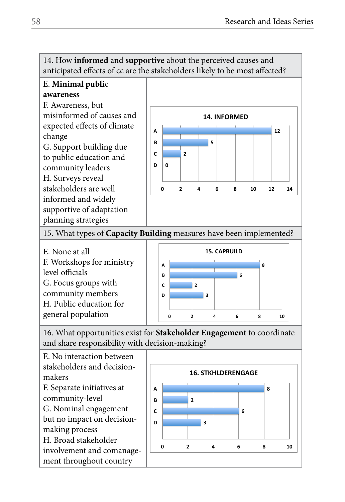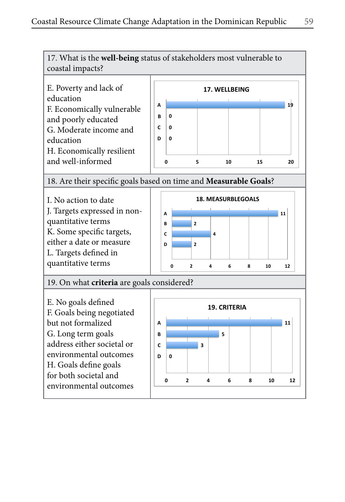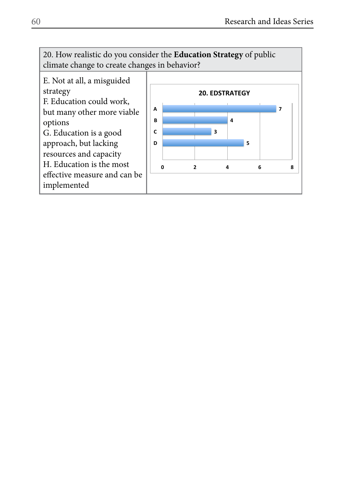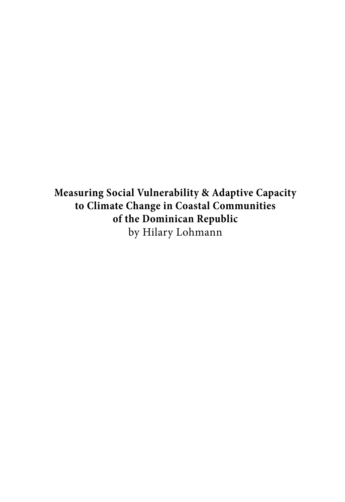**Measuring Social Vulnerability & Adaptive Capacity to Climate Change in Coastal Communities of the Dominican Republic** by Hilary Lohmann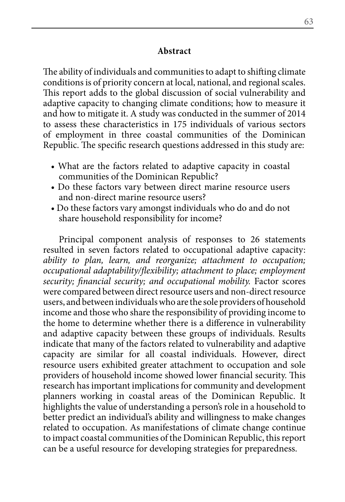### **Abstract**

The ability of individuals and communities to adapt to shifting climate conditions is of priority concern at local, national, and regional scales. This report adds to the global discussion of social vulnerability and adaptive capacity to changing climate conditions; how to measure it and how to mitigate it. A study was conducted in the summer of 2014 to assess these characteristics in 175 individuals of various sectors of employment in three coastal communities of the Dominican Republic. The specific research questions addressed in this study are:

- What are the factors related to adaptive capacity in coastal communities of the Dominican Republic?
- Do these factors vary between direct marine resource users and non-direct marine resource users?
- Do these factors vary amongst individuals who do and do not share household responsibility for income?

Principal component analysis of responses to 26 statements resulted in seven factors related to occupational adaptive capacity: *ability to plan, learn, and reorganize; attachment to occupation; occupational adaptability/flexibility; attachment to place; employment security; financial security; and occupational mobility.* Factor scores were compared between direct resource users and non-direct resource users, and between individuals who are the sole providers of household income and those who share the responsibility of providing income to the home to determine whether there is a difference in vulnerability and adaptive capacity between these groups of individuals. Results indicate that many of the factors related to vulnerability and adaptive capacity are similar for all coastal individuals. However, direct resource users exhibited greater attachment to occupation and sole providers of household income showed lower financial security. This research has important implications for community and development planners working in coastal areas of the Dominican Republic. It highlights the value of understanding a person's role in a household to better predict an individual's ability and willingness to make changes related to occupation. As manifestations of climate change continue to impact coastal communities of the Dominican Republic, this report can be a useful resource for developing strategies for preparedness.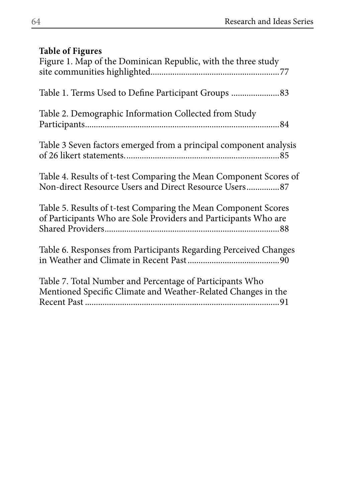# **Table of Figures**

| Figure 1. Map of the Dominican Republic, with the three study                                                                     |
|-----------------------------------------------------------------------------------------------------------------------------------|
|                                                                                                                                   |
| Table 2. Demographic Information Collected from Study                                                                             |
| Table 3 Seven factors emerged from a principal component analysis                                                                 |
| Table 4. Results of t-test Comparing the Mean Component Scores of<br>Non-direct Resource Users and Direct Resource Users87        |
| Table 5. Results of t-test Comparing the Mean Component Scores<br>of Participants Who are Sole Providers and Participants Who are |
| Table 6. Responses from Participants Regarding Perceived Changes                                                                  |
| Table 7. Total Number and Percentage of Participants Who<br>Mentioned Specific Climate and Weather-Related Changes in the         |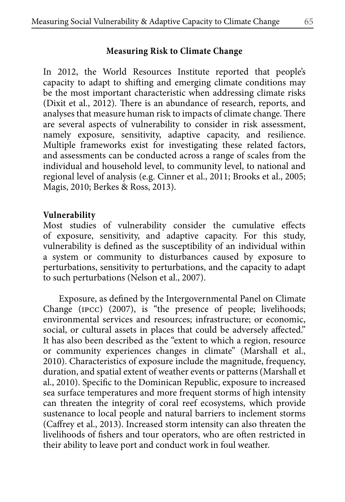# **Measuring Risk to Climate Change**

In 2012, the World Resources Institute reported that people's capacity to adapt to shifting and emerging climate conditions may be the most important characteristic when addressing climate risks (Dixit et al., 2012). There is an abundance of research, reports, and analyses that measure human risk to impacts of climate change. There are several aspects of vulnerability to consider in risk assessment, namely exposure, sensitivity, adaptive capacity, and resilience. Multiple frameworks exist for investigating these related factors, and assessments can be conducted across a range of scales from the individual and household level, to community level, to national and regional level of analysis (e.g. Cinner et al., 2011; Brooks et al., 2005; Magis, 2010; Berkes & Ross, 2013).

## **Vulnerability**

Most studies of vulnerability consider the cumulative effects of exposure, sensitivity, and adaptive capacity. For this study, vulnerability is defined as the susceptibility of an individual within a system or community to disturbances caused by exposure to perturbations, sensitivity to perturbations, and the capacity to adapt to such perturbations (Nelson et al., 2007).

Exposure, as defined by the Intergovernmental Panel on Climate Change (ipcc) (2007), is "the presence of people; livelihoods; environmental services and resources; infrastructure; or economic, social, or cultural assets in places that could be adversely affected." It has also been described as the "extent to which a region, resource or community experiences changes in climate" (Marshall et al., 2010). Characteristics of exposure include the magnitude, frequency, duration, and spatial extent of weather events or patterns (Marshall et al., 2010). Specific to the Dominican Republic, exposure to increased sea surface temperatures and more frequent storms of high intensity can threaten the integrity of coral reef ecosystems, which provide sustenance to local people and natural barriers to inclement storms (Caffrey et al., 2013). Increased storm intensity can also threaten the livelihoods of fishers and tour operators, who are often restricted in their ability to leave port and conduct work in foul weather.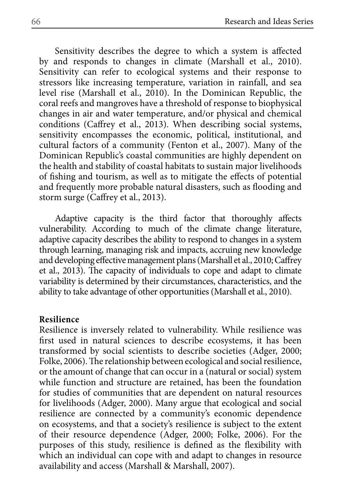Sensitivity describes the degree to which a system is affected by and responds to changes in climate (Marshall et al., 2010). Sensitivity can refer to ecological systems and their response to stressors like increasing temperature, variation in rainfall, and sea level rise (Marshall et al., 2010). In the Dominican Republic, the coral reefs and mangroves have a threshold of response to biophysical changes in air and water temperature, and/or physical and chemical conditions (Caffrey et al., 2013). When describing social systems, sensitivity encompasses the economic, political, institutional, and cultural factors of a community (Fenton et al., 2007). Many of the Dominican Republic's coastal communities are highly dependent on the health and stability of coastal habitats to sustain major livelihoods of fishing and tourism, as well as to mitigate the effects of potential and frequently more probable natural disasters, such as flooding and storm surge (Caffrey et al., 2013).

Adaptive capacity is the third factor that thoroughly affects vulnerability. According to much of the climate change literature, adaptive capacity describes the ability to respond to changes in a system through learning, managing risk and impacts, accruing new knowledge and developing effective management plans (Marshall et al., 2010; Caffrey et al., 2013). The capacity of individuals to cope and adapt to climate variability is determined by their circumstances, characteristics, and the ability to take advantage of other opportunities (Marshall et al., 2010).

### **Resilience**

Resilience is inversely related to vulnerability. While resilience was first used in natural sciences to describe ecosystems, it has been transformed by social scientists to describe societies (Adger, 2000; Folke, 2006). The relationship between ecological and social resilience, or the amount of change that can occur in a (natural or social) system while function and structure are retained, has been the foundation for studies of communities that are dependent on natural resources for livelihoods (Adger, 2000). Many argue that ecological and social resilience are connected by a community's economic dependence on ecosystems, and that a society's resilience is subject to the extent of their resource dependence (Adger, 2000; Folke, 2006). For the purposes of this study, resilience is defined as the flexibility with which an individual can cope with and adapt to changes in resource availability and access (Marshall & Marshall, 2007).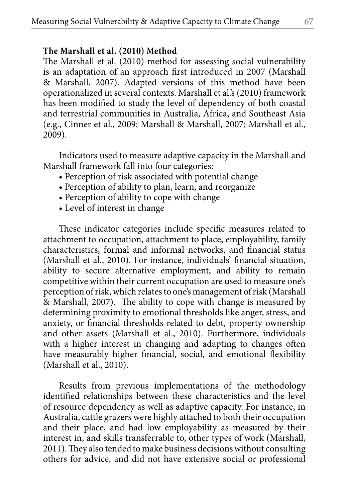# **The Marshall et al. (2010) Method**

The Marshall et al. (2010) method for assessing social vulnerability is an adaptation of an approach first introduced in 2007 (Marshall & Marshall, 2007). Adapted versions of this method have been operationalized in several contexts. Marshall et al.'s (2010) framework has been modified to study the level of dependency of both coastal and terrestrial communities in Australia, Africa, and Southeast Asia (e.g., Cinner et al., 2009; Marshall & Marshall, 2007; Marshall et al., 2009).

Indicators used to measure adaptive capacity in the Marshall and Marshall framework fall into four categories:

- Perception of risk associated with potential change
- Perception of ability to plan, learn, and reorganize
- Perception of ability to cope with change
- Level of interest in change

These indicator categories include specific measures related to attachment to occupation, attachment to place, employability, family characteristics, formal and informal networks, and financial status (Marshall et al., 2010). For instance, individuals' financial situation, ability to secure alternative employment, and ability to remain competitive within their current occupation are used to measure one's perception of risk, which relates to one's management of risk (Marshall & Marshall, 2007). The ability to cope with change is measured by determining proximity to emotional thresholds like anger, stress, and anxiety, or financial thresholds related to debt, property ownership and other assets (Marshall et al., 2010). Furthermore, individuals with a higher interest in changing and adapting to changes often have measurably higher financial, social, and emotional flexibility (Marshall et al., 2010).

Results from previous implementations of the methodology identified relationships between these characteristics and the level of resource dependency as well as adaptive capacity. For instance, in Australia, cattle grazers were highly attached to both their occupation and their place, and had low employability as measured by their interest in, and skills transferrable to, other types of work (Marshall, 2011). They also tended to make business decisions without consulting others for advice, and did not have extensive social or professional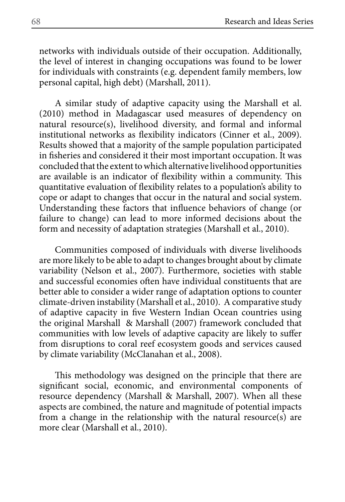networks with individuals outside of their occupation. Additionally, the level of interest in changing occupations was found to be lower for individuals with constraints (e.g. dependent family members, low personal capital, high debt) (Marshall, 2011).

A similar study of adaptive capacity using the Marshall et al. (2010) method in Madagascar used measures of dependency on natural resource(s), livelihood diversity, and formal and informal institutional networks as flexibility indicators (Cinner et al., 2009). Results showed that a majority of the sample population participated in fisheries and considered it their most important occupation. It was concluded that the extent to which alternative livelihood opportunities are available is an indicator of flexibility within a community. This quantitative evaluation of flexibility relates to a population's ability to cope or adapt to changes that occur in the natural and social system. Understanding these factors that influence behaviors of change (or failure to change) can lead to more informed decisions about the form and necessity of adaptation strategies (Marshall et al., 2010).

Communities composed of individuals with diverse livelihoods are more likely to be able to adapt to changes brought about by climate variability (Nelson et al., 2007). Furthermore, societies with stable and successful economies often have individual constituents that are better able to consider a wider range of adaptation options to counter climate-driven instability (Marshall et al., 2010). A comparative study of adaptive capacity in five Western Indian Ocean countries using the original Marshall & Marshall (2007) framework concluded that communities with low levels of adaptive capacity are likely to suffer from disruptions to coral reef ecosystem goods and services caused by climate variability (McClanahan et al., 2008).

This methodology was designed on the principle that there are significant social, economic, and environmental components of resource dependency (Marshall & Marshall, 2007). When all these aspects are combined, the nature and magnitude of potential impacts from a change in the relationship with the natural resource(s) are more clear (Marshall et al., 2010).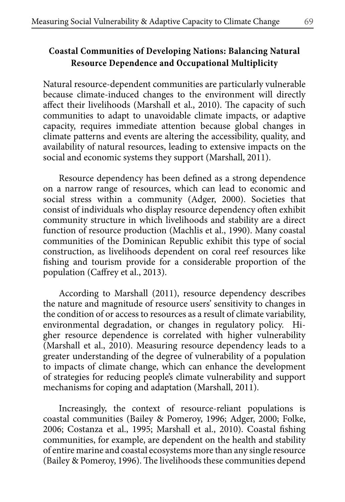# **Coastal Communities of Developing Nations: Balancing Natural Resource Dependence and Occupational Multiplicity**

Natural resource-dependent communities are particularly vulnerable because climate-induced changes to the environment will directly affect their livelihoods (Marshall et al., 2010). The capacity of such communities to adapt to unavoidable climate impacts, or adaptive capacity, requires immediate attention because global changes in climate patterns and events are altering the accessibility, quality, and availability of natural resources, leading to extensive impacts on the social and economic systems they support (Marshall, 2011).

Resource dependency has been defined as a strong dependence on a narrow range of resources, which can lead to economic and social stress within a community (Adger, 2000). Societies that consist of individuals who display resource dependency often exhibit community structure in which livelihoods and stability are a direct function of resource production (Machlis et al., 1990). Many coastal communities of the Dominican Republic exhibit this type of social construction, as livelihoods dependent on coral reef resources like fishing and tourism provide for a considerable proportion of the population (Caffrey et al., 2013).

According to Marshall (2011), resource dependency describes the nature and magnitude of resource users' sensitivity to changes in the condition of or access to resources as a result of climate variability, environmental degradation, or changes in regulatory policy. Higher resource dependence is correlated with higher vulnerability (Marshall et al., 2010). Measuring resource dependency leads to a greater understanding of the degree of vulnerability of a population to impacts of climate change, which can enhance the development of strategies for reducing people's climate vulnerability and support mechanisms for coping and adaptation (Marshall, 2011).

Increasingly, the context of resource-reliant populations is coastal communities (Bailey & Pomeroy, 1996; Adger, 2000; Folke, 2006; Costanza et al., 1995; Marshall et al., 2010). Coastal fishing communities, for example, are dependent on the health and stability of entire marine and coastal ecosystems more than any single resource (Bailey & Pomeroy, 1996). The livelihoods these communities depend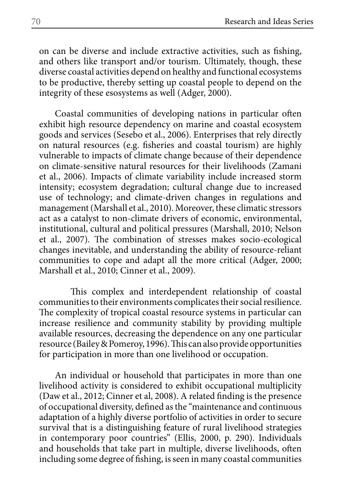on can be diverse and include extractive activities, such as fishing, and others like transport and/or tourism. Ultimately, though, these diverse coastal activities depend on healthy and functional ecosystems to be productive, thereby setting up coastal people to depend on the integrity of these esosystems as well (Adger, 2000).

Coastal communities of developing nations in particular often exhibit high resource dependency on marine and coastal ecosystem goods and services (Sesebo et al., 2006). Enterprises that rely directly on natural resources (e.g. fisheries and coastal tourism) are highly vulnerable to impacts of climate change because of their dependence on climate-sensitive natural resources for their livelihoods (Zamani et al., 2006). Impacts of climate variability include increased storm intensity; ecosystem degradation; cultural change due to increased use of technology; and climate-driven changes in regulations and management (Marshall et al., 2010). Moreover, these climatic stressors act as a catalyst to non-climate drivers of economic, environmental, institutional, cultural and political pressures (Marshall, 2010; Nelson et al., 2007). The combination of stresses makes socio-ecological changes inevitable, and understanding the ability of resource-reliant communities to cope and adapt all the more critical (Adger, 2000; Marshall et al., 2010; Cinner et al., 2009).

This complex and interdependent relationship of coastal communities to their environments complicates their social resilience. The complexity of tropical coastal resource systems in particular can increase resilience and community stability by providing multiple available resources, decreasing the dependence on any one particular resource (Bailey & Pomeroy, 1996). This can also provide opportunities for participation in more than one livelihood or occupation.

An individual or household that participates in more than one livelihood activity is considered to exhibit occupational multiplicity (Daw et al., 2012; Cinner et al, 2008). A related finding is the presence of occupational diversity, defined as the "maintenance and continuous adaptation of a highly diverse portfolio of activities in order to secure survival that is a distinguishing feature of rural livelihood strategies in contemporary poor countries" (Ellis, 2000, p. 290). Individuals and households that take part in multiple, diverse livelihoods, often including some degree of fishing, is seen in many coastal communities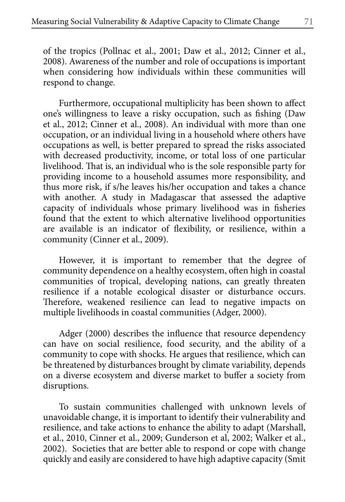of the tropics (Pollnac et al., 2001; Daw et al., 2012; Cinner et al., 2008). Awareness of the number and role of occupations is important when considering how individuals within these communities will respond to change.

Furthermore, occupational multiplicity has been shown to affect one's willingness to leave a risky occupation, such as fishing (Daw et al., 2012; Cinner et al., 2008). An individual with more than one occupation, or an individual living in a household where others have occupations as well, is better prepared to spread the risks associated with decreased productivity, income, or total loss of one particular livelihood. That is, an individual who is the sole responsible party for providing income to a household assumes more responsibility, and thus more risk, if s/he leaves his/her occupation and takes a chance with another. A study in Madagascar that assessed the adaptive capacity of individuals whose primary livelihood was in fisheries found that the extent to which alternative livelihood opportunities are available is an indicator of flexibility, or resilience, within a community (Cinner et al., 2009).

However, it is important to remember that the degree of community dependence on a healthy ecosystem, often high in coastal communities of tropical, developing nations, can greatly threaten resilience if a notable ecological disaster or disturbance occurs. Therefore, weakened resilience can lead to negative impacts on multiple livelihoods in coastal communities (Adger, 2000).

Adger (2000) describes the influence that resource dependency can have on social resilience, food security, and the ability of a community to cope with shocks. He argues that resilience, which can be threatened by disturbances brought by climate variability, depends on a diverse ecosystem and diverse market to buffer a society from disruptions.

To sustain communities challenged with unknown levels of unavoidable change, it is important to identify their vulnerability and resilience, and take actions to enhance the ability to adapt (Marshall, et al., 2010, Cinner et al., 2009; Gunderson et al, 2002; Walker et al., 2002). Societies that are better able to respond or cope with change quickly and easily are considered to have high adaptive capacity (Smit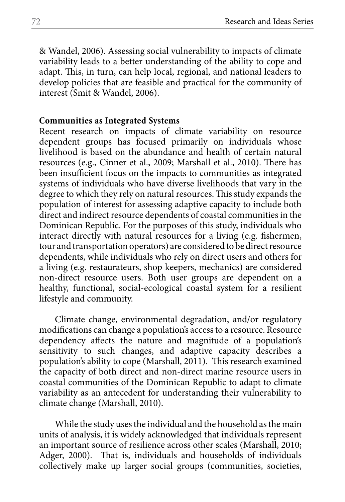& Wandel, 2006). Assessing social vulnerability to impacts of climate variability leads to a better understanding of the ability to cope and adapt. This, in turn, can help local, regional, and national leaders to develop policies that are feasible and practical for the community of interest (Smit & Wandel, 2006).

### **Communities as Integrated Systems**

Recent research on impacts of climate variability on resource dependent groups has focused primarily on individuals whose livelihood is based on the abundance and health of certain natural resources (e.g., Cinner et al., 2009; Marshall et al., 2010). There has been insufficient focus on the impacts to communities as integrated systems of individuals who have diverse livelihoods that vary in the degree to which they rely on natural resources. This study expands the population of interest for assessing adaptive capacity to include both direct and indirect resource dependents of coastal communities in the Dominican Republic. For the purposes of this study, individuals who interact directly with natural resources for a living (e.g. fishermen, tour and transportation operators) are considered to be direct resource dependents, while individuals who rely on direct users and others for a living (e.g. restaurateurs, shop keepers, mechanics) are considered non-direct resource users. Both user groups are dependent on a healthy, functional, social-ecological coastal system for a resilient lifestyle and community.

Climate change, environmental degradation, and/or regulatory modifications can change a population's access to a resource. Resource dependency affects the nature and magnitude of a population's sensitivity to such changes, and adaptive capacity describes a population's ability to cope (Marshall, 2011). This research examined the capacity of both direct and non-direct marine resource users in coastal communities of the Dominican Republic to adapt to climate variability as an antecedent for understanding their vulnerability to climate change (Marshall, 2010).

While the study uses the individual and the household as the main units of analysis, it is widely acknowledged that individuals represent an important source of resilience across other scales (Marshall, 2010; Adger, 2000). That is, individuals and households of individuals collectively make up larger social groups (communities, societies,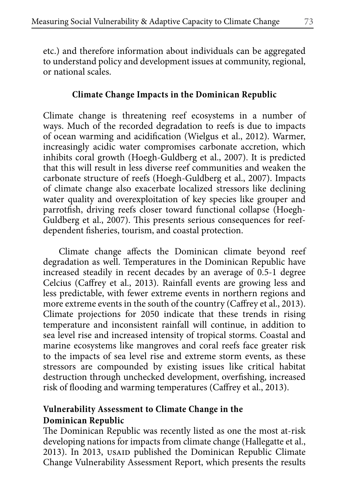etc.) and therefore information about individuals can be aggregated to understand policy and development issues at community, regional, or national scales.

# **Climate Change Impacts in the Dominican Republic**

Climate change is threatening reef ecosystems in a number of ways. Much of the recorded degradation to reefs is due to impacts of ocean warming and acidification (Wielgus et al., 2012). Warmer, increasingly acidic water compromises carbonate accretion, which inhibits coral growth (Hoegh-Guldberg et al., 2007). It is predicted that this will result in less diverse reef communities and weaken the carbonate structure of reefs (Hoegh-Guldberg et al., 2007). Impacts of climate change also exacerbate localized stressors like declining water quality and overexploitation of key species like grouper and parrotfish, driving reefs closer toward functional collapse (Hoegh-Guldberg et al., 2007). This presents serious consequences for reefdependent fisheries, tourism, and coastal protection.

Climate change affects the Dominican climate beyond reef degradation as well. Temperatures in the Dominican Republic have increased steadily in recent decades by an average of 0.5-1 degree Celcius (Caffrey et al., 2013). Rainfall events are growing less and less predictable, with fewer extreme events in northern regions and more extreme events in the south of the country (Caffrey et al., 2013). Climate projections for 2050 indicate that these trends in rising temperature and inconsistent rainfall will continue, in addition to sea level rise and increased intensity of tropical storms. Coastal and marine ecosystems like mangroves and coral reefs face greater risk to the impacts of sea level rise and extreme storm events, as these stressors are compounded by existing issues like critical habitat destruction through unchecked development, overfishing, increased risk of flooding and warming temperatures (Caffrey et al., 2013).

# **Vulnerability Assessment to Climate Change in the Dominican Republic**

The Dominican Republic was recently listed as one the most at-risk developing nations for impacts from climate change (Hallegatte et al., 2013). In 2013, usaid published the Dominican Republic Climate Change Vulnerability Assessment Report, which presents the results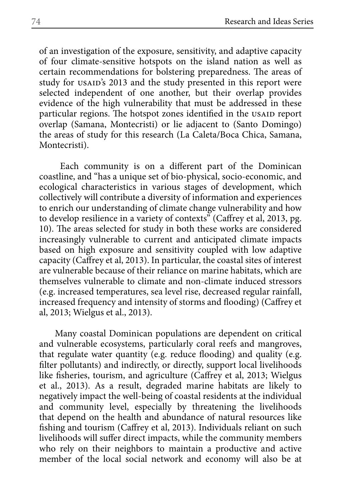of an investigation of the exposure, sensitivity, and adaptive capacity of four climate-sensitive hotspots on the island nation as well as certain recommendations for bolstering preparedness. The areas of study for USAID's 2013 and the study presented in this report were selected independent of one another, but their overlap provides evidence of the high vulnerability that must be addressed in these particular regions. The hotspot zones identified in the USAID report overlap (Samana, Montecristi) or lie adjacent to (Santo Domingo) the areas of study for this research (La Caleta/Boca Chica, Samana, Montecristi).

 Each community is on a different part of the Dominican coastline, and "has a unique set of bio-physical, socio-economic, and ecological characteristics in various stages of development, which collectively will contribute a diversity of information and experiences to enrich our understanding of climate change vulnerability and how to develop resilience in a variety of contexts" (Caffrey et al, 2013, pg. 10). The areas selected for study in both these works are considered increasingly vulnerable to current and anticipated climate impacts based on high exposure and sensitivity coupled with low adaptive capacity (Caffrey et al, 2013). In particular, the coastal sites of interest are vulnerable because of their reliance on marine habitats, which are themselves vulnerable to climate and non-climate induced stressors (e.g. increased temperatures, sea level rise, decreased regular rainfall, increased frequency and intensity of storms and flooding) (Caffrey et al, 2013; Wielgus et al., 2013).

Many coastal Dominican populations are dependent on critical and vulnerable ecosystems, particularly coral reefs and mangroves, that regulate water quantity (e.g. reduce flooding) and quality (e.g. filter pollutants) and indirectly, or directly, support local livelihoods like fisheries, tourism, and agriculture (Caffrey et al, 2013; Wielgus et al., 2013). As a result, degraded marine habitats are likely to negatively impact the well-being of coastal residents at the individual and community level, especially by threatening the livelihoods that depend on the health and abundance of natural resources like fishing and tourism (Caffrey et al, 2013). Individuals reliant on such livelihoods will suffer direct impacts, while the community members who rely on their neighbors to maintain a productive and active member of the local social network and economy will also be at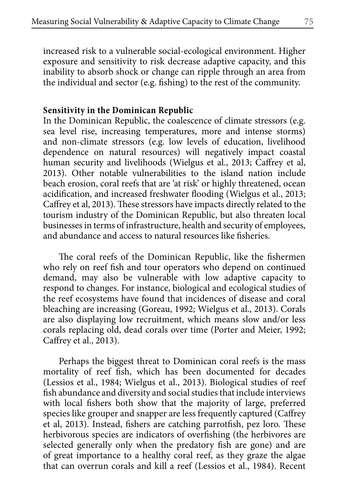increased risk to a vulnerable social-ecological environment. Higher exposure and sensitivity to risk decrease adaptive capacity, and this inability to absorb shock or change can ripple through an area from the individual and sector (e.g. fishing) to the rest of the community.

### **Sensitivity in the Dominican Republic**

In the Dominican Republic, the coalescence of climate stressors (e.g. sea level rise, increasing temperatures, more and intense storms) and non-climate stressors (e.g. low levels of education, livelihood dependence on natural resources) will negatively impact coastal human security and livelihoods (Wielgus et al., 2013; Caffrey et al, 2013). Other notable vulnerabilities to the island nation include beach erosion, coral reefs that are 'at risk' or highly threatened, ocean acidification, and increased freshwater flooding (Wielgus et al., 2013; Caffrey et al, 2013). These stressors have impacts directly related to the tourism industry of the Dominican Republic, but also threaten local businesses in terms of infrastructure, health and security of employees, and abundance and access to natural resources like fisheries.

The coral reefs of the Dominican Republic, like the fishermen who rely on reef fish and tour operators who depend on continued demand, may also be vulnerable with low adaptive capacity to respond to changes. For instance, biological and ecological studies of the reef ecosystems have found that incidences of disease and coral bleaching are increasing (Goreau, 1992; Wielgus et al., 2013). Corals are also displaying low recruitment, which means slow and/or less corals replacing old, dead corals over time (Porter and Meier, 1992; Caffrey et al., 2013).

Perhaps the biggest threat to Dominican coral reefs is the mass mortality of reef fish, which has been documented for decades (Lessios et al., 1984; Wielgus et al., 2013). Biological studies of reef fish abundance and diversity and social studies that include interviews with local fishers both show that the majority of large, preferred species like grouper and snapper are less frequently captured (Caffrey et al, 2013). Instead, fishers are catching parrotfish, pez loro. These herbivorous species are indicators of overfishing (the herbivores are selected generally only when the predatory fish are gone) and are of great importance to a healthy coral reef, as they graze the algae that can overrun corals and kill a reef (Lessios et al., 1984). Recent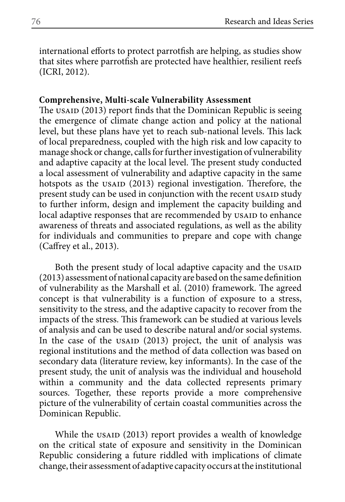international efforts to protect parrotfish are helping, as studies show that sites where parrotfish are protected have healthier, resilient reefs (ICRI, 2012).

# **Comprehensive, Multi-scale Vulnerability Assessment**

The USAID (2013) report finds that the Dominican Republic is seeing the emergence of climate change action and policy at the national level, but these plans have yet to reach sub-national levels. This lack of local preparedness, coupled with the high risk and low capacity to manage shock or change, calls for further investigation of vulnerability and adaptive capacity at the local level. The present study conducted a local assessment of vulnerability and adaptive capacity in the same hotspots as the usain (2013) regional investigation. Therefore, the present study can be used in conjunction with the recent usaid study to further inform, design and implement the capacity building and local adaptive responses that are recommended by usaid to enhance awareness of threats and associated regulations, as well as the ability for individuals and communities to prepare and cope with change (Caffrey et al., 2013).

Both the present study of local adaptive capacity and the USAID (2013) assessment of national capacity are based on the same definition of vulnerability as the Marshall et al. (2010) framework. The agreed concept is that vulnerability is a function of exposure to a stress, sensitivity to the stress, and the adaptive capacity to recover from the impacts of the stress. This framework can be studied at various levels of analysis and can be used to describe natural and/or social systems. In the case of the usaid (2013) project, the unit of analysis was regional institutions and the method of data collection was based on secondary data (literature review, key informants). In the case of the present study, the unit of analysis was the individual and household within a community and the data collected represents primary sources. Together, these reports provide a more comprehensive picture of the vulnerability of certain coastal communities across the Dominican Republic.

While the USAID (2013) report provides a wealth of knowledge on the critical state of exposure and sensitivity in the Dominican Republic considering a future riddled with implications of climate change, their assessment of adaptive capacity occurs at the institutional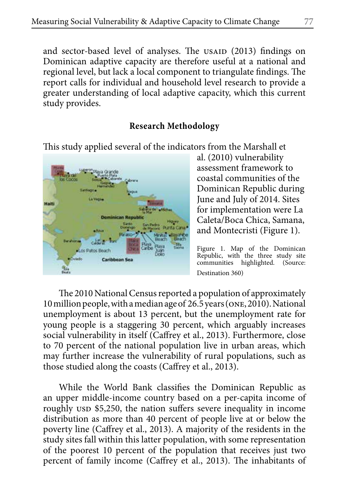and sector-based level of analyses. The USAID (2013) findings on Dominican adaptive capacity are therefore useful at a national and regional level, but lack a local component to triangulate findings. The report calls for individual and household level research to provide a greater understanding of local adaptive capacity, which this current study provides.

# **Research Methodology**

This study applied several of the indicators from the Marshall et



al. (2010) vulnerability assessment framework to coastal communities of the Dominican Republic during June and July of 2014. Sites for implementation were La Caleta/Boca Chica, Samana, and Montecristi (Figure 1).

Figure 1. Map of the Dominican Republic, with the three study site communities highlighted. (Source: Destination 360)

The 2010 National Census reported a population of approximately 10 million people, with a median age of 26.5 years (one, 2010). National unemployment is about 13 percent, but the unemployment rate for young people is a staggering 30 percent, which arguably increases social vulnerability in itself (Caffrey et al., 2013). Furthermore, close to 70 percent of the national population live in urban areas, which may further increase the vulnerability of rural populations, such as those studied along the coasts (Caffrey et al., 2013).

While the World Bank classifies the Dominican Republic as an upper middle-income country based on a per-capita income of roughly usp \$5,250, the nation suffers severe inequality in income distribution as more than 40 percent of people live at or below the poverty line (Caffrey et al., 2013). A majority of the residents in the study sites fall within this latter population, with some representation of the poorest 10 percent of the population that receives just two percent of family income (Caffrey et al., 2013). The inhabitants of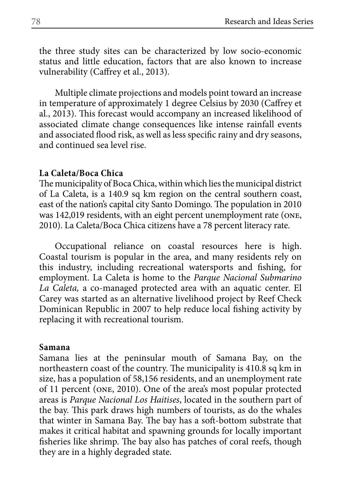the three study sites can be characterized by low socio-economic status and little education, factors that are also known to increase vulnerability (Caffrey et al., 2013).

Multiple climate projections and models point toward an increase in temperature of approximately 1 degree Celsius by 2030 (Caffrey et al., 2013). This forecast would accompany an increased likelihood of associated climate change consequences like intense rainfall events and associated flood risk, as well as less specific rainy and dry seasons, and continued sea level rise.

### **La Caleta/Boca Chica**

The municipality of Boca Chica, within which lies the municipal district of La Caleta, is a 140.9 sq km region on the central southern coast, east of the nation's capital city Santo Domingo. The population in 2010 was 142,019 residents, with an eight percent unemployment rate (one, 2010). La Caleta/Boca Chica citizens have a 78 percent literacy rate.

Occupational reliance on coastal resources here is high. Coastal tourism is popular in the area, and many residents rely on this industry, including recreational watersports and fishing, for employment. La Caleta is home to the *Parque Nacional Submarino La Caleta,* a co-managed protected area with an aquatic center. El Carey was started as an alternative livelihood project by Reef Check Dominican Republic in 2007 to help reduce local fishing activity by replacing it with recreational tourism.

#### **Samana**

Samana lies at the peninsular mouth of Samana Bay, on the northeastern coast of the country. The municipality is 410.8 sq km in size, has a population of 58,156 residents, and an unemployment rate of 11 percent (one, 2010). One of the area's most popular protected areas is *Parque Nacional Los Haitises*, located in the southern part of the bay. This park draws high numbers of tourists, as do the whales that winter in Samana Bay. The bay has a soft-bottom substrate that makes it critical habitat and spawning grounds for locally important fisheries like shrimp. The bay also has patches of coral reefs, though they are in a highly degraded state.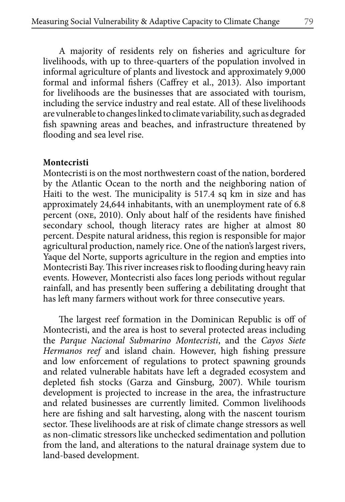A majority of residents rely on fisheries and agriculture for livelihoods, with up to three-quarters of the population involved in informal agriculture of plants and livestock and approximately 9,000 formal and informal fishers (Caffrey et al., 2013). Also important for livelihoods are the businesses that are associated with tourism, including the service industry and real estate. All of these livelihoods are vulnerable to changes linked to climate variability, such as degraded fish spawning areas and beaches, and infrastructure threatened by flooding and sea level rise.

### **Montecristi**

Montecristi is on the most northwestern coast of the nation, bordered by the Atlantic Ocean to the north and the neighboring nation of Haiti to the west. The municipality is 517.4 sq km in size and has approximately 24,644 inhabitants, with an unemployment rate of 6.8 percent (one, 2010). Only about half of the residents have finished secondary school, though literacy rates are higher at almost 80 percent. Despite natural aridness, this region is responsible for major agricultural production, namely rice. One of the nation's largest rivers, Yaque del Norte, supports agriculture in the region and empties into Montecristi Bay. This river increases risk to flooding during heavy rain events. However, Montecristi also faces long periods without regular rainfall, and has presently been suffering a debilitating drought that has left many farmers without work for three consecutive years.

The largest reef formation in the Dominican Republic is off of Montecristi, and the area is host to several protected areas including the *Parque Nacional Submarino Montecristi*, and the *Cayos Siete Hermanos reef* and island chain. However, high fishing pressure and low enforcement of regulations to protect spawning grounds and related vulnerable habitats have left a degraded ecosystem and depleted fish stocks (Garza and Ginsburg, 2007). While tourism development is projected to increase in the area, the infrastructure and related businesses are currently limited. Common livelihoods here are fishing and salt harvesting, along with the nascent tourism sector. These livelihoods are at risk of climate change stressors as well as non-climatic stressors like unchecked sedimentation and pollution from the land, and alterations to the natural drainage system due to land-based development.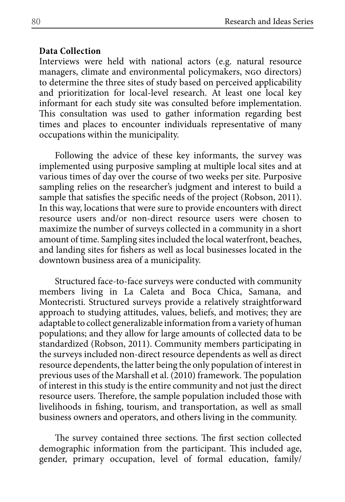## **Data Collection**

Interviews were held with national actors (e.g. natural resource managers, climate and environmental policymakers, ngo directors) to determine the three sites of study based on perceived applicability and prioritization for local-level research. At least one local key informant for each study site was consulted before implementation. This consultation was used to gather information regarding best times and places to encounter individuals representative of many occupations within the municipality.

Following the advice of these key informants, the survey was implemented using purposive sampling at multiple local sites and at various times of day over the course of two weeks per site. Purposive sampling relies on the researcher's judgment and interest to build a sample that satisfies the specific needs of the project (Robson, 2011). In this way, locations that were sure to provide encounters with direct resource users and/or non-direct resource users were chosen to maximize the number of surveys collected in a community in a short amount of time. Sampling sites included the local waterfront, beaches, and landing sites for fishers as well as local businesses located in the downtown business area of a municipality.

Structured face-to-face surveys were conducted with community members living in La Caleta and Boca Chica, Samana, and Montecristi. Structured surveys provide a relatively straightforward approach to studying attitudes, values, beliefs, and motives; they are adaptable to collect generalizable information from a variety of human populations; and they allow for large amounts of collected data to be standardized (Robson, 2011). Community members participating in the surveys included non-direct resource dependents as well as direct resource dependents, the latter being the only population of interest in previous uses of the Marshall et al. (2010) framework. The population of interest in this study is the entire community and not just the direct resource users. Therefore, the sample population included those with livelihoods in fishing, tourism, and transportation, as well as small business owners and operators, and others living in the community.

The survey contained three sections. The first section collected demographic information from the participant. This included age, gender, primary occupation, level of formal education, family/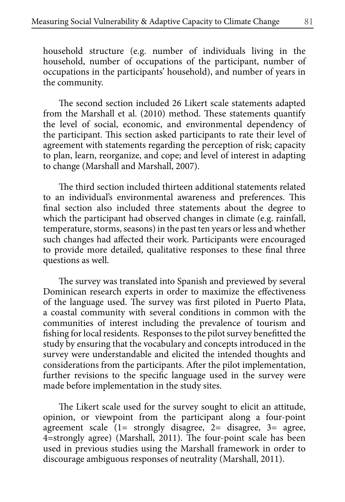household structure (e.g. number of individuals living in the household, number of occupations of the participant, number of occupations in the participants' household), and number of years in the community.

The second section included 26 Likert scale statements adapted from the Marshall et al. (2010) method. These statements quantify the level of social, economic, and environmental dependency of the participant. This section asked participants to rate their level of agreement with statements regarding the perception of risk; capacity to plan, learn, reorganize, and cope; and level of interest in adapting to change (Marshall and Marshall, 2007).

The third section included thirteen additional statements related to an individual's environmental awareness and preferences. This final section also included three statements about the degree to which the participant had observed changes in climate (e.g. rainfall, temperature, storms, seasons) in the past ten years or less and whether such changes had affected their work. Participants were encouraged to provide more detailed, qualitative responses to these final three questions as well.

The survey was translated into Spanish and previewed by several Dominican research experts in order to maximize the effectiveness of the language used. The survey was first piloted in Puerto Plata, a coastal community with several conditions in common with the communities of interest including the prevalence of tourism and fishing for local residents. Responses to the pilot survey benefitted the study by ensuring that the vocabulary and concepts introduced in the survey were understandable and elicited the intended thoughts and considerations from the participants. After the pilot implementation, further revisions to the specific language used in the survey were made before implementation in the study sites.

The Likert scale used for the survey sought to elicit an attitude, opinion, or viewpoint from the participant along a four-point agreement scale (1= strongly disagree, 2= disagree, 3= agree, 4=strongly agree) (Marshall, 2011). The four-point scale has been used in previous studies using the Marshall framework in order to discourage ambiguous responses of neutrality (Marshall, 2011).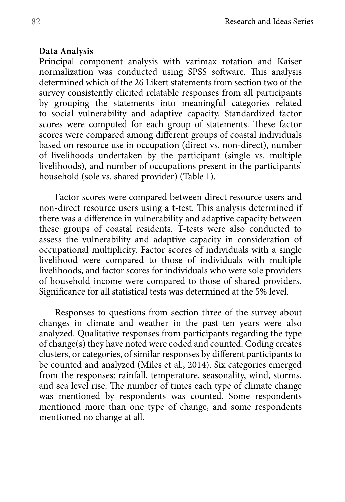### **Data Analysis**

Principal component analysis with varimax rotation and Kaiser normalization was conducted using SPSS software. This analysis determined which of the 26 Likert statements from section two of the survey consistently elicited relatable responses from all participants by grouping the statements into meaningful categories related to social vulnerability and adaptive capacity. Standardized factor scores were computed for each group of statements. These factor scores were compared among different groups of coastal individuals based on resource use in occupation (direct vs. non-direct), number of livelihoods undertaken by the participant (single vs. multiple livelihoods), and number of occupations present in the participants' household (sole vs. shared provider) (Table 1).

Factor scores were compared between direct resource users and non-direct resource users using a t-test. This analysis determined if there was a difference in vulnerability and adaptive capacity between these groups of coastal residents. T-tests were also conducted to assess the vulnerability and adaptive capacity in consideration of occupational multiplicity. Factor scores of individuals with a single livelihood were compared to those of individuals with multiple livelihoods, and factor scores for individuals who were sole providers of household income were compared to those of shared providers. Significance for all statistical tests was determined at the 5% level.

Responses to questions from section three of the survey about changes in climate and weather in the past ten years were also analyzed. Qualitative responses from participants regarding the type of change(s) they have noted were coded and counted. Coding creates clusters, or categories, of similar responses by different participants to be counted and analyzed (Miles et al., 2014). Six categories emerged from the responses: rainfall, temperature, seasonality, wind, storms, and sea level rise. The number of times each type of climate change was mentioned by respondents was counted. Some respondents mentioned more than one type of change, and some respondents mentioned no change at all.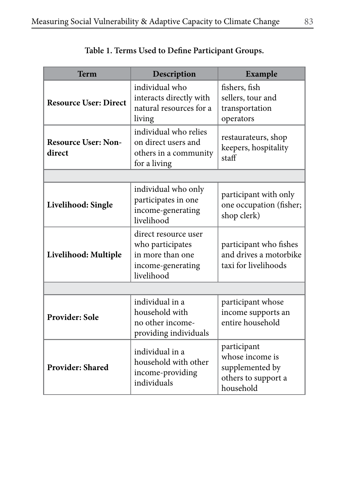| <b>Term</b>                          | Description                                                                                     | <b>Example</b>                                                                        |  |  |
|--------------------------------------|-------------------------------------------------------------------------------------------------|---------------------------------------------------------------------------------------|--|--|
| <b>Resource User: Direct</b>         | individual who<br>interacts directly with<br>natural resources for a<br>living                  | fishers, fish<br>sellers, tour and<br>transportation<br>operators                     |  |  |
| <b>Resource User: Non-</b><br>direct | individual who relies<br>on direct users and<br>others in a community<br>for a living           | restaurateurs, shop<br>keepers, hospitality<br>statf                                  |  |  |
|                                      |                                                                                                 |                                                                                       |  |  |
| Livelihood: Single                   | individual who only<br>participates in one<br>income-generating<br>livelihood                   | participant with only<br>one occupation (fisher;<br>shop clerk)                       |  |  |
| Livelihood: Multiple                 | direct resource user<br>who participates<br>in more than one<br>income-generating<br>livelihood | participant who fishes<br>and drives a motorbike<br>taxi for livelihoods              |  |  |
|                                      |                                                                                                 |                                                                                       |  |  |
| Provider: Sole                       | individual in a<br>household with<br>no other income-<br>providing individuals                  | participant whose<br>income supports an<br>entire household                           |  |  |
| <b>Provider: Shared</b>              | individual in a<br>household with other<br>income-providing<br>individuals                      | participant<br>whose income is<br>supplemented by<br>others to support a<br>household |  |  |

# **Table 1. Terms Used to Define Participant Groups.**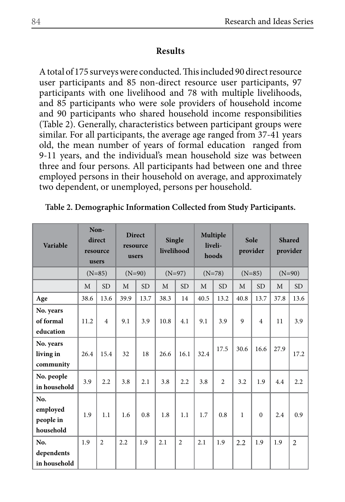# **Results**

A total of 175 surveys were conducted. This included 90 direct resource user participants and 85 non-direct resource user participants, 97 participants with one livelihood and 78 with multiple livelihoods, and 85 participants who were sole providers of household income and 90 participants who shared household income responsibilities (Table 2). Generally, characteristics between participant groups were similar. For all participants, the average age ranged from 37-41 years old, the mean number of years of formal education ranged from 9-11 years, and the individual's mean household size was between three and four persons. All participants had between one and three employed persons in their household on average, and approximately two dependent, or unemployed, persons per household.

| Variable                                  | Non-<br>direct<br>resource<br>users |                          | <b>Direct</b><br>Single<br>resource<br>livelihood<br>users |           | Multiple<br>liveli-<br>hoods |                | Sole<br>provider |                | <b>Shared</b><br>provider |                |          |                |
|-------------------------------------------|-------------------------------------|--------------------------|------------------------------------------------------------|-----------|------------------------------|----------------|------------------|----------------|---------------------------|----------------|----------|----------------|
|                                           |                                     | $(N=85)$                 | $(N=90)$                                                   |           | $(N=97)$                     |                | $(N=78)$         |                | $(N=85)$                  |                | $(N=90)$ |                |
|                                           | M                                   | <b>SD</b>                | M                                                          | <b>SD</b> | M                            | <b>SD</b>      | M                | <b>SD</b>      | M                         | <b>SD</b>      | M        | <b>SD</b>      |
| Age                                       | 38.6                                | 13.6                     | 39.9                                                       | 13.7      | 38.3                         | 14             | 40.5             | 13.2           | 40.8                      | 13.7           | 37.8     | 13.6           |
| No. years<br>of formal<br>education       | 11.2                                | $\overline{4}$           | 9.1                                                        | 3.9       | 10.8                         | 4.1            | 9.1              | 3.9            | 9                         | $\overline{4}$ | 11       | 3.9            |
| No. years<br>living in<br>community       | 26.4                                | 15.4                     | 32                                                         | 18        | 26.6                         | 16.1           | 32.4             | 17.5           | 30.6                      | 16.6           | 27.9     | 17.2           |
| No. people<br>in household                | 3.9                                 | 2.2                      | 3.8                                                        | 2.1       | 3.8                          | 2.2            | 3.8              | $\overline{c}$ | 3.2                       | 1.9            | 4.4      | 2.2            |
| No.<br>employed<br>people in<br>household | 1.9                                 | 1.1                      | 1.6                                                        | 0.8       | 1.8                          | 1.1            | 1.7              | 0.8            | 1                         | $\Omega$       | 2.4      | 0.9            |
| No.<br>dependents<br>in household         | 1.9                                 | $\overline{\mathcal{L}}$ | 2.2                                                        | 1.9       | 2.1                          | $\overline{2}$ | 2.1              | 1.9            | 2.2                       | 1.9            | 1.9      | $\overline{2}$ |

**Table 2. Demographic Information Collected from Study Participants.**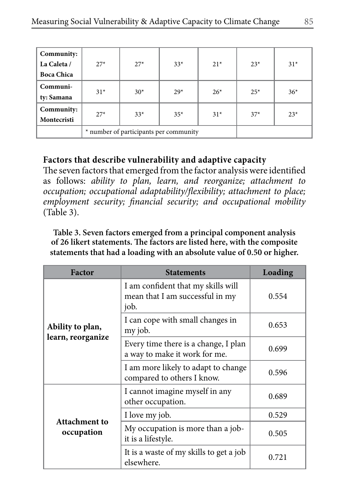| Community:<br>La Caleta /<br><b>Boca Chica</b> | $27*$ | $27*$                                  | $33*$  | $21*$ | $23*$  | $31*$ |
|------------------------------------------------|-------|----------------------------------------|--------|-------|--------|-------|
| Communi-<br>ty: Samana                         | $31*$ | $30*$                                  | $2.9*$ | $26*$ | $2.5*$ | $36*$ |
| Community:<br>Montecristi                      | $27*$ | $33*$                                  | $37*$  | $23*$ |        |       |
|                                                |       | * number of participants per community |        |       |        |       |

# **Factors that describe vulnerability and adaptive capacity**

The seven factors that emerged from the factor analysis were identified as follows: *ability to plan, learn, and reorganize; attachment to occupation; occupational adaptability/flexibility; attachment to place; employment security; financial security; and occupational mobility* (Table 3).

**Table 3. Seven factors emerged from a principal component analysis of 26 likert statements. The factors are listed here, with the composite statements that had a loading with an absolute value of 0.50 or higher.**

| <b>Factor</b>     | <b>Statements</b>                                                             | Loading |
|-------------------|-------------------------------------------------------------------------------|---------|
|                   | I am confident that my skills will<br>mean that I am successful in my<br>job. | 0.554   |
| Ability to plan,  | I can cope with small changes in<br>my job.                                   | 0.653   |
| learn, reorganize | Every time there is a change, I plan<br>a way to make it work for me.         | 0.699   |
|                   | I am more likely to adapt to change<br>compared to others I know.             | 0.596   |
|                   | I cannot imagine myself in any<br>other occupation.                           | 0.689   |
| Attachment to     | I love my job.                                                                | 0.529   |
| occupation        | My occupation is more than a job-<br>it is a lifestyle.                       | 0.505   |
|                   | It is a waste of my skills to get a job<br>elsewhere.                         | 0.721   |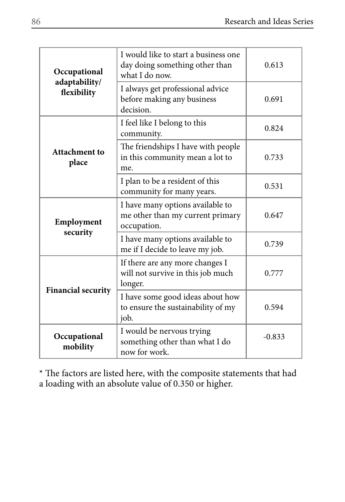| Occupational                 | I would like to start a business one<br>day doing something other than<br>what I do now. | 0.613 |
|------------------------------|------------------------------------------------------------------------------------------|-------|
| adaptability/<br>flexibility | I always get professional advice<br>before making any business<br>decision.              | 0.691 |
|                              | I feel like I belong to this<br>community.                                               | 0.824 |
| Attachment to<br>place       | The friendships I have with people<br>in this community mean a lot to<br>me.             | 0.733 |
|                              | I plan to be a resident of this<br>community for many years.                             | 0.531 |
| Employment                   | I have many options available to<br>me other than my current primary<br>occupation.      | 0.647 |
| security                     | I have many options available to<br>me if I decide to leave my job.                      | 0.739 |
| <b>Financial security</b>    | If there are any more changes I<br>will not survive in this job much<br>longer.          | 0.777 |
|                              | I have some good ideas about how<br>to ensure the sustainability of my<br>job.           | 0.594 |
| Occupational<br>mobility     | $-0.833$                                                                                 |       |

\* The factors are listed here, with the composite statements that had a loading with an absolute value of 0.350 or higher.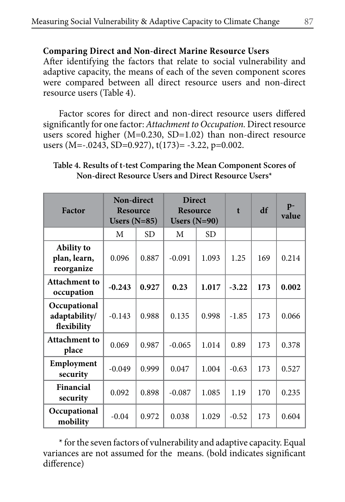# **Comparing Direct and Non-direct Marine Resource Users**

After identifying the factors that relate to social vulnerability and adaptive capacity, the means of each of the seven component scores were compared between all direct resource users and non-direct resource users (Table 4).

Factor scores for direct and non-direct resource users differed significantly for one factor: *Attachment to Occupation.* Direct resource users scored higher (M=0.230, SD=1.02) than non-direct resource users (M=-.0243, SD=0.927), t(173)= -3.22, p=0.002.

**Table 4. Results of t-test Comparing the Mean Component Scores of Non-direct Resource Users and Direct Resource Users\*** 

| Factor                                          | Non-direct<br><b>Resource</b><br>Users $(N=85)$ |           | <b>Direct</b><br><b>Resource</b><br>Users $(N=90)$ |           | $\mathbf{t}$ | df  | $p-$<br>value |
|-------------------------------------------------|-------------------------------------------------|-----------|----------------------------------------------------|-----------|--------------|-----|---------------|
|                                                 | M                                               | <b>SD</b> | М                                                  | <b>SD</b> |              |     |               |
| <b>Ability</b> to<br>plan, learn,<br>reorganize | 0.096                                           | 0.887     | $-0.091$                                           | 1.093     | 1.25         | 169 | 0.214         |
| <b>Attachment to</b><br>occupation              | $-0.243$                                        | 0.927     | 0.23                                               | 1.017     | $-3.22$      | 173 | 0.002         |
| Occupational<br>adaptability/<br>flexibility    | $-0.143$                                        | 0.988     | 0.135                                              | 0.998     | $-1.85$      | 173 | 0.066         |
| <b>Attachment to</b><br>place                   | 0.069                                           | 0.987     | $-0.065$                                           | 1.014     | 0.89         | 173 | 0.378         |
| Employment<br>security                          | $-0.049$                                        | 0.999     | 0.047                                              | 1.004     | $-0.63$      | 173 | 0.527         |
| Financial<br>security                           | 0.092                                           | 0.898     | $-0.087$                                           | 1.085     | 1.19         | 170 | 0.235         |
| Occupational<br>mobility                        | $-0.04$                                         | 0.972     | 0.038                                              | 1.029     | $-0.52$      | 173 | 0.604         |

\* for the seven factors of vulnerability and adaptive capacity. Equal variances are not assumed for the means. (bold indicates significant difference)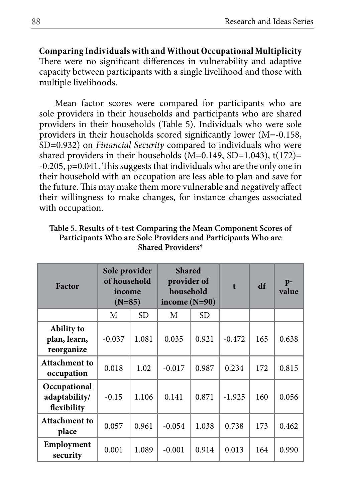**Comparing Individuals with and Without Occupational Multiplicity**  There were no significant differences in vulnerability and adaptive capacity between participants with a single livelihood and those with multiple livelihoods.

Mean factor scores were compared for participants who are sole providers in their households and participants who are shared providers in their households (Table 5). Individuals who were sole providers in their households scored significantly lower (M=-0.158, SD=0.932) on *Financial Security* compared to individuals who were shared providers in their households (M=0.149, SD=1.043), t(172)= -0.205, p=0.041. This suggests that individuals who are the only one in their household with an occupation are less able to plan and save for the future. This may make them more vulnerable and negatively affect their willingness to make changes, for instance changes associated with occupation.

| Table 5. Results of t-test Comparing the Mean Component Scores of |
|-------------------------------------------------------------------|
| Participants Who are Sole Providers and Participants Who are      |
| Shared Providers*                                                 |
|                                                                   |

**Table 5. Results of t-test Comparing the Mean Component Scores of** 

| <b>Factor</b>                                   | Sole provider<br>of household<br>income<br>$(N=85)$ |           | <b>Shared</b><br>provider of<br>household<br>income $(N=90)$ |       | $\mathbf{f}$ | df  | $p-$<br>value |
|-------------------------------------------------|-----------------------------------------------------|-----------|--------------------------------------------------------------|-------|--------------|-----|---------------|
|                                                 | M                                                   | <b>SD</b> | M                                                            | SD.   |              |     |               |
| <b>Ability</b> to<br>plan, learn,<br>reorganize | $-0.037$                                            | 1.081     | 0.035                                                        | 0.921 | $-0.472$     | 165 | 0.638         |
| <b>Attachment to</b><br>occupation              | 0.018                                               | 1.02      | $-0.017$                                                     | 0.987 | 0.234        | 172 | 0.815         |
| Occupational<br>adaptability/<br>flexibility    | $-0.15$                                             | 1.106     | 0.141                                                        | 0.871 | $-1.925$     | 160 | 0.056         |
| Attachment to<br>place                          | 0.057                                               | 0.961     | $-0.054$                                                     | 1.038 | 0.738        | 173 | 0.462         |
| Employment<br>security                          | 0.001                                               | 1.089     | $-0.001$                                                     | 0.914 | 0.013        | 164 | 0.990         |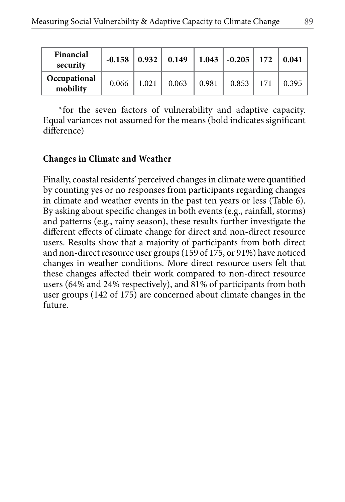| Financial<br>security    | $-0.158$ |       | $0.932 \begin{bmatrix} 0.149 \end{bmatrix}$ |       | $1.043$   $-0.205$ | 172 | 0.041 |
|--------------------------|----------|-------|---------------------------------------------|-------|--------------------|-----|-------|
| Occupational<br>mobility | $-0.066$ | 1.021 | 0.063                                       | 0.981 | $-0.853$           |     | 0.395 |

\*for the seven factors of vulnerability and adaptive capacity. Equal variances not assumed for the means (bold indicates significant difference)

# **Changes in Climate and Weather**

Finally, coastal residents' perceived changes in climate were quantified by counting yes or no responses from participants regarding changes in climate and weather events in the past ten years or less (Table 6). By asking about specific changes in both events (e.g., rainfall, storms) and patterns (e.g., rainy season), these results further investigate the different effects of climate change for direct and non-direct resource users. Results show that a majority of participants from both direct and non-direct resource user groups (159 of 175, or 91%) have noticed changes in weather conditions. More direct resource users felt that these changes affected their work compared to non-direct resource users (64% and 24% respectively), and 81% of participants from both user groups (142 of 175) are concerned about climate changes in the future.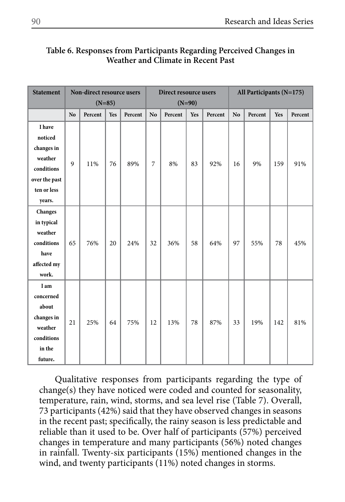# **Table 6. Responses from Participants Regarding Perceived Changes in Weather and Climate in Recent Past**

| <b>Statement</b> | Non-direct resource users |          |     | Direct resource users |                |          |     | All Participants (N=175) |                |         |     |         |
|------------------|---------------------------|----------|-----|-----------------------|----------------|----------|-----|--------------------------|----------------|---------|-----|---------|
|                  |                           | $(N=85)$ |     |                       |                | $(N=90)$ |     |                          |                |         |     |         |
|                  | N <sub>o</sub>            | Percent  | Yes | Percent               | N <sub>o</sub> | Percent  | Yes | Percent                  | N <sub>o</sub> | Percent | Yes | Percent |
| I have           |                           |          |     |                       |                |          |     |                          |                |         |     |         |
| noticed          |                           |          |     |                       |                |          |     |                          |                |         |     |         |
| changes in       |                           |          |     |                       |                |          |     |                          |                |         |     |         |
| weather          | 9                         | 11%      | 76  | 89%                   | $\overline{7}$ | 8%       | 83  | 92%                      | 16             | 9%      | 159 | 91%     |
| conditions       |                           |          |     |                       |                |          |     |                          |                |         |     |         |
| over the past    |                           |          |     |                       |                |          |     |                          |                |         |     |         |
| ten or less      |                           |          |     |                       |                |          |     |                          |                |         |     |         |
| years.           |                           |          |     |                       |                |          |     |                          |                |         |     |         |
| Changes          |                           |          |     |                       |                |          |     |                          |                |         |     |         |
| in typical       |                           |          |     |                       |                |          |     |                          |                |         |     |         |
| weather          |                           |          |     |                       |                |          |     |                          |                |         |     |         |
| conditions       | 65                        | 76%      | 20  | 24%                   | 32             | 36%      | 58  | 64%                      | 97             | 55%     | 78  | 45%     |
| have             |                           |          |     |                       |                |          |     |                          |                |         |     |         |
| affected my      |                           |          |     |                       |                |          |     |                          |                |         |     |         |
| work.            |                           |          |     |                       |                |          |     |                          |                |         |     |         |
| I am             |                           |          |     |                       |                |          |     |                          |                |         |     |         |
| concerned        |                           |          |     |                       |                |          |     |                          |                |         |     |         |
| about            |                           |          |     |                       |                |          |     |                          |                |         |     |         |
| changes in       |                           | 25%      |     | 75%                   | 12             | 13%      | 78  | 87%                      | 33             | 19%     | 142 |         |
| weather          | 21                        |          | 64  |                       |                |          |     |                          |                |         |     | 81%     |
| conditions       |                           |          |     |                       |                |          |     |                          |                |         |     |         |
| in the           |                           |          |     |                       |                |          |     |                          |                |         |     |         |
| future.          |                           |          |     |                       |                |          |     |                          |                |         |     |         |

Qualitative responses from participants regarding the type of change(s) they have noticed were coded and counted for seasonality, temperature, rain, wind, storms, and sea level rise (Table 7). Overall, 73 participants (42%) said that they have observed changes in seasons in the recent past; specifically, the rainy season is less predictable and reliable than it used to be. Over half of participants (57%) perceived changes in temperature and many participants (56%) noted changes in rainfall. Twenty-six participants (15%) mentioned changes in the wind, and twenty participants (11%) noted changes in storms.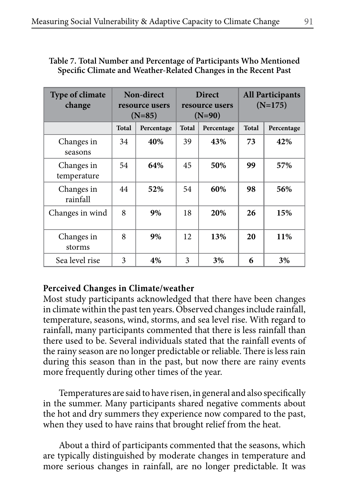| <b>Type of climate</b><br>change |              | Non-direct<br>resource users<br>$(N=85)$ |    | <b>Direct</b><br>resource users<br>$(N=90)$ | <b>All Participants</b><br>$(N=175)$ |            |  |
|----------------------------------|--------------|------------------------------------------|----|---------------------------------------------|--------------------------------------|------------|--|
|                                  | <b>Total</b> | <b>Total</b><br>Percentage               |    | Percentage                                  | <b>Total</b>                         | Percentage |  |
| Changes in<br>seasons            | 34           | 40%                                      | 39 | 43%                                         | 73                                   | 42%        |  |
| Changes in<br>temperature        | 54           | 64%                                      | 45 | 50%                                         | 99                                   | 57%        |  |
| Changes in<br>rainfall           | 44           | 52%                                      | 54 | 60%                                         | 98                                   | 56%        |  |
| Changes in wind                  | 8            | 9%                                       | 18 | 20%                                         | 26                                   | 15%        |  |
| Changes in<br>storms             | 8            | 9%                                       | 12 | 13%                                         | 20                                   | 11%        |  |
| Sea level rise                   | 3            | 4%                                       | 3  | 3%                                          | 6                                    | 3%         |  |

## **Table 7. Total Number and Percentage of Participants Who Mentioned Specific Climate and Weather-Related Changes in the Recent Past**

# **Perceived Changes in Climate/weather**

Most study participants acknowledged that there have been changes in climate within the past ten years. Observed changes include rainfall, temperature, seasons, wind, storms, and sea level rise. With regard to rainfall, many participants commented that there is less rainfall than there used to be. Several individuals stated that the rainfall events of the rainy season are no longer predictable or reliable. There is less rain during this season than in the past, but now there are rainy events more frequently during other times of the year.

Temperatures are said to have risen, in general and also specifically in the summer. Many participants shared negative comments about the hot and dry summers they experience now compared to the past, when they used to have rains that brought relief from the heat.

About a third of participants commented that the seasons, which are typically distinguished by moderate changes in temperature and more serious changes in rainfall, are no longer predictable. It was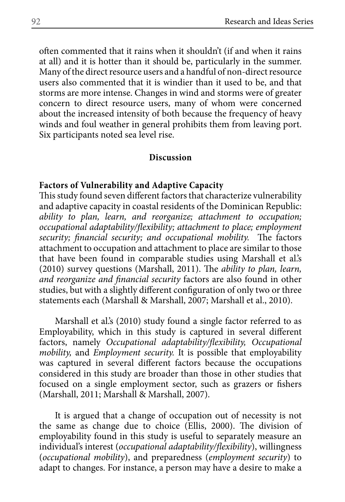often commented that it rains when it shouldn't (if and when it rains at all) and it is hotter than it should be, particularly in the summer. Many of the direct resource users and a handful of non-direct resource users also commented that it is windier than it used to be, and that storms are more intense. Changes in wind and storms were of greater concern to direct resource users, many of whom were concerned about the increased intensity of both because the frequency of heavy winds and foul weather in general prohibits them from leaving port. Six participants noted sea level rise.

### **Discussion**

## **Factors of Vulnerability and Adaptive Capacity**

This study found seven different factors that characterize vulnerability and adaptive capacity in coastal residents of the Dominican Republic: *ability to plan, learn, and reorganize; attachment to occupation; occupational adaptability/flexibility; attachment to place; employment security; financial security; and occupational mobility.* The factors attachment to occupation and attachment to place are similar to those that have been found in comparable studies using Marshall et al.'s (2010) survey questions (Marshall, 2011). The *ability to plan, learn, and reorganize and financial security* factors are also found in other studies, but with a slightly different configuration of only two or three statements each (Marshall & Marshall, 2007; Marshall et al., 2010).

Marshall et al.'s (2010) study found a single factor referred to as Employability, which in this study is captured in several different factors, namely *Occupational adaptability/flexibility, Occupational mobility,* and *Employment security.* It is possible that employability was captured in several different factors because the occupations considered in this study are broader than those in other studies that focused on a single employment sector, such as grazers or fishers (Marshall, 2011; Marshall & Marshall, 2007).

It is argued that a change of occupation out of necessity is not the same as change due to choice (Ellis, 2000). The division of employability found in this study is useful to separately measure an individual's interest (*occupational adaptability/flexibility*), willingness (*occupational mobility*), and preparedness (*employment security*) to adapt to changes. For instance, a person may have a desire to make a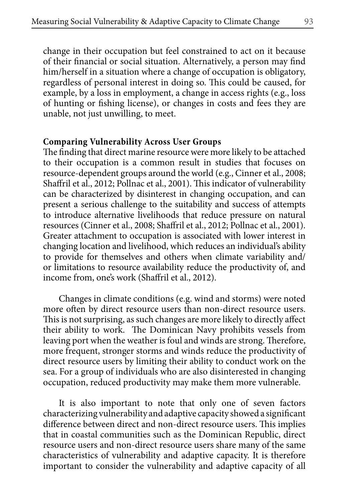change in their occupation but feel constrained to act on it because of their financial or social situation. Alternatively, a person may find him/herself in a situation where a change of occupation is obligatory, regardless of personal interest in doing so. This could be caused, for example, by a loss in employment, a change in access rights (e.g., loss of hunting or fishing license), or changes in costs and fees they are unable, not just unwilling, to meet.

### **Comparing Vulnerability Across User Groups**

The finding that direct marine resource were more likely to be attached to their occupation is a common result in studies that focuses on resource-dependent groups around the world (e.g., Cinner et al., 2008; Shaffril et al., 2012; Pollnac et al., 2001). This indicator of vulnerability can be characterized by disinterest in changing occupation, and can present a serious challenge to the suitability and success of attempts to introduce alternative livelihoods that reduce pressure on natural resources (Cinner et al., 2008; Shaffril et al., 2012; Pollnac et al., 2001). Greater attachment to occupation is associated with lower interest in changing location and livelihood, which reduces an individual's ability to provide for themselves and others when climate variability and/ or limitations to resource availability reduce the productivity of, and income from, one's work (Shaffril et al., 2012).

Changes in climate conditions (e.g. wind and storms) were noted more often by direct resource users than non-direct resource users. This is not surprising, as such changes are more likely to directly affect their ability to work. The Dominican Navy prohibits vessels from leaving port when the weather is foul and winds are strong. Therefore, more frequent, stronger storms and winds reduce the productivity of direct resource users by limiting their ability to conduct work on the sea. For a group of individuals who are also disinterested in changing occupation, reduced productivity may make them more vulnerable.

It is also important to note that only one of seven factors characterizing vulnerability and adaptive capacity showed a significant difference between direct and non-direct resource users. This implies that in coastal communities such as the Dominican Republic, direct resource users and non-direct resource users share many of the same characteristics of vulnerability and adaptive capacity. It is therefore important to consider the vulnerability and adaptive capacity of all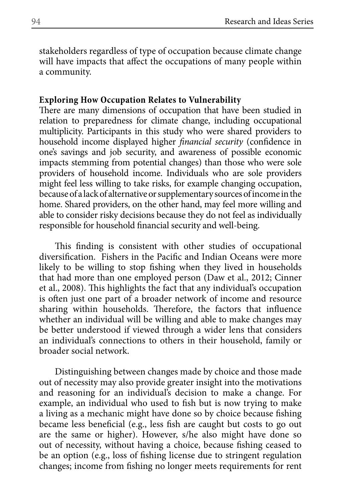stakeholders regardless of type of occupation because climate change will have impacts that affect the occupations of many people within a community.

### **Exploring How Occupation Relates to Vulnerability**

There are many dimensions of occupation that have been studied in relation to preparedness for climate change, including occupational multiplicity. Participants in this study who were shared providers to household income displayed higher *financial security* (confidence in one's savings and job security, and awareness of possible economic impacts stemming from potential changes) than those who were sole providers of household income. Individuals who are sole providers might feel less willing to take risks, for example changing occupation, because of a lack of alternative or supplementary sources of income in the home. Shared providers, on the other hand, may feel more willing and able to consider risky decisions because they do not feel as individually responsible for household financial security and well-being.

This finding is consistent with other studies of occupational diversification. Fishers in the Pacific and Indian Oceans were more likely to be willing to stop fishing when they lived in households that had more than one employed person (Daw et al., 2012; Cinner et al., 2008). This highlights the fact that any individual's occupation is often just one part of a broader network of income and resource sharing within households. Therefore, the factors that influence whether an individual will be willing and able to make changes may be better understood if viewed through a wider lens that considers an individual's connections to others in their household, family or broader social network.

Distinguishing between changes made by choice and those made out of necessity may also provide greater insight into the motivations and reasoning for an individual's decision to make a change. For example, an individual who used to fish but is now trying to make a living as a mechanic might have done so by choice because fishing became less beneficial (e.g., less fish are caught but costs to go out are the same or higher). However, s/he also might have done so out of necessity, without having a choice, because fishing ceased to be an option (e.g., loss of fishing license due to stringent regulation changes; income from fishing no longer meets requirements for rent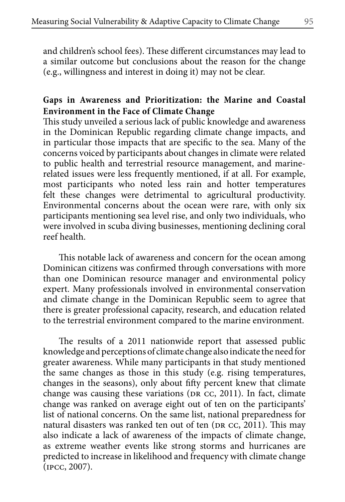and children's school fees). These different circumstances may lead to a similar outcome but conclusions about the reason for the change (e.g., willingness and interest in doing it) may not be clear.

## **Gaps in Awareness and Prioritization: the Marine and Coastal Environment in the Face of Climate Change**

This study unveiled a serious lack of public knowledge and awareness in the Dominican Republic regarding climate change impacts, and in particular those impacts that are specific to the sea. Many of the concerns voiced by participants about changes in climate were related to public health and terrestrial resource management, and marinerelated issues were less frequently mentioned, if at all. For example, most participants who noted less rain and hotter temperatures felt these changes were detrimental to agricultural productivity. Environmental concerns about the ocean were rare, with only six participants mentioning sea level rise, and only two individuals, who were involved in scuba diving businesses, mentioning declining coral reef health.

This notable lack of awareness and concern for the ocean among Dominican citizens was confirmed through conversations with more than one Dominican resource manager and environmental policy expert. Many professionals involved in environmental conservation and climate change in the Dominican Republic seem to agree that there is greater professional capacity, research, and education related to the terrestrial environment compared to the marine environment.

The results of a 2011 nationwide report that assessed public knowledge and perceptions of climate change also indicate the need for greater awareness. While many participants in that study mentioned the same changes as those in this study (e.g. rising temperatures, changes in the seasons), only about fifty percent knew that climate change was causing these variations (DR cc, 2011). In fact, climate change was ranked on average eight out of ten on the participants' list of national concerns. On the same list, national preparedness for natural disasters was ranked ten out of ten (DR cc, 2011). This may also indicate a lack of awareness of the impacts of climate change, as extreme weather events like strong storms and hurricanes are predicted to increase in likelihood and frequency with climate change (ipcc, 2007).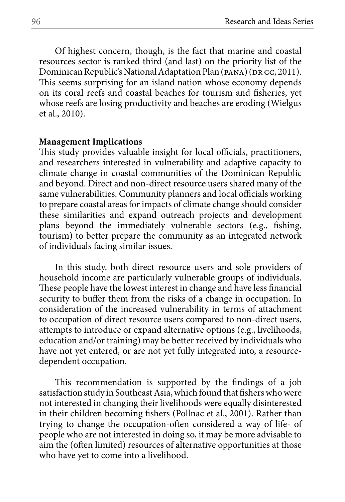Of highest concern, though, is the fact that marine and coastal resources sector is ranked third (and last) on the priority list of the Dominican Republic's National Adaptation Plan (PANA) (DR CC, 2011). This seems surprising for an island nation whose economy depends on its coral reefs and coastal beaches for tourism and fisheries, yet whose reefs are losing productivity and beaches are eroding (Wielgus et al., 2010).

#### **Management Implications**

This study provides valuable insight for local officials, practitioners, and researchers interested in vulnerability and adaptive capacity to climate change in coastal communities of the Dominican Republic and beyond. Direct and non-direct resource users shared many of the same vulnerabilities. Community planners and local officials working to prepare coastal areas for impacts of climate change should consider these similarities and expand outreach projects and development plans beyond the immediately vulnerable sectors (e.g., fishing, tourism) to better prepare the community as an integrated network of individuals facing similar issues.

In this study, both direct resource users and sole providers of household income are particularly vulnerable groups of individuals. These people have the lowest interest in change and have less financial security to buffer them from the risks of a change in occupation. In consideration of the increased vulnerability in terms of attachment to occupation of direct resource users compared to non-direct users, attempts to introduce or expand alternative options (e.g., livelihoods, education and/or training) may be better received by individuals who have not yet entered, or are not yet fully integrated into, a resourcedependent occupation.

This recommendation is supported by the findings of a job satisfaction study in Southeast Asia, which found that fishers who were not interested in changing their livelihoods were equally disinterested in their children becoming fishers (Pollnac et al., 2001). Rather than trying to change the occupation-often considered a way of life- of people who are not interested in doing so, it may be more advisable to aim the (often limited) resources of alternative opportunities at those who have yet to come into a livelihood.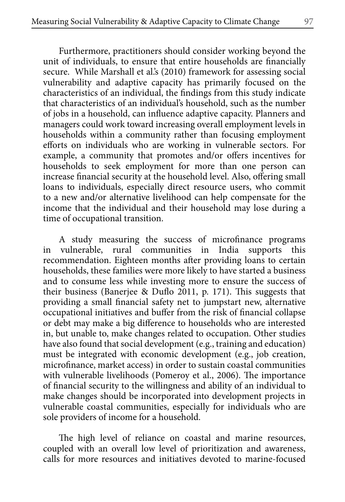Furthermore, practitioners should consider working beyond the unit of individuals, to ensure that entire households are financially secure. While Marshall et al.'s (2010) framework for assessing social vulnerability and adaptive capacity has primarily focused on the characteristics of an individual, the findings from this study indicate that characteristics of an individual's household, such as the number of jobs in a household, can influence adaptive capacity. Planners and managers could work toward increasing overall employment levels in households within a community rather than focusing employment efforts on individuals who are working in vulnerable sectors. For example, a community that promotes and/or offers incentives for households to seek employment for more than one person can increase financial security at the household level. Also, offering small loans to individuals, especially direct resource users, who commit to a new and/or alternative livelihood can help compensate for the income that the individual and their household may lose during a time of occupational transition.

A study measuring the success of microfinance programs in vulnerable, rural communities in India supports this recommendation. Eighteen months after providing loans to certain households, these families were more likely to have started a business and to consume less while investing more to ensure the success of their business (Banerjee & Duflo 2011, p. 171). This suggests that providing a small financial safety net to jumpstart new, alternative occupational initiatives and buffer from the risk of financial collapse or debt may make a big difference to households who are interested in, but unable to, make changes related to occupation. Other studies have also found that social development (e.g., training and education) must be integrated with economic development (e.g., job creation, microfinance, market access) in order to sustain coastal communities with vulnerable livelihoods (Pomeroy et al., 2006). The importance of financial security to the willingness and ability of an individual to make changes should be incorporated into development projects in vulnerable coastal communities, especially for individuals who are sole providers of income for a household.

The high level of reliance on coastal and marine resources, coupled with an overall low level of prioritization and awareness, calls for more resources and initiatives devoted to marine-focused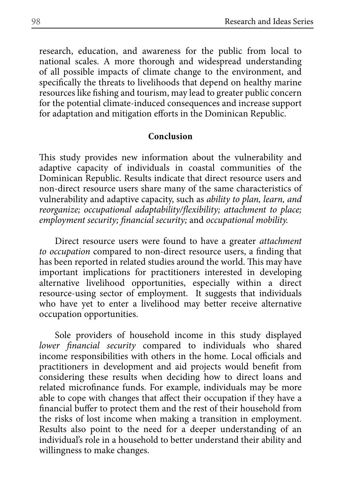research, education, and awareness for the public from local to national scales. A more thorough and widespread understanding of all possible impacts of climate change to the environment, and specifically the threats to livelihoods that depend on healthy marine resources like fishing and tourism, may lead to greater public concern for the potential climate-induced consequences and increase support for adaptation and mitigation efforts in the Dominican Republic.

#### **Conclusion**

This study provides new information about the vulnerability and adaptive capacity of individuals in coastal communities of the Dominican Republic. Results indicate that direct resource users and non-direct resource users share many of the same characteristics of vulnerability and adaptive capacity, such as *ability to plan, learn, and reorganize; occupational adaptability/flexibility; attachment to place; employment security; financial security;* and *occupational mobility.* 

Direct resource users were found to have a greater *attachment to occupation* compared to non-direct resource users, a finding that has been reported in related studies around the world. This may have important implications for practitioners interested in developing alternative livelihood opportunities, especially within a direct resource-using sector of employment. It suggests that individuals who have yet to enter a livelihood may better receive alternative occupation opportunities.

Sole providers of household income in this study displayed *lower financial security* compared to individuals who shared income responsibilities with others in the home. Local officials and practitioners in development and aid projects would benefit from considering these results when deciding how to direct loans and related microfinance funds. For example, individuals may be more able to cope with changes that affect their occupation if they have a financial buffer to protect them and the rest of their household from the risks of lost income when making a transition in employment. Results also point to the need for a deeper understanding of an individual's role in a household to better understand their ability and willingness to make changes.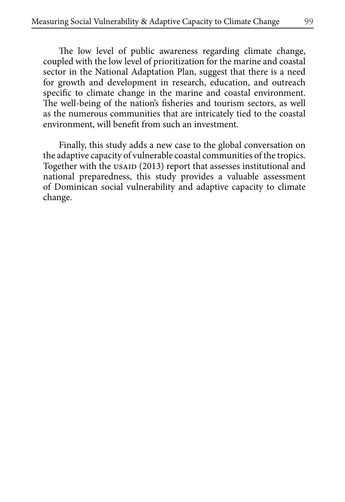The low level of public awareness regarding climate change, coupled with the low level of prioritization for the marine and coastal sector in the National Adaptation Plan, suggest that there is a need for growth and development in research, education, and outreach specific to climate change in the marine and coastal environment. The well-being of the nation's fisheries and tourism sectors, as well as the numerous communities that are intricately tied to the coastal environment, will benefit from such an investment.

Finally, this study adds a new case to the global conversation on the adaptive capacity of vulnerable coastal communities of the tropics. Together with the USAID (2013) report that assesses institutional and national preparedness, this study provides a valuable assessment of Dominican social vulnerability and adaptive capacity to climate change.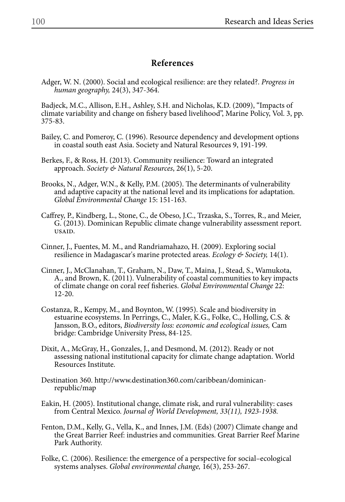### **References**

Adger, W. N. (2000). Social and ecological resilience: are they related?. *Progress in human geography,* 24(3), 347-364.

Badjeck, M.C., Allison, E.H., Ashley, S.H. and Nicholas, K.D. (2009), "Impacts of climate variability and change on fishery based livelihood", Marine Policy, Vol. 3, pp. 375-83.

- Bailey, C. and Pomeroy, C. (1996). Resource dependency and development options in coastal south east Asia. Society and Natural Resources 9, 191-199.
- Berkes, F., & Ross, H. (2013). Community resilience: Toward an integrated approach. *Society & Natural Resources*, 26(1), 5-20.
- Brooks, N., Adger, W.N., & Kelly, P.M. (2005). The determinants of vulnerability and adaptive capacity at the national level and its implications for adaptation. *Global Environmental Change* 15: 151-163.
- Caffrey, P., Kindberg, L., Stone, C., de Obeso, J.C., Trzaska, S., Torres, R., and Meier, G. (2013). Dominican Republic climate change vulnerability assessment report. usaid.
- Cinner, J., Fuentes, M. M., and Randriamahazo, H. (2009). Exploring social resilience in Madagascar's marine protected areas. *Ecology & Society,* 14(1).
- Cinner, J., McClanahan, T., Graham, N., Daw, T., Maina, J., Stead, S., Wamukota, A., and Brown, K. (2011). Vulnerability of coastal communities to key impacts of climate change on coral reef fisheries. *Global Environmental Change* 22: 12-20.
- Costanza, R., Kempy, M., and Boynton, W. (1995). Scale and biodiversity in estuarine ecosystems. In Perrings, C., Maler, K.G., Folke, C., Holling, C.S. & Jansson, B.O., editors, *Biodiversity loss: economic and ecological issues,* Cam bridge: Cambridge University Press, 84-125.
- Dixit, A., McGray, H., Gonzales, J., and Desmond, M. (2012). Ready or not assessing national institutional capacity for climate change adaptation. World Resources Institute.
- Destination 360. http://www.destination360.com/caribbean/dominicanrepublic/map
- Eakin, H. (2005). Institutional change, climate risk, and rural vulnerability: cases from Central Mexico. *Journal of World Development, 33(11), 1923-1938.*
- Fenton, D.M., Kelly, G., Vella, K., and Innes, J.M. (Eds) (2007) Climate change and the Great Barrier Reef: industries and communities. Great Barrier Reef Marine Park Authority.
- Folke, C. (2006). Resilience: the emergence of a perspective for social–ecological systems analyses. *Global environmental change,* 16(3), 253-267.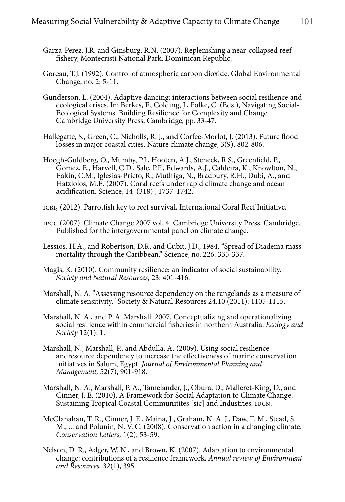- Garza-Perez, J.R. and Ginsburg, R.N. (2007). Replenishing a near-collapsed reef fishery, Montecristi National Park, Dominican Republic.
- Goreau, T.J. (1992). Control of atmospheric carbon dioxide. Global Environmental Change, no. 2: 5-11.
- Gunderson, L. (2004). Adaptive dancing: interactions between social resilience and ecological crises. In: Berkes, F., Colding, J., Folke, C. (Eds.), Navigating Social-Ecological Systems. Building Resilience for Complexity and Change. Cambridge University Press, Cambridge, pp. 33-47.
- Hallegatte, S., Green, C., Nicholls, R. J., and Corfee-Morlot, J. (2013). Future flood losses in major coastal cities. Nature climate change, 3(9), 802-806.
- Hoegh-Guldberg, O., Mumby, P.J., Hooten, A.J., Steneck, R.S., Greenfield, P., Gomez, E., Harvell, C.D., Sale, P.F., Edwards, A.J., Caldeira, K., Knowlton, N., Eakin, C.M., Iglesias-Prieto, R., Muthiga, N., Bradbury, R.H., Dubi, A., and Hatziolos, M.E. (2007). Coral reefs under rapid climate change and ocean acidification. Science, 14 (318) , 1737-1742.
- ICRI, (2012). Parrotfish key to reef survival. International Coral Reef Initiative.
- ipcc (2007). Climate Change 2007 vol. 4. Cambridge University Press. Cambridge. Published for the intergovernmental panel on climate change.
- Lessios, H.A., and Robertson, D.R. and Cubit, J.D., 1984. "Spread of Diadema mass mortality through the Caribbean." Science, no. 226: 335-337.
- Magis, K. (2010). Community resilience: an indicator of social sustainability. *Society and Natural Resources,* 23: 401-416.
- Marshall, N. A. "Assessing resource dependency on the rangelands as a measure of climate sensitivity." Society & Natural Resources 24.10 (2011): 1105-1115.
- Marshall, N. A., and P. A. Marshall. 2007. Conceptualizing and operationalizing social resilience within commercial fisheries in northern Australia. *Ecology and Society* 12(1): 1.
- Marshall, N., Marshall, P., and Abdulla, A. (2009). Using social resilience andresource dependency to increase the effectiveness of marine conservation initiatives in Salum, Egypt. *Journal of Environmental Planning and Management,* 52(7), 901-918.
- Marshall, N. A., Marshall, P. A., Tamelander, J., Obura, D., Malleret-King, D., and Cinner, J. E. (2010). A Framework for Social Adaptation to Climate Change: Sustaining Tropical Coastal Communitites [sic] and Industries. iucn.
- McClanahan, T. R., Cinner, J. E., Maina, J., Graham, N. A. J., Daw, T. M., Stead, S. M., ... and Polunin, N. V. C. (2008). Conservation action in a changing climate. *Conservation Letters,* 1(2), 53-59.
- Nelson, D. R., Adger, W. N., and Brown, K. (2007). Adaptation to environmental change: contributions of a resilience framework. *Annual review of Environment and Resources,* 32(1), 395.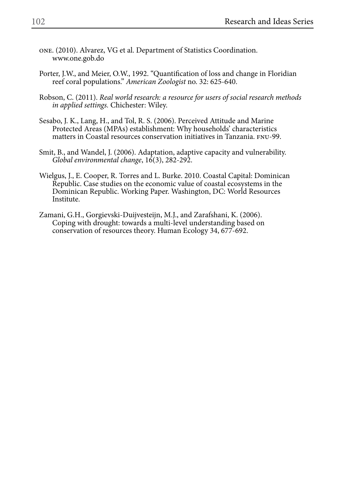- one. (2010). Alvarez, VG et al. Department of Statistics Coordination. www.one.gob.do
- Porter, J.W., and Meier, O.W., 1992. "Quantification of loss and change in Floridian reef coral populations." *American Zoologist* no. 32: 625-640.
- Robson, C. (2011). *Real world research: a resource for users of social research methods in applied settings.* Chichester: Wiley.
- Sesabo, J. K., Lang, H., and Tol, R. S. (2006). Perceived Attitude and Marine Protected Areas (MPAs) establishment: Why households' characteristics matters in Coastal resources conservation initiatives in Tanzania. fnu-99.
- Smit, B., and Wandel, J. (2006). Adaptation, adaptive capacity and vulnerability. *Global environmental change*, 16(3), 282-292.
- Wielgus, J., E. Cooper, R. Torres and L. Burke. 2010. Coastal Capital: Dominican Republic. Case studies on the economic value of coastal ecosystems in the Dominican Republic. Working Paper. Washington, DC: World Resources Institute.
- Zamani, G.H., Gorgievski-Duijvesteijn, M.J., and Zarafshani, K. (2006). Coping with drought: towards a multi-level understanding based on conservation of resources theory. Human Ecology 34, 677-692.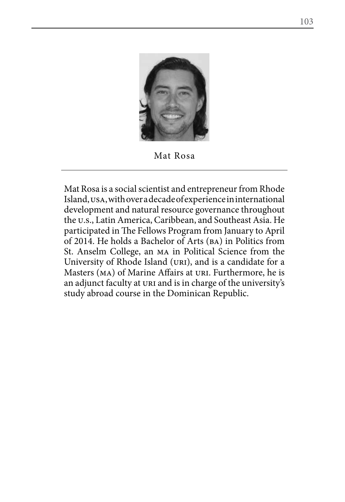

Mat Rosa

Mat Rosa is a social scientist and entrepreneur from Rhode Island, usa, with over a decade of experience in international development and natural resource governance throughout the u.s., Latin America, Caribbean, and Southeast Asia. He participated in The Fellows Program from January to April of 2014. He holds a Bachelor of Arts (ba) in Politics from St. Anselm College, an ma in Political Science from the University of Rhode Island (uri), and is a candidate for a Masters (MA) of Marine Affairs at URI. Furthermore, he is an adjunct faculty at uri and is in charge of the university's study abroad course in the Dominican Republic.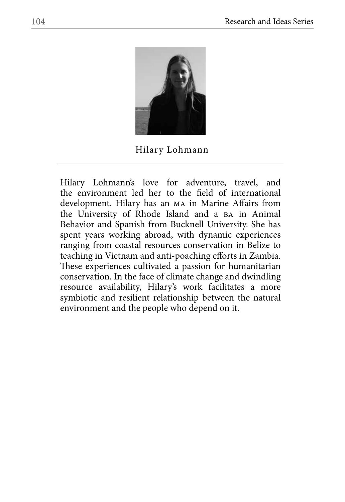

## Hilary Lohmann

Hilary Lohmann's love for adventure, travel, and the environment led her to the field of international development. Hilary has an ma in Marine Affairs from the University of Rhode Island and a ba in Animal Behavior and Spanish from Bucknell University. She has spent years working abroad, with dynamic experiences ranging from coastal resources conservation in Belize to teaching in Vietnam and anti-poaching efforts in Zambia. These experiences cultivated a passion for humanitarian conservation. In the face of climate change and dwindling resource availability, Hilary's work facilitates a more symbiotic and resilient relationship between the natural environment and the people who depend on it.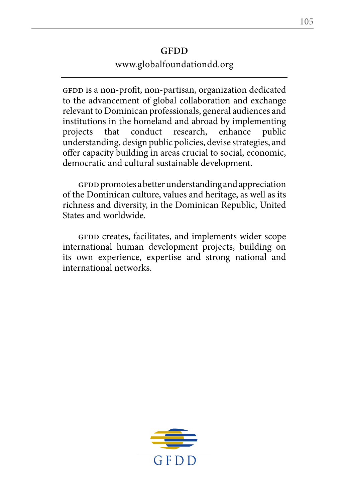## **GFDD**

## www.globalfoundationdd.org

GFDD is a non-profit, non-partisan, organization dedicated to the advancement of global collaboration and exchange relevant to Dominican professionals, general audiences and institutions in the homeland and abroad by implementing projects that conduct research, enhance public understanding, design public policies, devise strategies, and offer capacity building in areas crucial to social, economic, democratic and cultural sustainable development.

GFDD promotes a better understanding and appreciation of the Dominican culture, values and heritage, as well as its richness and diversity, in the Dominican Republic, United States and worldwide.

GFDD creates, facilitates, and implements wider scope international human development projects, building on its own experience, expertise and strong national and international networks.

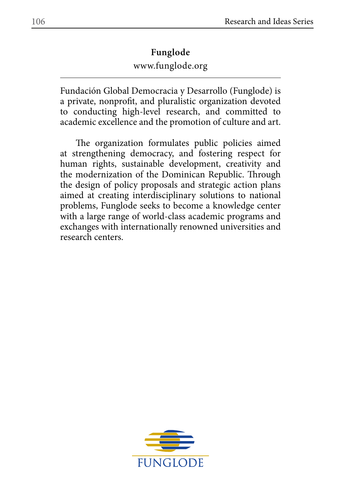# www.funglode.org **Funglode**

Fundación Global Democracia y Desarrollo (Funglode) is a private, nonprofit, and pluralistic organization devoted to conducting high-level research, and committed to academic excellence and the promotion of culture and art.

The organization formulates public policies aimed at strengthening democracy, and fostering respect for human rights, sustainable development, creativity and the modernization of the Dominican Republic. Through the design of policy proposals and strategic action plans aimed at creating interdisciplinary solutions to national problems, Funglode seeks to become a knowledge center with a large range of world-class academic programs and exchanges with internationally renowned universities and research centers.